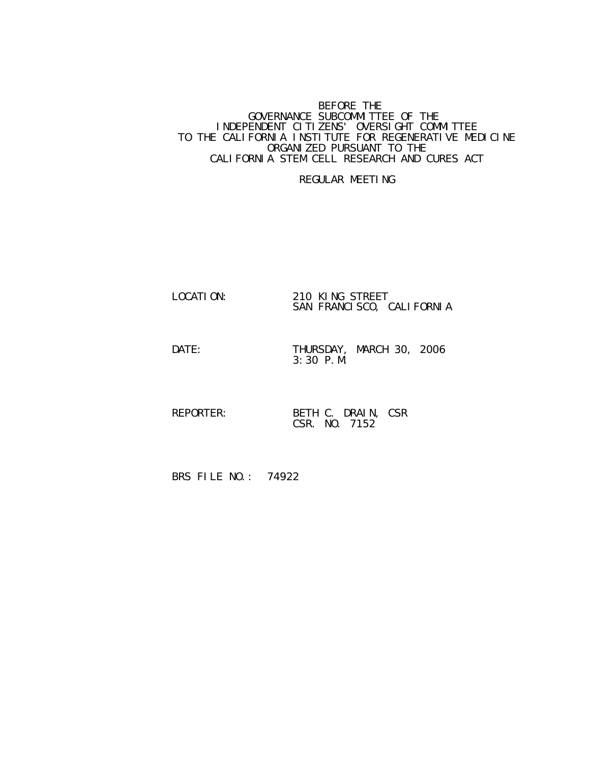## BEFORE THE RESERVE THE SERVE THE SERVE THE SERVE THE SERVE THE SERVE THE SERVE THE SERVE THE SERVE THE SERVE THE GOVERNANCE SUBCOMMITTEE OF THE INDEPENDENT CITIZENS' OVERSIGHT COMMITTEE TO THE CALIFORNIA INSTITUTE FOR REGENERATIVE MEDICINE ORGANIZED PURSUANT TO THE CALIFORNIA STEM CELL RESEARCH AND CURES ACT

## REGULAR MEETING

## LOCATION: 210 KING STREET SAN FRANCISCO, CALIFORNIA

DATE: THURSDAY, MARCH 30, 2006 3:30 P.M.

 REPORTER: BETH C. DRAIN, CSR CSR. NO. 7152

BRS FILE NO.: 74922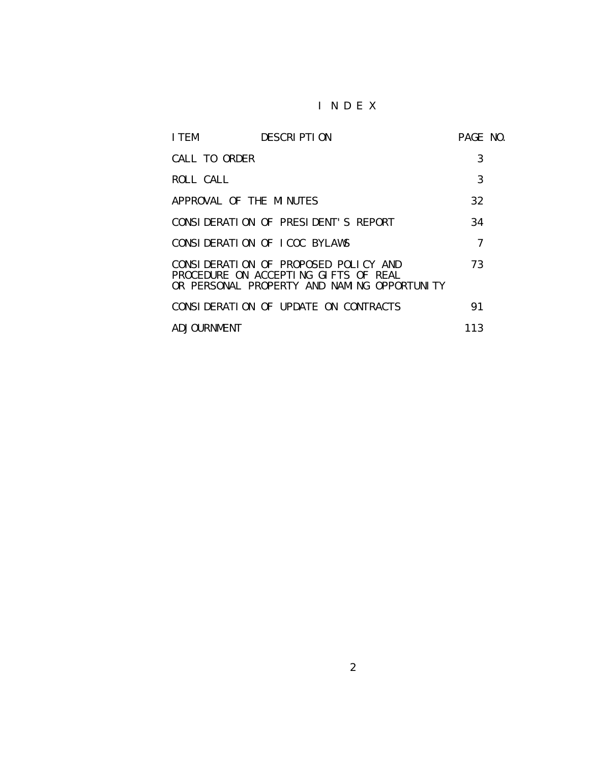## I N D E X

| I TEM                   | <b>DESCRIPTION</b>                                                                                                          | PAGE NO. |  |
|-------------------------|-----------------------------------------------------------------------------------------------------------------------------|----------|--|
| CALL TO ORDER           |                                                                                                                             | 3        |  |
| ROLL CALL               |                                                                                                                             | 3        |  |
| APPROVAL OF THE MINUTES |                                                                                                                             | 32       |  |
|                         | CONSIDERATION OF PRESIDENT'S REPORT                                                                                         | 34       |  |
|                         | CONSIDERATION OF ICOC BYLAWS                                                                                                | 7        |  |
|                         | CONSIDERATION OF PROPOSED POLICY AND<br>PROCEDURE ON ACCEPTING GIFTS OF REAL<br>OR PERSONAL PROPERTY AND NAMING OPPORTUNITY | 73       |  |
|                         | CONSIDERATION OF UPDATE ON CONTRACTS                                                                                        | 91       |  |
| ADJOURNMENT             |                                                                                                                             | 113      |  |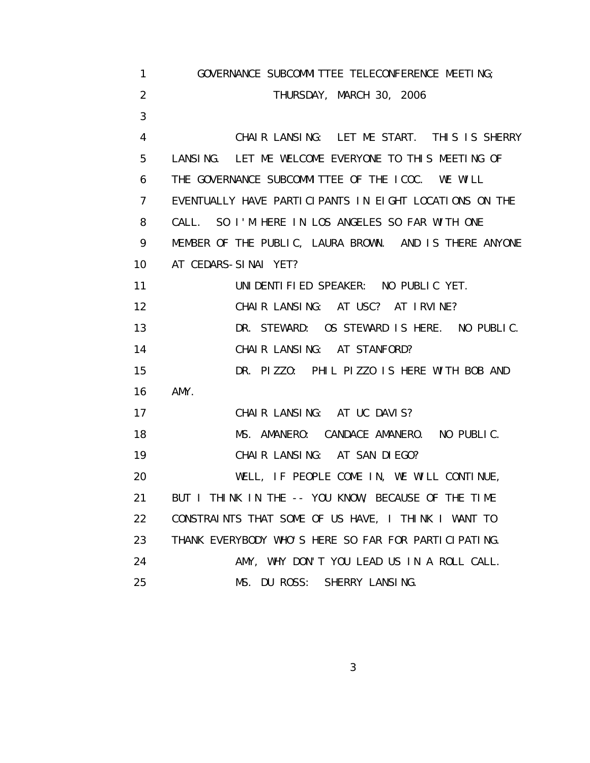| 1              | GOVERNANCE SUBCOMMITTEE TELECONFERENCE MEETING;        |
|----------------|--------------------------------------------------------|
| 2              | THURSDAY, MARCH 30, 2006                               |
| 3              |                                                        |
| 4              | CHAIR LANSING: LET ME START. THIS IS SHERRY            |
| 5              | LANSING. LET ME WELCOME EVERYONE TO THIS MEETING OF    |
| 6              | THE GOVERNANCE SUBCOMMITTEE OF THE ICOC. WE WILL       |
| $\overline{7}$ | EVENTUALLY HAVE PARTICIPANTS IN EIGHT LOCATIONS ON THE |
| 8              | CALL. SO I'M HERE IN LOS ANGELES SO FAR WITH ONE       |
| 9              | MEMBER OF THE PUBLIC, LAURA BROWN. AND IS THERE ANYONE |
| 10             | AT CEDARS-SINAI YET?                                   |
| 11             | UNIDENTIFIED SPEAKER: NO PUBLIC YET.                   |
| 12             | CHAIR LANSING: AT USC? AT IRVINE?                      |
| 13             | DR. STEWARD: OS STEWARD IS HERE. NO PUBLIC.            |
| 14             | CHAIR LANSING: AT STANFORD?                            |
| 15             | DR. PIZZO: PHIL PIZZO IS HERE WITH BOB AND             |
| 16             | AMY.                                                   |
| 17             | CHAIR LANSING: AT UC DAVIS?                            |
| 18             | MS. AMANERO: CANDACE AMANERO. NO PUBLIC.               |
| 19             | CHAIR LANSING: AT SAN DIEGO?                           |
| 20             | WELL, IF PEOPLE COME IN, WE WILL CONTINUE,             |
| 21             | BUT I THINK IN THE -- YOU KNOW, BECAUSE OF THE TIME    |
| 22             | CONSTRAINTS THAT SOME OF US HAVE, I THINK I WANT TO    |
| 23             | THANK EVERYBODY WHO'S HERE SO FAR FOR PARTICIPATING.   |
| 24             | AMY, WHY DON'T YOU LEAD US IN A ROLL CALL.             |
| 25             | MS. DU ROSS: SHERRY LANSING.                           |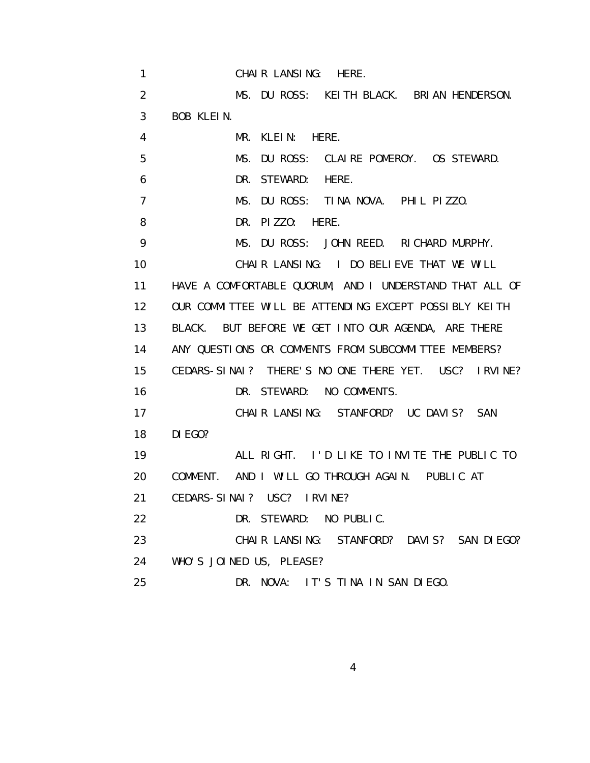| 1               | CHAIR LANSING: HERE.                                    |
|-----------------|---------------------------------------------------------|
| $\overline{2}$  | MS. DU ROSS: KEITH BLACK. BRIAN HENDERSON.              |
| 3               | BOB KLEIN.                                              |
| 4               | MR. KLEIN: HERE.                                        |
| 5               | DU ROSS: CLAIRE POMEROY. OS STEWARD.<br>MS.             |
| 6               | DR. STEWARD:<br>HERE.                                   |
| $\overline{7}$  | MS. DU ROSS: TINA NOVA. PHIL PIZZO.                     |
| 8               | DR. PIZZO: HERE.                                        |
| 9               | MS. DU ROSS: JOHN REED. RICHARD MURPHY.                 |
| 10              | CHAIR LANSING: I DO BELIEVE THAT WE WILL                |
| 11              | HAVE A COMFORTABLE QUORUM, AND I UNDERSTAND THAT ALL OF |
| 12 <sup>2</sup> | OUR COMMITTEE WILL BE ATTENDING EXCEPT POSSIBLY KEITH   |
| 13              | BLACK. BUT BEFORE WE GET INTO OUR AGENDA, ARE THERE     |
| 14              | ANY QUESTIONS OR COMMENTS FROM SUBCOMMITTEE MEMBERS?    |
| 15              | CEDARS-SINAI? THERE'S NO ONE THERE YET. USC? IRVINE?    |
| 16              | DR. STEWARD: NO COMMENTS.                               |
| 17              | CHAIR LANSING: STANFORD? UC DAVIS? SAN                  |
| 18              | DI EGO?                                                 |
| 19              | ALL RIGHT. I'D LIKE TO INVITE THE PUBLIC TO             |
| 20              | COMMENT. AND I WILL GO THROUGH AGAIN. PUBLIC AT         |
| 21              | CEDARS-SINAI? USC? IRVINE?                              |
| 22              | DR. STEWARD: NO PUBLIC.                                 |
| 23              | CHAIR LANSING: STANFORD? DAVIS? SAN DIEGO?              |
| 24              | WHO'S JOINED US, PLEASE?                                |
| 25              | DR. NOVA: IT'S TINA IN SAN DIEGO.                       |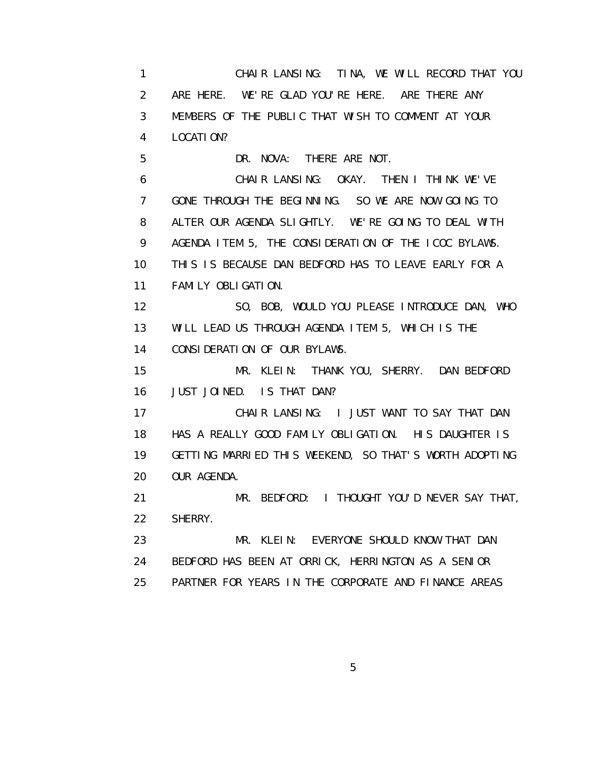1 CHAIR LANSING: TINA, WE WILL RECORD THAT YOU 2 ARE HERE. WE'RE GLAD YOU'RE HERE. ARE THERE ANY 3 MEMBERS OF THE PUBLIC THAT WISH TO COMMENT AT YOUR 4 LOCATION?

 5 DR. NOVA: THERE ARE NOT. 6 CHAIR LANSING: OKAY. THEN I THINK WE'VE 7 GONE THROUGH THE BEGINNING. SO WE ARE NOW GOING TO 8 ALTER OUR AGENDA SLIGHTLY. WE'RE GOING TO DEAL WITH 9 AGENDA ITEM 5, THE CONSIDERATION OF THE ICOC BYLAWS. 10 THIS IS BECAUSE DAN BEDFORD HAS TO LEAVE EARLY FOR A 11 FAMILY OBLIGATION.

 12 SO, BOB, WOULD YOU PLEASE INTRODUCE DAN, WHO 13 WILL LEAD US THROUGH AGENDA ITEM 5, WHICH IS THE 14 CONSIDERATION OF OUR BYLAWS.

 15 MR. KLEIN: THANK YOU, SHERRY. DAN BEDFORD 16 JUST JOINED. IS THAT DAN?

 17 CHAIR LANSING: I JUST WANT TO SAY THAT DAN 18 HAS A REALLY GOOD FAMILY OBLIGATION. HIS DAUGHTER IS 19 GETTING MARRIED THIS WEEKEND, SO THAT'S WORTH ADOPTING 20 OUR AGENDA.

 21 MR. BEDFORD: I THOUGHT YOU'D NEVER SAY THAT, 22 SHERRY.

 23 MR. KLEIN: EVERYONE SHOULD KNOW THAT DAN 24 BEDFORD HAS BEEN AT ORRICK, HERRINGTON AS A SENIOR 25 PARTNER FOR YEARS IN THE CORPORATE AND FINANCE AREAS

 $\sim$  5  $\sim$  5  $\sim$  5  $\sim$  5  $\sim$  5  $\sim$  5  $\sim$  5  $\sim$  5  $\sim$  5  $\sim$  5  $\sim$  5  $\sim$  5  $\sim$  5  $\sim$  5  $\sim$  5  $\sim$  5  $\sim$  5  $\sim$  5  $\sim$  5  $\sim$  5  $\sim$  5  $\sim$  5  $\sim$  5  $\sim$  5  $\sim$  5  $\sim$  5  $\sim$  5  $\sim$  5  $\sim$  5  $\sim$  5  $\sim$  5  $\sim$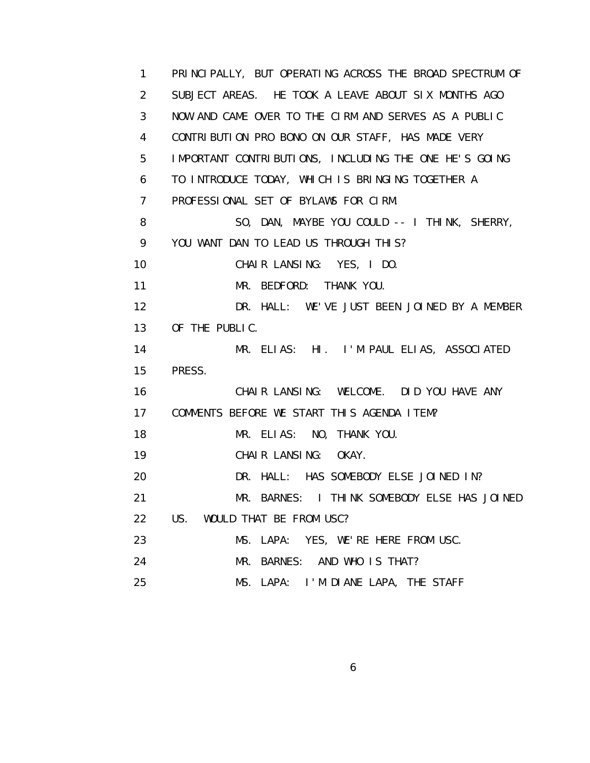1 PRINCIPALLY, BUT OPERATING ACROSS THE BROAD SPECTRUM OF 2 SUBJECT AREAS. HE TOOK A LEAVE ABOUT SIX MONTHS AGO 3 NOW AND CAME OVER TO THE CIRM AND SERVES AS A PUBLIC 4 CONTRIBUTION PRO BONO ON OUR STAFF, HAS MADE VERY 5 IMPORTANT CONTRIBUTIONS, INCLUDING THE ONE HE'S GOING 6 TO INTRODUCE TODAY, WHICH IS BRINGING TOGETHER A 7 PROFESSIONAL SET OF BYLAWS FOR CIRM. 8 SO, DAN, MAYBE YOU COULD -- I THINK, SHERRY, 9 YOU WANT DAN TO LEAD US THROUGH THIS? 10 CHAIR LANSING: YES, I DO. 11 MR. BEDFORD: THANK YOU. 12 DR. HALL: WE'VE JUST BEEN JOINED BY A MEMBER 13 OF THE PUBLIC. 14 MR. ELIAS: HI. I'M PAUL ELIAS, ASSOCIATED 15 PRESS. 16 CHAIR LANSING: WELCOME. DID YOU HAVE ANY 17 COMMENTS BEFORE WE START THIS AGENDA ITEM? 18 MR. ELIAS: NO, THANK YOU. 19 CHAIR LANSING: OKAY. 20 DR. HALL: HAS SOMEBODY ELSE JOINED IN? 21 MR. BARNES: I THINK SOMEBODY ELSE HAS JOINED 22 US. WOULD THAT BE FROM USC? 23 MS. LAPA: YES, WE'RE HERE FROM USC. 24 MR. BARNES: AND WHO IS THAT? 25 MS. LAPA: I'M DIANE LAPA, THE STAFF

 $\sim$  6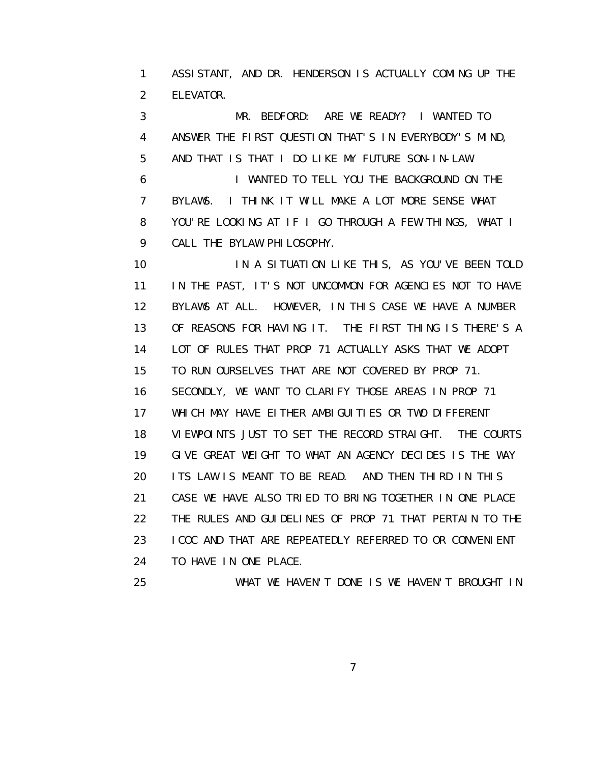1 ASSISTANT, AND DR. HENDERSON IS ACTUALLY COMING UP THE 2 ELEVATOR.

 3 MR. BEDFORD: ARE WE READY? I WANTED TO 4 ANSWER THE FIRST QUESTION THAT'S IN EVERYBODY'S MIND, 5 AND THAT IS THAT I DO LIKE MY FUTURE SON-IN-LAW.

 6 I WANTED TO TELL YOU THE BACKGROUND ON THE 7 BYLAWS. I THINK IT WILL MAKE A LOT MORE SENSE WHAT 8 YOU'RE LOOKING AT IF I GO THROUGH A FEW THINGS, WHAT I 9 CALL THE BYLAW PHILOSOPHY.

 10 IN A SITUATION LIKE THIS, AS YOU'VE BEEN TOLD 11 IN THE PAST, IT'S NOT UNCOMMON FOR AGENCIES NOT TO HAVE 12 BYLAWS AT ALL. HOWEVER, IN THIS CASE WE HAVE A NUMBER 13 OF REASONS FOR HAVING IT. THE FIRST THING IS THERE'S A 14 LOT OF RULES THAT PROP 71 ACTUALLY ASKS THAT WE ADOPT 15 TO RUN OURSELVES THAT ARE NOT COVERED BY PROP 71. 16 SECONDLY, WE WANT TO CLARIFY THOSE AREAS IN PROP 71 17 WHICH MAY HAVE EITHER AMBIGUITIES OR TWO DIFFERENT 18 VIEWPOINTS JUST TO SET THE RECORD STRAIGHT. THE COURTS 19 GIVE GREAT WEIGHT TO WHAT AN AGENCY DECIDES IS THE WAY 20 ITS LAW IS MEANT TO BE READ. AND THEN THIRD IN THIS 21 CASE WE HAVE ALSO TRIED TO BRING TOGETHER IN ONE PLACE 22 THE RULES AND GUIDELINES OF PROP 71 THAT PERTAIN TO THE 23 ICOC AND THAT ARE REPEATEDLY REFERRED TO OR CONVENIENT 24 TO HAVE IN ONE PLACE.

25 WHAT WE HAVEN'T DONE IS WE HAVEN'T BROUGHT IN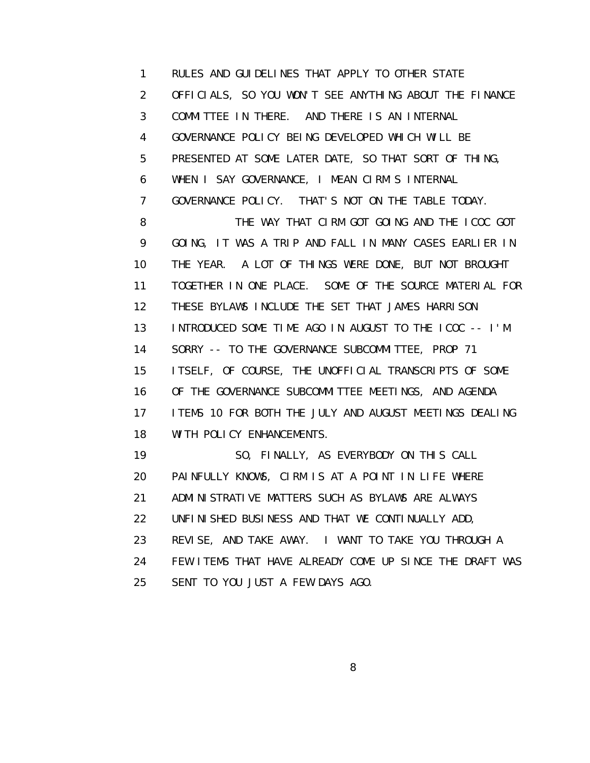1 RULES AND GUIDELINES THAT APPLY TO OTHER STATE 2 OFFICIALS, SO YOU WON'T SEE ANYTHING ABOUT THE FINANCE 3 COMMITTEE IN THERE. AND THERE IS AN INTERNAL 4 GOVERNANCE POLICY BEING DEVELOPED WHICH WILL BE 5 PRESENTED AT SOME LATER DATE, SO THAT SORT OF THING, 6 WHEN I SAY GOVERNANCE, I MEAN CIRM'S INTERNAL 7 GOVERNANCE POLICY. THAT'S NOT ON THE TABLE TODAY. 8 THE WAY THAT CIRM GOT GOING AND THE ICOC GOT 9 GOING, IT WAS A TRIP AND FALL IN MANY CASES EARLIER IN 10 THE YEAR. A LOT OF THINGS WERE DONE, BUT NOT BROUGHT 11 TOGETHER IN ONE PLACE. SOME OF THE SOURCE MATERIAL FOR 12 THESE BYLAWS INCLUDE THE SET THAT JAMES HARRISON 13 INTRODUCED SOME TIME AGO IN AUGUST TO THE ICOC -- I'M 14 SORRY -- TO THE GOVERNANCE SUBCOMMITTEE, PROP 71 15 ITSELF, OF COURSE, THE UNOFFICIAL TRANSCRIPTS OF SOME 16 OF THE GOVERNANCE SUBCOMMITTEE MEETINGS, AND AGENDA 17 ITEMS 10 FOR BOTH THE JULY AND AUGUST MEETINGS DEALING 18 WITH POLICY ENHANCEMENTS. 19 SO, FINALLY, AS EVERYBODY ON THIS CALL 20 PAINFULLY KNOWS, CIRM IS AT A POINT IN LIFE WHERE 21 ADMINISTRATIVE MATTERS SUCH AS BYLAWS ARE ALWAYS 22 UNFINISHED BUSINESS AND THAT WE CONTINUALLY ADD, 23 REVISE, AND TAKE AWAY. I WANT TO TAKE YOU THROUGH A

 24 FEW ITEMS THAT HAVE ALREADY COME UP SINCE THE DRAFT WAS 25 SENT TO YOU JUST A FEW DAYS AGO.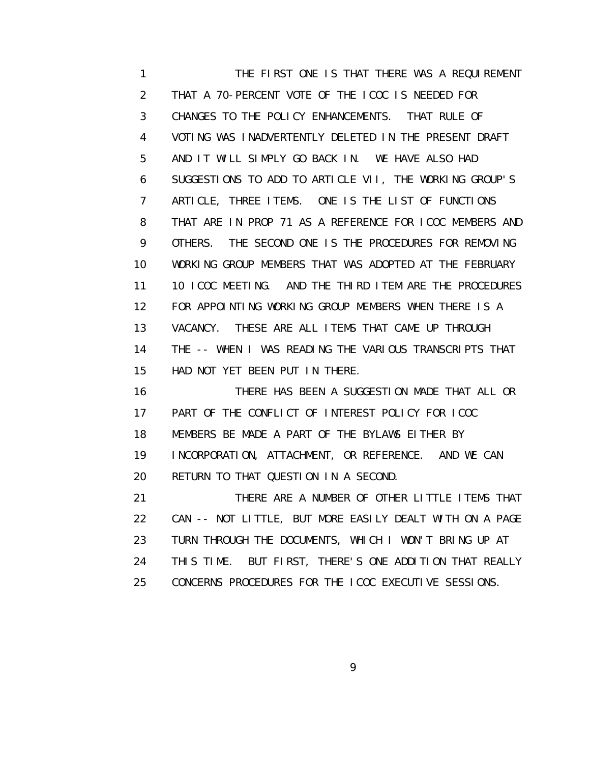1 THE FIRST ONE IS THAT THERE WAS A REQUIREMENT 2 THAT A 70-PERCENT VOTE OF THE ICOC IS NEEDED FOR 3 CHANGES TO THE POLICY ENHANCEMENTS. THAT RULE OF 4 VOTING WAS INADVERTENTLY DELETED IN THE PRESENT DRAFT 5 AND IT WILL SIMPLY GO BACK IN. WE HAVE ALSO HAD 6 SUGGESTIONS TO ADD TO ARTICLE VII, THE WORKING GROUP'S 7 ARTICLE, THREE ITEMS. ONE IS THE LIST OF FUNCTIONS 8 THAT ARE IN PROP 71 AS A REFERENCE FOR ICOC MEMBERS AND 9 OTHERS. THE SECOND ONE IS THE PROCEDURES FOR REMOVING 10 WORKING GROUP MEMBERS THAT WAS ADOPTED AT THE FEBRUARY 11 10 ICOC MEETING. AND THE THIRD ITEM ARE THE PROCEDURES 12 FOR APPOINTING WORKING GROUP MEMBERS WHEN THERE IS A 13 VACANCY. THESE ARE ALL ITEMS THAT CAME UP THROUGH 14 THE -- WHEN I WAS READING THE VARIOUS TRANSCRIPTS THAT 15 HAD NOT YET BEEN PUT IN THERE.

 16 THERE HAS BEEN A SUGGESTION MADE THAT ALL OR 17 PART OF THE CONFLICT OF INTEREST POLICY FOR ICOC 18 MEMBERS BE MADE A PART OF THE BYLAWS EITHER BY 19 INCORPORATION, ATTACHMENT, OR REFERENCE. AND WE CAN 20 RETURN TO THAT QUESTION IN A SECOND.

 21 THERE ARE A NUMBER OF OTHER LITTLE ITEMS THAT 22 CAN -- NOT LITTLE, BUT MORE EASILY DEALT WITH ON A PAGE 23 TURN THROUGH THE DOCUMENTS, WHICH I WON'T BRING UP AT 24 THIS TIME. BUT FIRST, THERE'S ONE ADDITION THAT REALLY 25 CONCERNS PROCEDURES FOR THE ICOC EXECUTIVE SESSIONS.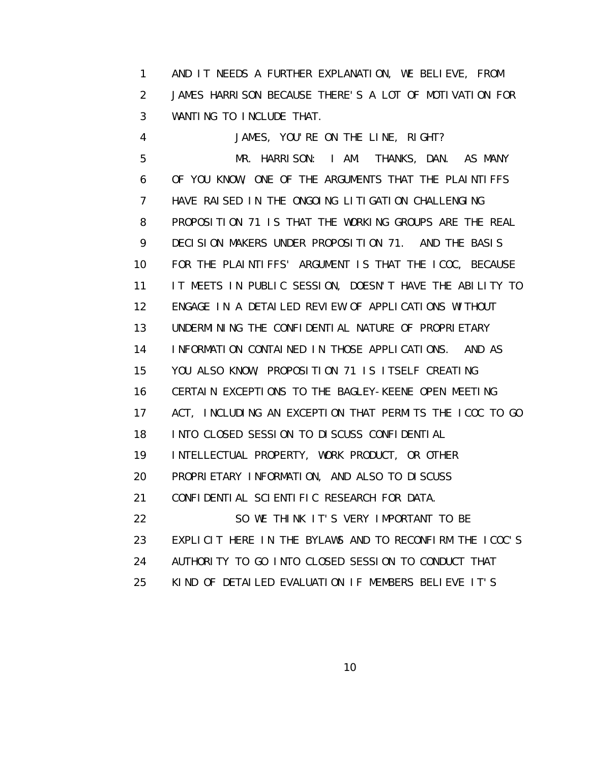1 AND IT NEEDS A FURTHER EXPLANATION, WE BELIEVE, FROM 2 JAMES HARRISON BECAUSE THERE'S A LOT OF MOTIVATION FOR 3 WANTING TO INCLUDE THAT.

 4 JAMES, YOU'RE ON THE LINE, RIGHT? 5 MR. HARRISON: I AM. THANKS, DAN. AS MANY 6 OF YOU KNOW, ONE OF THE ARGUMENTS THAT THE PLAINTIFFS 7 HAVE RAISED IN THE ONGOING LITIGATION CHALLENGING 8 PROPOSITION 71 IS THAT THE WORKING GROUPS ARE THE REAL 9 DECISION MAKERS UNDER PROPOSITION 71. AND THE BASIS 10 FOR THE PLAINTIFFS' ARGUMENT IS THAT THE ICOC, BECAUSE 11 IT MEETS IN PUBLIC SESSION, DOESN'T HAVE THE ABILITY TO 12 ENGAGE IN A DETAILED REVIEW OF APPLICATIONS WITHOUT 13 UNDERMINING THE CONFIDENTIAL NATURE OF PROPRIETARY 14 INFORMATION CONTAINED IN THOSE APPLICATIONS. AND AS 15 YOU ALSO KNOW, PROPOSITION 71 IS ITSELF CREATING 16 CERTAIN EXCEPTIONS TO THE BAGLEY-KEENE OPEN MEETING 17 ACT, INCLUDING AN EXCEPTION THAT PERMITS THE ICOC TO GO 18 INTO CLOSED SESSION TO DISCUSS CONFIDENTIAL 19 INTELLECTUAL PROPERTY, WORK PRODUCT, OR OTHER 20 PROPRIETARY INFORMATION, AND ALSO TO DISCUSS 21 CONFIDENTIAL SCIENTIFIC RESEARCH FOR DATA. 22 SO WE THINK IT'S VERY IMPORTANT TO BE 23 EXPLICIT HERE IN THE BYLAWS AND TO RECONFIRM THE ICOC'S 24 AUTHORITY TO GO INTO CLOSED SESSION TO CONDUCT THAT 25 KIND OF DETAILED EVALUATION IF MEMBERS BELIEVE IT'S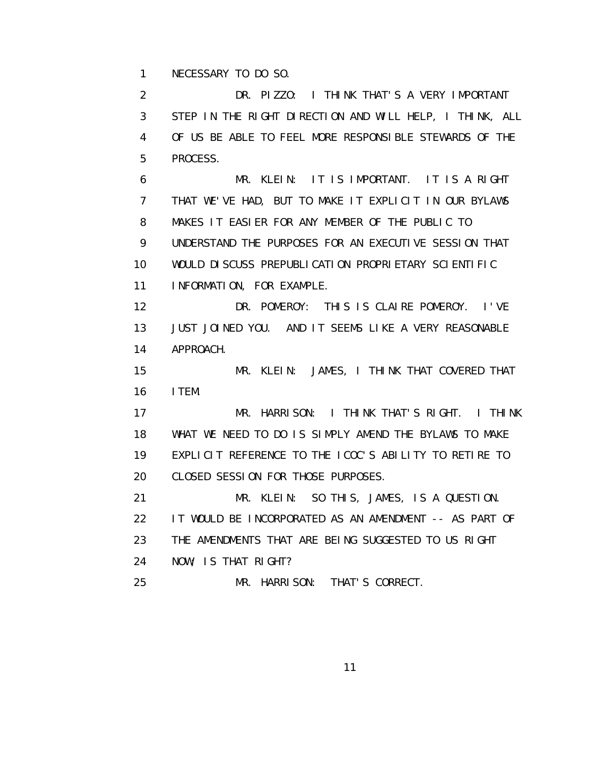1 NECESSARY TO DO SO.

 2 DR. PIZZO: I THINK THAT'S A VERY IMPORTANT 3 STEP IN THE RIGHT DIRECTION AND WILL HELP, I THINK, ALL 4 OF US BE ABLE TO FEEL MORE RESPONSIBLE STEWARDS OF THE 5 PROCESS.

 6 MR. KLEIN: IT IS IMPORTANT. IT IS A RIGHT 7 THAT WE'VE HAD, BUT TO MAKE IT EXPLICIT IN OUR BYLAWS 8 MAKES IT EASIER FOR ANY MEMBER OF THE PUBLIC TO 9 UNDERSTAND THE PURPOSES FOR AN EXECUTIVE SESSION THAT 10 WOULD DISCUSS PREPUBLICATION PROPRIETARY SCIENTIFIC 11 INFORMATION, FOR EXAMPLE.

 12 DR. POMEROY: THIS IS CLAIRE POMEROY. I'VE 13 JUST JOINED YOU. AND IT SEEMS LIKE A VERY REASONABLE 14 APPROACH.

 15 MR. KLEIN: JAMES, I THINK THAT COVERED THAT 16 ITEM.

 17 MR. HARRISON: I THINK THAT'S RIGHT. I THINK 18 WHAT WE NEED TO DO IS SIMPLY AMEND THE BYLAWS TO MAKE 19 EXPLICIT REFERENCE TO THE ICOC'S ABILITY TO RETIRE TO 20 CLOSED SESSION FOR THOSE PURPOSES.

 21 MR. KLEIN: SO THIS, JAMES, IS A QUESTION. 22 IT WOULD BE INCORPORATED AS AN AMENDMENT -- AS PART OF 23 THE AMENDMENTS THAT ARE BEING SUGGESTED TO US RIGHT 24 NOW; IS THAT RIGHT?

25 MR. HARRISON: THAT'S CORRECT.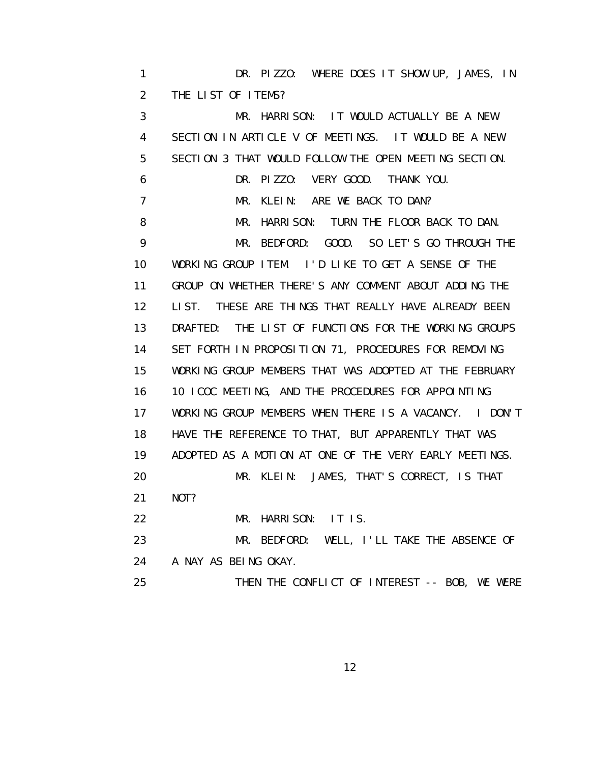1 DR. PIZZO: WHERE DOES IT SHOW UP, JAMES, IN 2 THE LIST OF ITEMS? 3 MR. HARRISON: IT WOULD ACTUALLY BE A NEW 4 SECTION IN ARTICLE V OF MEETINGS. IT WOULD BE A NEW 5 SECTION 3 THAT WOULD FOLLOW THE OPEN MEETING SECTION. 6 DR. PIZZO: VERY GOOD. THANK YOU. 7 MR. KLEIN: ARE WE BACK TO DAN? 8 MR. HARRISON: TURN THE FLOOR BACK TO DAN. 9 MR. BEDFORD: GOOD. SO LET'S GO THROUGH THE 10 WORKING GROUP ITEM. I'D LIKE TO GET A SENSE OF THE 11 GROUP ON WHETHER THERE'S ANY COMMENT ABOUT ADDING THE 12 LIST. THESE ARE THINGS THAT REALLY HAVE ALREADY BEEN 13 DRAFTED: THE LIST OF FUNCTIONS FOR THE WORKING GROUPS 14 SET FORTH IN PROPOSITION 71, PROCEDURES FOR REMOVING 15 WORKING GROUP MEMBERS THAT WAS ADOPTED AT THE FEBRUARY 16 10 ICOC MEETING, AND THE PROCEDURES FOR APPOINTING 17 WORKING GROUP MEMBERS WHEN THERE IS A VACANCY. I DON'T 18 HAVE THE REFERENCE TO THAT, BUT APPARENTLY THAT WAS 19 ADOPTED AS A MOTION AT ONE OF THE VERY EARLY MEETINGS. 20 MR. KLEIN: JAMES, THAT'S CORRECT, IS THAT 21 NOT? 22 MR. HARRISON: IT IS. 23 MR. BEDFORD: WELL, I'LL TAKE THE ABSENCE OF 24 A NAY AS BEING OKAY. 25 THEN THE CONFLICT OF INTEREST -- BOB, WE WERE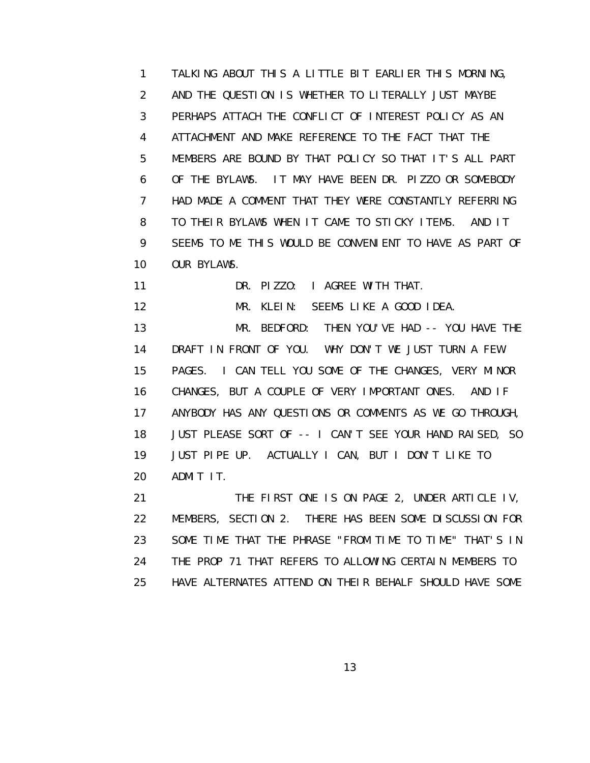1 TALKING ABOUT THIS A LITTLE BIT EARLIER THIS MORNING, 2 AND THE QUESTION IS WHETHER TO LITERALLY JUST MAYBE 3 PERHAPS ATTACH THE CONFLICT OF INTEREST POLICY AS AN 4 ATTACHMENT AND MAKE REFERENCE TO THE FACT THAT THE 5 MEMBERS ARE BOUND BY THAT POLICY SO THAT IT'S ALL PART 6 OF THE BYLAWS. IT MAY HAVE BEEN DR. PIZZO OR SOMEBODY 7 HAD MADE A COMMENT THAT THEY WERE CONSTANTLY REFERRING 8 TO THEIR BYLAWS WHEN IT CAME TO STICKY ITEMS. AND IT 9 SEEMS TO ME THIS WOULD BE CONVENIENT TO HAVE AS PART OF 10 OUR BYLAWS.

11 DR. PIZZO: I AGREE WITH THAT.

12 MR. KLEIN: SEEMS LIKE A GOOD IDEA.

 13 MR. BEDFORD: THEN YOU'VE HAD -- YOU HAVE THE 14 DRAFT IN FRONT OF YOU. WHY DON'T WE JUST TURN A FEW 15 PAGES. I CAN TELL YOU SOME OF THE CHANGES, VERY MINOR 16 CHANGES, BUT A COUPLE OF VERY IMPORTANT ONES. AND IF 17 ANYBODY HAS ANY QUESTIONS OR COMMENTS AS WE GO THROUGH, 18 JUST PLEASE SORT OF -- I CAN'T SEE YOUR HAND RAISED, SO 19 JUST PIPE UP. ACTUALLY I CAN, BUT I DON'T LIKE TO 20 ADMIT IT.

21 THE FIRST ONE IS ON PAGE 2, UNDER ARTICLE IV, 22 MEMBERS, SECTION 2. THERE HAS BEEN SOME DISCUSSION FOR 23 SOME TIME THAT THE PHRASE "FROM TIME TO TIME" THAT'S IN 24 THE PROP 71 THAT REFERS TO ALLOWING CERTAIN MEMBERS TO 25 HAVE ALTERNATES ATTEND ON THEIR BEHALF SHOULD HAVE SOME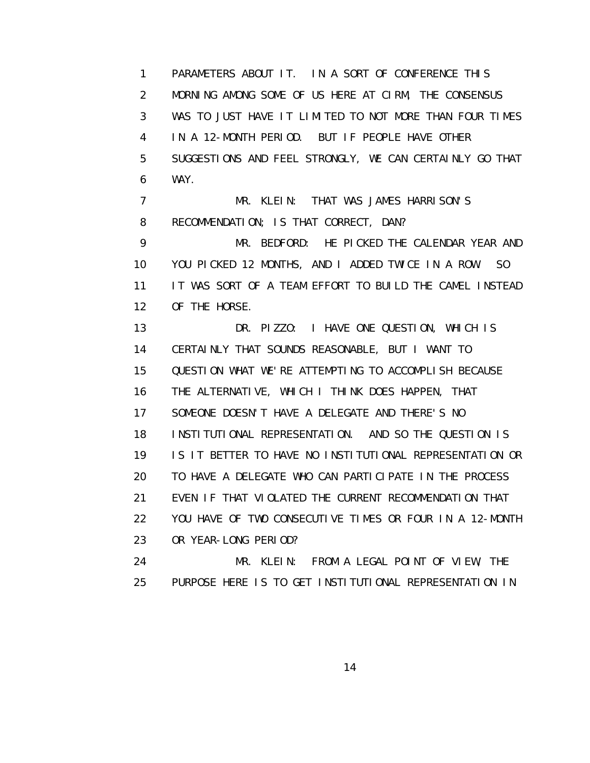1 PARAMETERS ABOUT IT. IN A SORT OF CONFERENCE THIS 2 MORNING AMONG SOME OF US HERE AT CIRM, THE CONSENSUS 3 WAS TO JUST HAVE IT LIMITED TO NOT MORE THAN FOUR TIMES 4 IN A 12-MONTH PERIOD. BUT IF PEOPLE HAVE OTHER 5 SUGGESTIONS AND FEEL STRONGLY, WE CAN CERTAINLY GO THAT 6 WAY.

7 MR. KLEIN: THAT WAS JAMES HARRISON'S 8 RECOMMENDATION; IS THAT CORRECT, DAN?

 9 MR. BEDFORD: HE PICKED THE CALENDAR YEAR AND 10 YOU PICKED 12 MONTHS, AND I ADDED TWICE IN A ROW. SO 11 IT WAS SORT OF A TEAM EFFORT TO BUILD THE CAMEL INSTEAD 12 OF THE HORSE.

 13 DR. PIZZO: I HAVE ONE QUESTION, WHICH IS 14 CERTAINLY THAT SOUNDS REASONABLE, BUT I WANT TO 15 QUESTION WHAT WE'RE ATTEMPTING TO ACCOMPLISH BECAUSE 16 THE ALTERNATIVE, WHICH I THINK DOES HAPPEN, THAT 17 SOMEONE DOESN'T HAVE A DELEGATE AND THERE'S NO 18 INSTITUTIONAL REPRESENTATION. AND SO THE QUESTION IS 19 IS IT BETTER TO HAVE NO INSTITUTIONAL REPRESENTATION OR 20 TO HAVE A DELEGATE WHO CAN PARTICIPATE IN THE PROCESS 21 EVEN IF THAT VIOLATED THE CURRENT RECOMMENDATION THAT 22 YOU HAVE OF TWO CONSECUTIVE TIMES OR FOUR IN A 12-MONTH 23 OR YEAR-LONG PERIOD? 24 MR. KLEIN: FROM A LEGAL POINT OF VIEW, THE

25 PURPOSE HERE IS TO GET INSTITUTIONAL REPRESENTATION IN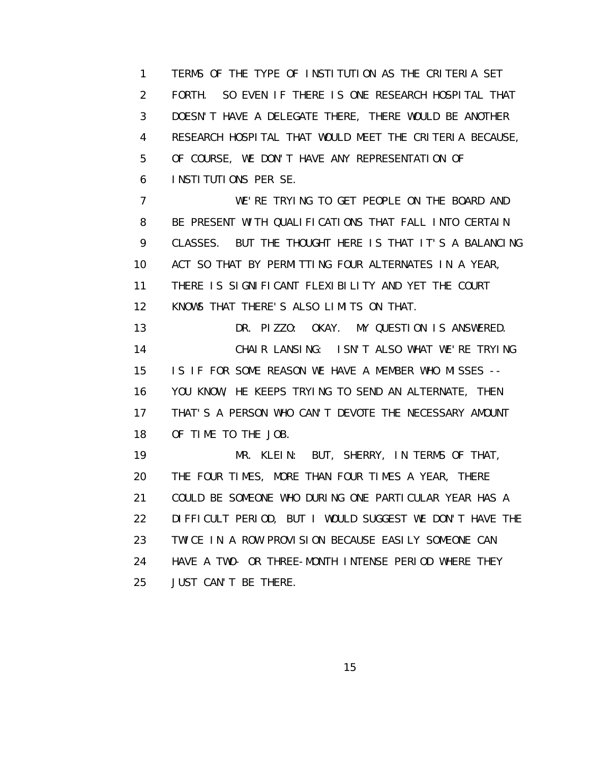1 TERMS OF THE TYPE OF INSTITUTION AS THE CRITERIA SET 2 FORTH. SO EVEN IF THERE IS ONE RESEARCH HOSPITAL THAT 3 DOESN'T HAVE A DELEGATE THERE, THERE WOULD BE ANOTHER 4 RESEARCH HOSPITAL THAT WOULD MEET THE CRITERIA BECAUSE, 5 OF COURSE, WE DON'T HAVE ANY REPRESENTATION OF 6 INSTITUTIONS PER SE.

 7 WE'RE TRYING TO GET PEOPLE ON THE BOARD AND 8 BE PRESENT WITH QUALIFICATIONS THAT FALL INTO CERTAIN 9 CLASSES. BUT THE THOUGHT HERE IS THAT IT'S A BALANCING 10 ACT SO THAT BY PERMITTING FOUR ALTERNATES IN A YEAR, 11 THERE IS SIGNIFICANT FLEXIBILITY AND YET THE COURT 12 KNOWS THAT THERE'S ALSO LIMITS ON THAT.

 13 DR. PIZZO: OKAY. MY QUESTION IS ANSWERED. 14 CHAIR LANSING: ISN'T ALSO WHAT WE'RE TRYING 15 IS IF FOR SOME REASON WE HAVE A MEMBER WHO MISSES -- 16 YOU KNOW, HE KEEPS TRYING TO SEND AN ALTERNATE, THEN 17 THAT'S A PERSON WHO CAN'T DEVOTE THE NECESSARY AMOUNT 18 OF TIME TO THE JOB.

 19 MR. KLEIN: BUT, SHERRY, IN TERMS OF THAT, 20 THE FOUR TIMES, MORE THAN FOUR TIMES A YEAR, THERE 21 COULD BE SOMEONE WHO DURING ONE PARTICULAR YEAR HAS A 22 DIFFICULT PERIOD, BUT I WOULD SUGGEST WE DON'T HAVE THE 23 TWICE IN A ROW PROVISION BECAUSE EASILY SOMEONE CAN 24 HAVE A TWO- OR THREE-MONTH INTENSE PERIOD WHERE THEY 25 JUST CAN'T BE THERE.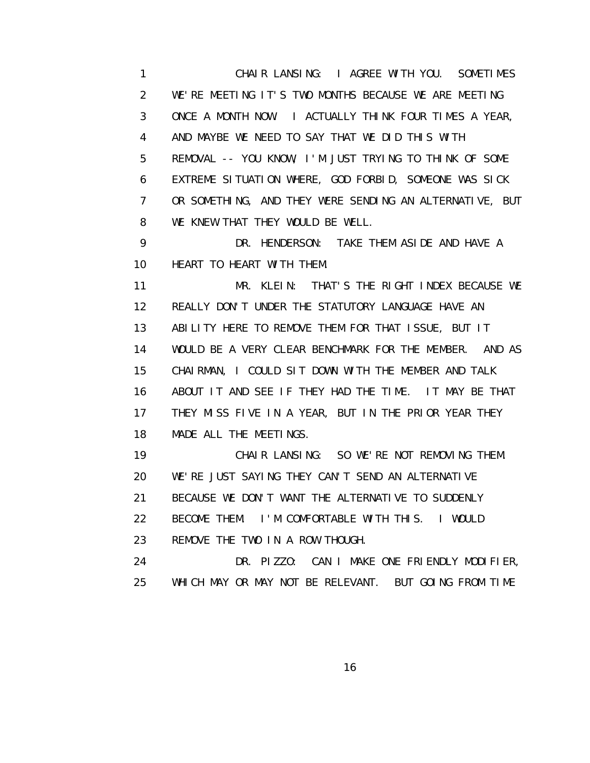1 CHAIR LANSING: I AGREE WITH YOU. SOMETIMES 2 WE'RE MEETING IT'S TWO MONTHS BECAUSE WE ARE MEETING 3 ONCE A MONTH NOW. I ACTUALLY THINK FOUR TIMES A YEAR, 4 AND MAYBE WE NEED TO SAY THAT WE DID THIS WITH 5 REMOVAL -- YOU KNOW, I'M JUST TRYING TO THINK OF SOME 6 EXTREME SITUATION WHERE, GOD FORBID, SOMEONE WAS SICK 7 OR SOMETHING, AND THEY WERE SENDING AN ALTERNATIVE, BUT 8 WE KNEW THAT THEY WOULD BE WELL.

 9 DR. HENDERSON: TAKE THEM ASIDE AND HAVE A 10 HEART TO HEART WITH THEM.

 11 MR. KLEIN: THAT'S THE RIGHT INDEX BECAUSE WE 12 REALLY DON'T UNDER THE STATUTORY LANGUAGE HAVE AN 13 ABILITY HERE TO REMOVE THEM FOR THAT ISSUE, BUT IT 14 WOULD BE A VERY CLEAR BENCHMARK FOR THE MEMBER. AND AS 15 CHAIRMAN, I COULD SIT DOWN WITH THE MEMBER AND TALK 16 ABOUT IT AND SEE IF THEY HAD THE TIME. IT MAY BE THAT 17 THEY MISS FIVE IN A YEAR, BUT IN THE PRIOR YEAR THEY 18 MADE ALL THE MEETINGS.

 19 CHAIR LANSING: SO WE'RE NOT REMOVING THEM. 20 WE'RE JUST SAYING THEY CAN'T SEND AN ALTERNATIVE 21 BECAUSE WE DON'T WANT THE ALTERNATIVE TO SUDDENLY 22 BECOME THEM. I'M COMFORTABLE WITH THIS. I WOULD 23 REMOVE THE TWO IN A ROW THOUGH. 24 DR. PIZZO: CAN I MAKE ONE FRIENDLY MODIFIER,

25 WHICH MAY OR MAY NOT BE RELEVANT. BUT GOING FROM TIME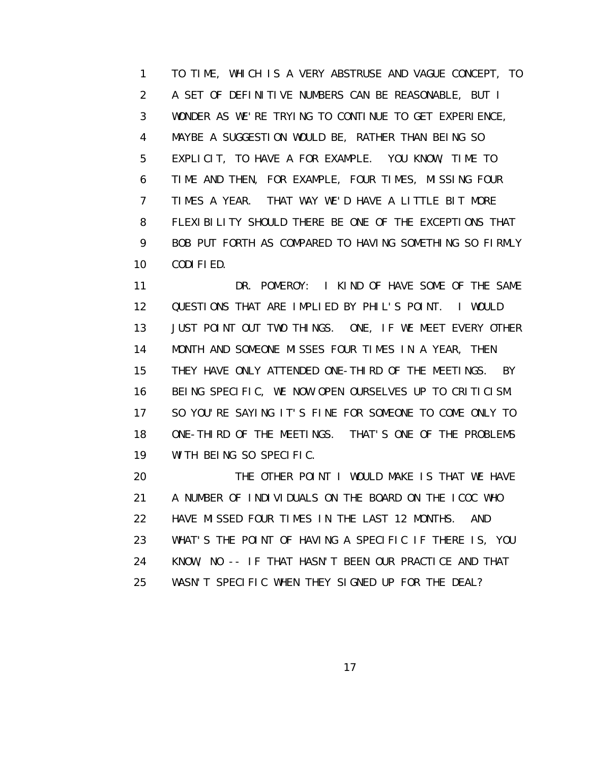1 TO TIME, WHICH IS A VERY ABSTRUSE AND VAGUE CONCEPT, TO 2 A SET OF DEFINITIVE NUMBERS CAN BE REASONABLE, BUT I 3 WONDER AS WE'RE TRYING TO CONTINUE TO GET EXPERIENCE, 4 MAYBE A SUGGESTION WOULD BE, RATHER THAN BEING SO 5 EXPLICIT, TO HAVE A FOR EXAMPLE. YOU KNOW, TIME TO 6 TIME AND THEN, FOR EXAMPLE, FOUR TIMES, MISSING FOUR 7 TIMES A YEAR. THAT WAY WE'D HAVE A LITTLE BIT MORE 8 FLEXIBILITY SHOULD THERE BE ONE OF THE EXCEPTIONS THAT 9 BOB PUT FORTH AS COMPARED TO HAVING SOMETHING SO FIRMLY 10 CODIFIED.

11 DR. POMEROY: I KIND OF HAVE SOME OF THE SAME 12 QUESTIONS THAT ARE IMPLIED BY PHIL'S POINT. I WOULD 13 JUST POINT OUT TWO THINGS. ONE, IF WE MEET EVERY OTHER 14 MONTH AND SOMEONE MISSES FOUR TIMES IN A YEAR, THEN 15 THEY HAVE ONLY ATTENDED ONE-THIRD OF THE MEETINGS. BY 16 BEING SPECIFIC, WE NOW OPEN OURSELVES UP TO CRITICISM. 17 SO YOU'RE SAYING IT'S FINE FOR SOMEONE TO COME ONLY TO 18 ONE-THIRD OF THE MEETINGS. THAT'S ONE OF THE PROBLEMS 19 WITH BEING SO SPECIFIC.

 20 THE OTHER POINT I WOULD MAKE IS THAT WE HAVE 21 A NUMBER OF INDIVIDUALS ON THE BOARD ON THE ICOC WHO 22 HAVE MISSED FOUR TIMES IN THE LAST 12 MONTHS. AND 23 WHAT'S THE POINT OF HAVING A SPECIFIC IF THERE IS, YOU 24 KNOW, NO -- IF THAT HASN'T BEEN OUR PRACTICE AND THAT 25 WASN'T SPECIFIC WHEN THEY SIGNED UP FOR THE DEAL?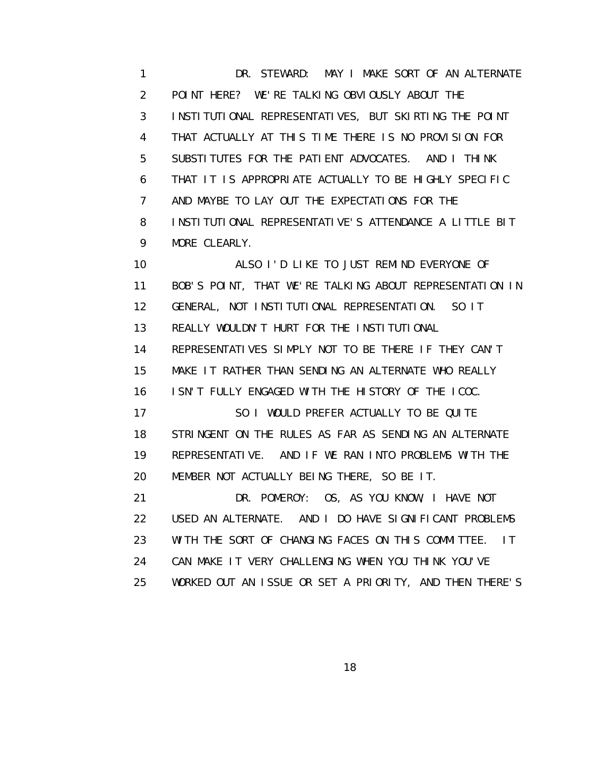1 DR. STEWARD: MAY I MAKE SORT OF AN ALTERNATE 2 POINT HERE? WE'RE TALKING OBVIOUSLY ABOUT THE 3 INSTITUTIONAL REPRESENTATIVES, BUT SKIRTING THE POINT 4 THAT ACTUALLY AT THIS TIME THERE IS NO PROVISION FOR 5 SUBSTITUTES FOR THE PATIENT ADVOCATES. AND I THINK 6 THAT IT IS APPROPRIATE ACTUALLY TO BE HIGHLY SPECIFIC 7 AND MAYBE TO LAY OUT THE EXPECTATIONS FOR THE 8 INSTITUTIONAL REPRESENTATIVE'S ATTENDANCE A LITTLE BIT 9 MORE CLEARLY.

 10 ALSO I'D LIKE TO JUST REMIND EVERYONE OF 11 BOB'S POINT, THAT WE'RE TALKING ABOUT REPRESENTATION IN 12 GENERAL, NOT INSTITUTIONAL REPRESENTATION. SO IT 13 REALLY WOULDN'T HURT FOR THE INSTITUTIONAL 14 REPRESENTATIVES SIMPLY NOT TO BE THERE IF THEY CAN'T 15 MAKE IT RATHER THAN SENDING AN ALTERNATE WHO REALLY 16 ISN'T FULLY ENGAGED WITH THE HISTORY OF THE ICOC. 17 SO I WOULD PREFER ACTUALLY TO BE QUITE 18 STRINGENT ON THE RULES AS FAR AS SENDING AN ALTERNATE 19 REPRESENTATIVE. AND IF WE RAN INTO PROBLEMS WITH THE 20 MEMBER NOT ACTUALLY BEING THERE, SO BE IT. 21 DR. POMEROY: OS, AS YOU KNOW, I HAVE NOT 22 USED AN ALTERNATE. AND I DO HAVE SIGNIFICANT PROBLEMS 23 WITH THE SORT OF CHANGING FACES ON THIS COMMITTEE. IT 24 CAN MAKE IT VERY CHALLENGING WHEN YOU THINK YOU'VE 25 WORKED OUT AN ISSUE OR SET A PRIORITY, AND THEN THERE'S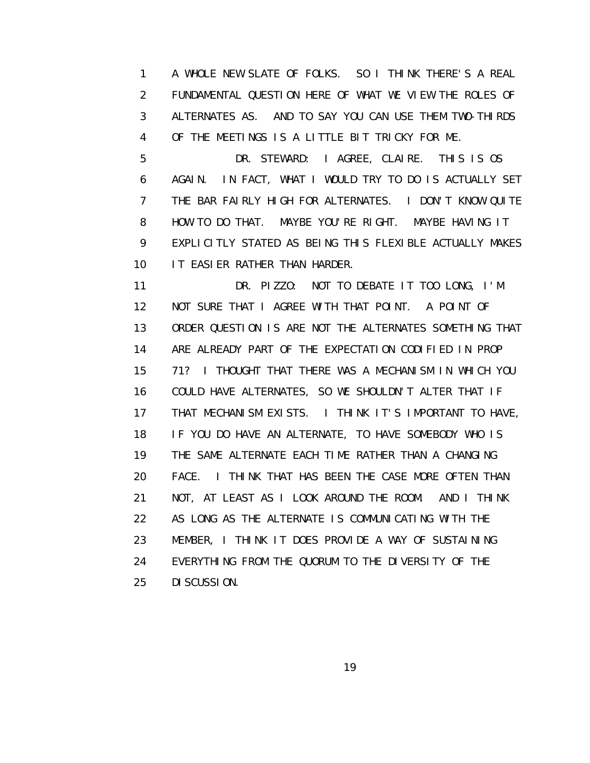1 A WHOLE NEW SLATE OF FOLKS. SO I THINK THERE'S A REAL 2 FUNDAMENTAL QUESTION HERE OF WHAT WE VIEW THE ROLES OF 3 ALTERNATES AS. AND TO SAY YOU CAN USE THEM TWO-THIRDS 4 OF THE MEETINGS IS A LITTLE BIT TRICKY FOR ME.

 5 DR. STEWARD: I AGREE, CLAIRE. THIS IS OS 6 AGAIN. IN FACT, WHAT I WOULD TRY TO DO IS ACTUALLY SET 7 THE BAR FAIRLY HIGH FOR ALTERNATES. I DON'T KNOW QUITE 8 HOW TO DO THAT. MAYBE YOU'RE RIGHT. MAYBE HAVING IT 9 EXPLICITLY STATED AS BEING THIS FLEXIBLE ACTUALLY MAKES 10 IT EASIER RATHER THAN HARDER.

 11 DR. PIZZO: NOT TO DEBATE IT TOO LONG, I'M 12 NOT SURE THAT I AGREE WITH THAT POINT. A POINT OF 13 ORDER QUESTION IS ARE NOT THE ALTERNATES SOMETHING THAT 14 ARE ALREADY PART OF THE EXPECTATION CODIFIED IN PROP 15 71? I THOUGHT THAT THERE WAS A MECHANISM IN WHICH YOU 16 COULD HAVE ALTERNATES, SO WE SHOULDN'T ALTER THAT IF 17 THAT MECHANISM EXISTS. I THINK IT'S IMPORTANT TO HAVE, 18 IF YOU DO HAVE AN ALTERNATE, TO HAVE SOMEBODY WHO IS 19 THE SAME ALTERNATE EACH TIME RATHER THAN A CHANGING 20 FACE. I THINK THAT HAS BEEN THE CASE MORE OFTEN THAN 21 NOT, AT LEAST AS I LOOK AROUND THE ROOM. AND I THINK 22 AS LONG AS THE ALTERNATE IS COMMUNICATING WITH THE 23 MEMBER, I THINK IT DOES PROVIDE A WAY OF SUSTAINING 24 EVERYTHING FROM THE QUORUM TO THE DIVERSITY OF THE 25 DISCUSSION.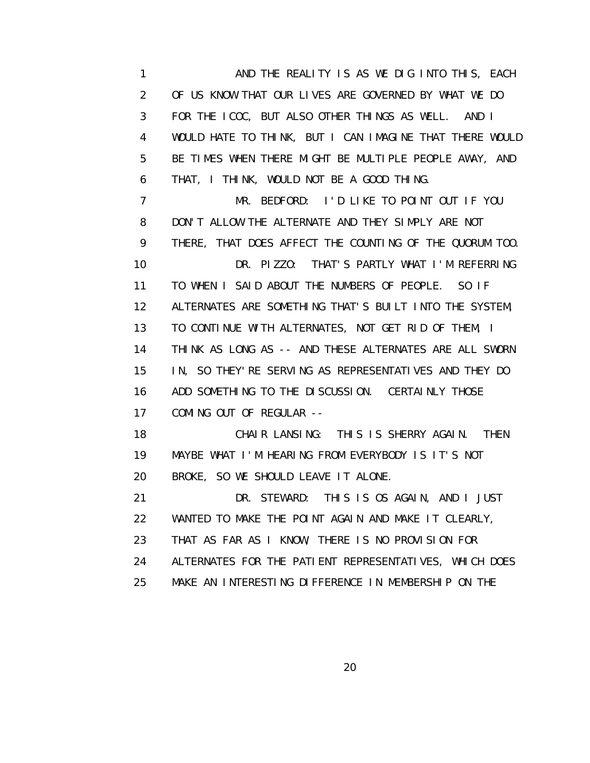1 AND THE REALITY IS AS WE DIG INTO THIS, EACH 2 OF US KNOW THAT OUR LIVES ARE GOVERNED BY WHAT WE DO 3 FOR THE ICOC, BUT ALSO OTHER THINGS AS WELL. AND I 4 WOULD HATE TO THINK, BUT I CAN IMAGINE THAT THERE WOULD 5 BE TIMES WHEN THERE MIGHT BE MULTIPLE PEOPLE AWAY, AND 6 THAT, I THINK, WOULD NOT BE A GOOD THING. 7 MR. BEDFORD: I'D LIKE TO POINT OUT IF YOU 8 DON'T ALLOW THE ALTERNATE AND THEY SIMPLY ARE NOT 9 THERE, THAT DOES AFFECT THE COUNTING OF THE QUORUM TOO. 10 DR. PIZZO: THAT'S PARTLY WHAT I'M REFERRING 11 TO WHEN I SAID ABOUT THE NUMBERS OF PEOPLE. SO IF 12 ALTERNATES ARE SOMETHING THAT'S BUILT INTO THE SYSTEM, 13 TO CONTINUE WITH ALTERNATES, NOT GET RID OF THEM, I 14 THINK AS LONG AS -- AND THESE ALTERNATES ARE ALL SWORN

16 ADD SOMETHING TO THE DISCUSSION. CERTAINLY THOSE 17 COMING OUT OF REGULAR --

15 IN, SO THEY'RE SERVING AS REPRESENTATIVES AND THEY DO

 18 CHAIR LANSING: THIS IS SHERRY AGAIN. THEN 19 MAYBE WHAT I'M HEARING FROM EVERYBODY IS IT'S NOT 20 BROKE, SO WE SHOULD LEAVE IT ALONE.

 21 DR. STEWARD: THIS IS OS AGAIN, AND I JUST 22 WANTED TO MAKE THE POINT AGAIN AND MAKE IT CLEARLY, 23 THAT AS FAR AS I KNOW, THERE IS NO PROVISION FOR 24 ALTERNATES FOR THE PATIENT REPRESENTATIVES, WHICH DOES 25 MAKE AN INTERESTING DIFFERENCE IN MEMBERSHIP ON THE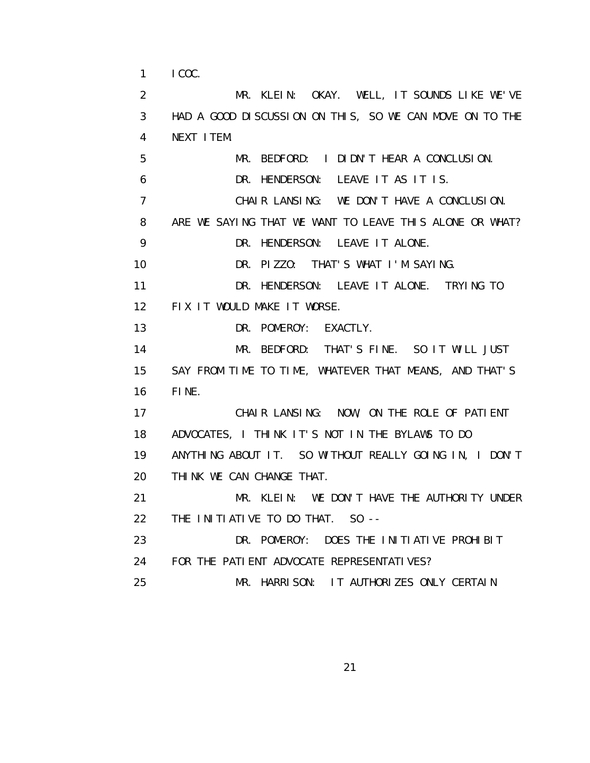1 ICOC.

 2 MR. KLEIN: OKAY. WELL, IT SOUNDS LIKE WE'VE 3 HAD A GOOD DISCUSSION ON THIS, SO WE CAN MOVE ON TO THE 4 NEXT ITEM. 5 MR. BEDFORD: I DIDN'T HEAR A CONCLUSION. 6 DR. HENDERSON: LEAVE IT AS IT IS. 7 CHAIR LANSING: WE DON'T HAVE A CONCLUSION. 8 ARE WE SAYING THAT WE WANT TO LEAVE THIS ALONE OR WHAT? 9 DR. HENDERSON: LEAVE IT ALONE. 10 DR. PIZZO: THAT'S WHAT I'M SAYING. 11 DR. HENDERSON: LEAVE IT ALONE. TRYING TO 12 FIX IT WOULD MAKE IT WORSE. 13 DR. POMEROY: EXACTLY. 14 MR. BEDFORD: THAT'S FINE. SO IT WILL JUST 15 SAY FROM TIME TO TIME, WHATEVER THAT MEANS, AND THAT'S 16 FINE. 17 CHAIR LANSING: NOW, ON THE ROLE OF PATIENT 18 ADVOCATES, I THINK IT'S NOT IN THE BYLAWS TO DO 19 ANYTHING ABOUT IT. SO WITHOUT REALLY GOING IN, I DON'T 20 THINK WE CAN CHANGE THAT. 21 MR. KLEIN: WE DON'T HAVE THE AUTHORITY UNDER 22 THE INITIATIVE TO DO THAT. SO -- 23 DR. POMEROY: DOES THE INITIATIVE PROHIBIT 24 FOR THE PATIENT ADVOCATE REPRESENTATIVES? 25 MR. HARRISON: IT AUTHORIZES ONLY CERTAIN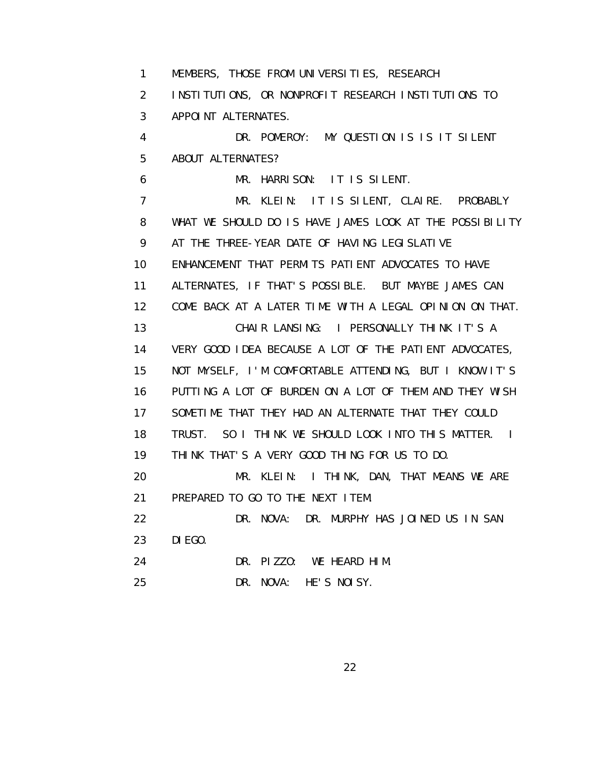1 MEMBERS, THOSE FROM UNIVERSITIES, RESEARCH 2 INSTITUTIONS, OR NONPROFIT RESEARCH INSTITUTIONS TO 3 APPOINT ALTERNATES. 4 DR. POMEROY: MY QUESTION IS IS IT SILENT 5 ABOUT ALTERNATES? 6 MR. HARRISON: IT IS SILENT. 7 MR. KLEIN: IT IS SILENT, CLAIRE. PROBABLY 8 WHAT WE SHOULD DO IS HAVE JAMES LOOK AT THE POSSIBILITY 9 AT THE THREE-YEAR DATE OF HAVING LEGISLATIVE 10 ENHANCEMENT THAT PERMITS PATIENT ADVOCATES TO HAVE 11 ALTERNATES, IF THAT'S POSSIBLE. BUT MAYBE JAMES CAN 12 COME BACK AT A LATER TIME WITH A LEGAL OPINION ON THAT. 13 CHAIR LANSING: I PERSONALLY THINK IT'S A 14 VERY GOOD IDEA BECAUSE A LOT OF THE PATIENT ADVOCATES, 15 NOT MYSELF, I'M COMFORTABLE ATTENDING, BUT I KNOW IT'S 16 PUTTING A LOT OF BURDEN ON A LOT OF THEM AND THEY WISH 17 SOMETIME THAT THEY HAD AN ALTERNATE THAT THEY COULD 18 TRUST. SO I THINK WE SHOULD LOOK INTO THIS MATTER. I 19 THINK THAT'S A VERY GOOD THING FOR US TO DO. 20 MR. KLEIN: I THINK, DAN, THAT MEANS WE ARE 21 PREPARED TO GO TO THE NEXT ITEM. 22 DR. NOVA: DR. MURPHY HAS JOINED US IN SAN 23 DIEGO. 24 DR. PIZZO: WE HEARD HIM. 25 DR. NOVA: HE'S NOISY.

<u>22</u>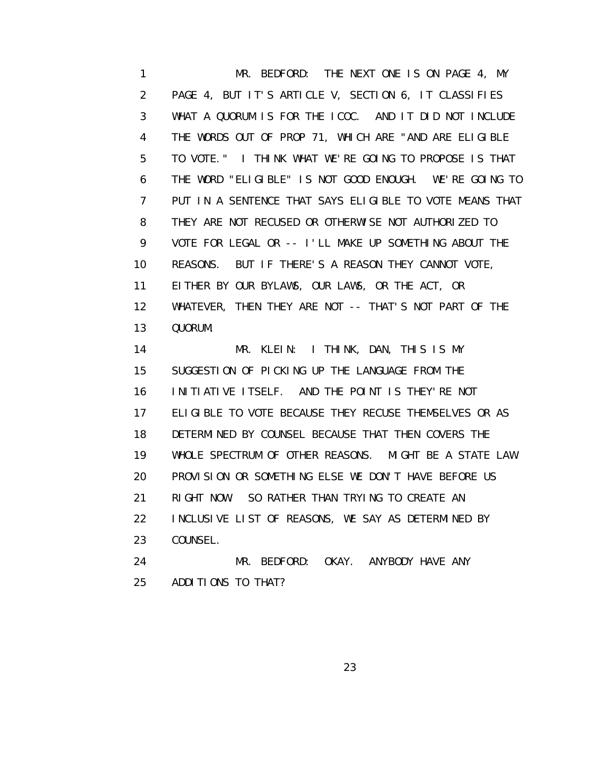1 MR. BEDFORD: THE NEXT ONE IS ON PAGE 4, MY 2 PAGE 4, BUT IT'S ARTICLE V, SECTION 6, IT CLASSIFIES 3 WHAT A QUORUM IS FOR THE ICOC. AND IT DID NOT INCLUDE 4 THE WORDS OUT OF PROP 71, WHICH ARE "AND ARE ELIGIBLE 5 TO VOTE." I THINK WHAT WE'RE GOING TO PROPOSE IS THAT 6 THE WORD "ELIGIBLE" IS NOT GOOD ENOUGH. WE'RE GOING TO 7 PUT IN A SENTENCE THAT SAYS ELIGIBLE TO VOTE MEANS THAT 8 THEY ARE NOT RECUSED OR OTHERWISE NOT AUTHORIZED TO 9 VOTE FOR LEGAL OR -- I'LL MAKE UP SOMETHING ABOUT THE 10 REASONS. BUT IF THERE'S A REASON THEY CANNOT VOTE, 11 EITHER BY OUR BYLAWS, OUR LAWS, OR THE ACT, OR 12 WHATEVER, THEN THEY ARE NOT -- THAT'S NOT PART OF THE 13 QUORUM.

 14 MR. KLEIN: I THINK, DAN, THIS IS MY 15 SUGGESTION OF PICKING UP THE LANGUAGE FROM THE 16 INITIATIVE ITSELF. AND THE POINT IS THEY'RE NOT 17 ELIGIBLE TO VOTE BECAUSE THEY RECUSE THEMSELVES OR AS 18 DETERMINED BY COUNSEL BECAUSE THAT THEN COVERS THE 19 WHOLE SPECTRUM OF OTHER REASONS. MIGHT BE A STATE LAW 20 PROVISION OR SOMETHING ELSE WE DON'T HAVE BEFORE US 21 RIGHT NOW. SO RATHER THAN TRYING TO CREATE AN 22 INCLUSIVE LIST OF REASONS, WE SAY AS DETERMINED BY 23 COUNSEL. 24 MR. BEDFORD: OKAY. ANYBODY HAVE ANY

25 ADDITIONS TO THAT?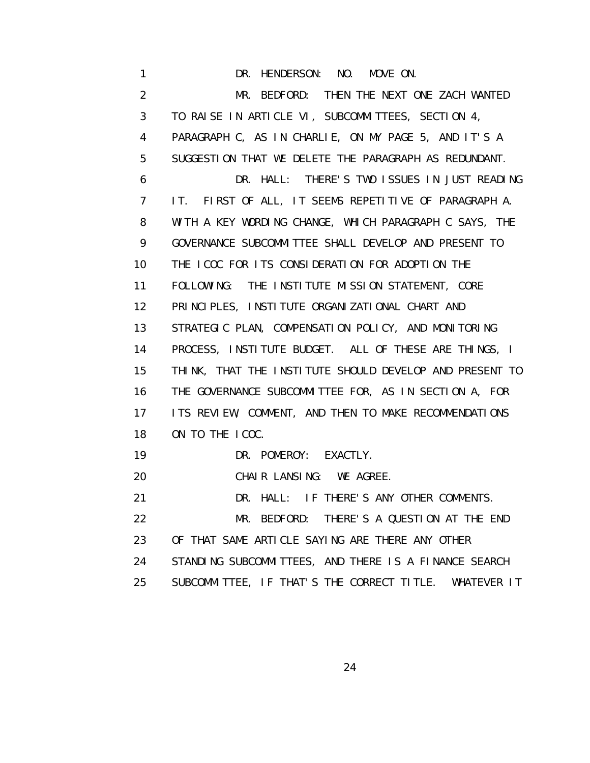1 DR. HENDERSON: NO. MOVE ON. 2 MR. BEDFORD: THEN THE NEXT ONE ZACH WANTED 3 TO RAISE IN ARTICLE VI, SUBCOMMITTEES, SECTION 4, 4 PARAGRAPH C, AS IN CHARLIE, ON MY PAGE 5, AND IT'S A 5 SUGGESTION THAT WE DELETE THE PARAGRAPH AS REDUNDANT. 6 DR. HALL: THERE'S TWO ISSUES IN JUST READING 7 IT. FIRST OF ALL, IT SEEMS REPETITIVE OF PARAGRAPH A. 8 WITH A KEY WORDING CHANGE, WHICH PARAGRAPH C SAYS, THE 9 GOVERNANCE SUBCOMMITTEE SHALL DEVELOP AND PRESENT TO 10 THE ICOC FOR ITS CONSIDERATION FOR ADOPTION THE 11 FOLLOWING: THE INSTITUTE MISSION STATEMENT, CORE 12 PRINCIPLES, INSTITUTE ORGANIZATIONAL CHART AND 13 STRATEGIC PLAN, COMPENSATION POLICY, AND MONITORING 14 PROCESS, INSTITUTE BUDGET. ALL OF THESE ARE THINGS, I 15 THINK, THAT THE INSTITUTE SHOULD DEVELOP AND PRESENT TO 16 THE GOVERNANCE SUBCOMMITTEE FOR, AS IN SECTION A, FOR 17 ITS REVIEW, COMMENT, AND THEN TO MAKE RECOMMENDATIONS 18 ON TO THE ICOC. 19 DR. POMEROY: EXACTLY. 20 CHAIR LANSING: WE AGREE. 21 DR. HALL: IF THERE'S ANY OTHER COMMENTS. 22 MR. BEDFORD: THERE'S A QUESTION AT THE END 23 OF THAT SAME ARTICLE SAYING ARE THERE ANY OTHER 24 STANDING SUBCOMMITTEES, AND THERE IS A FINANCE SEARCH 25 SUBCOMMITTEE, IF THAT'S THE CORRECT TITLE. WHATEVER IT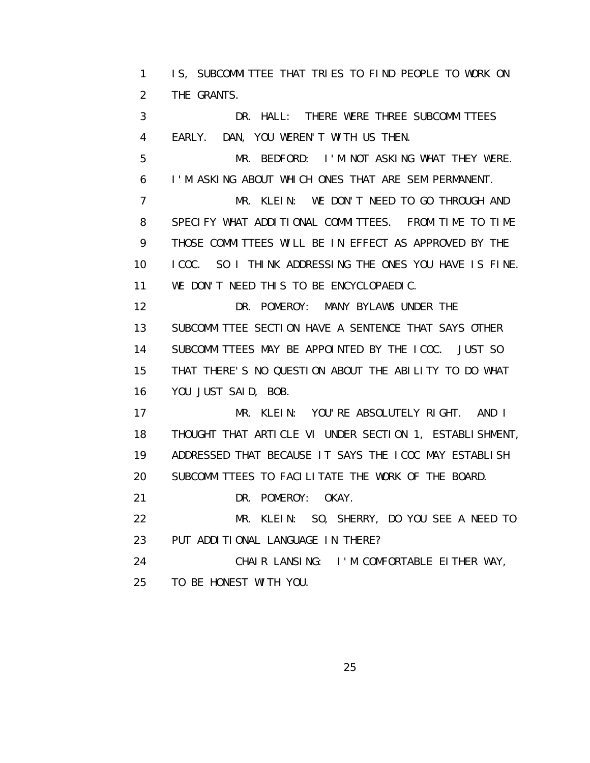1 IS, SUBCOMMITTEE THAT TRIES TO FIND PEOPLE TO WORK ON 2 THE GRANTS.

 3 DR. HALL: THERE WERE THREE SUBCOMMITTEES 4 EARLY. DAN, YOU WEREN'T WITH US THEN.

 5 MR. BEDFORD: I'M NOT ASKING WHAT THEY WERE. 6 I'M ASKING ABOUT WHICH ONES THAT ARE SEMIPERMANENT.

 7 MR. KLEIN: WE DON'T NEED TO GO THROUGH AND 8 SPECIFY WHAT ADDITIONAL COMMITTEES. FROM TIME TO TIME 9 THOSE COMMITTEES WILL BE IN EFFECT AS APPROVED BY THE 10 ICOC. SO I THINK ADDRESSING THE ONES YOU HAVE IS FINE. 11 WE DON'T NEED THIS TO BE ENCYCLOPAEDIC.

12 DR. POMEROY: MANY BYLAWS UNDER THE 13 SUBCOMMITTEE SECTION HAVE A SENTENCE THAT SAYS OTHER 14 SUBCOMMITTEES MAY BE APPOINTED BY THE ICOC. JUST SO 15 THAT THERE'S NO QUESTION ABOUT THE ABILITY TO DO WHAT 16 YOU JUST SAID, BOB.

 17 MR. KLEIN: YOU'RE ABSOLUTELY RIGHT. AND I 18 THOUGHT THAT ARTICLE VI UNDER SECTION 1, ESTABLISHMENT, 19 ADDRESSED THAT BECAUSE IT SAYS THE ICOC MAY ESTABLISH 20 SUBCOMMITTEES TO FACILITATE THE WORK OF THE BOARD.

21 DR. POMEROY: OKAY.

 22 MR. KLEIN: SO, SHERRY, DO YOU SEE A NEED TO 23 PUT ADDITIONAL LANGUAGE IN THERE?

 24 CHAIR LANSING: I'M COMFORTABLE EITHER WAY, 25 TO BE HONEST WITH YOU.

<u>25 and 25 and 26 and 26 and 26 and 26 and 26 and 26 and 26 and 26 and 26 and 26 and 26 and 26 and 26 and 26 and 26 and 26 and 26 and 26 and 26 and 26 and 26 and 26 and 27 and 27 and 27 and 27 and 27 and 27 and 27 and 27 a</u>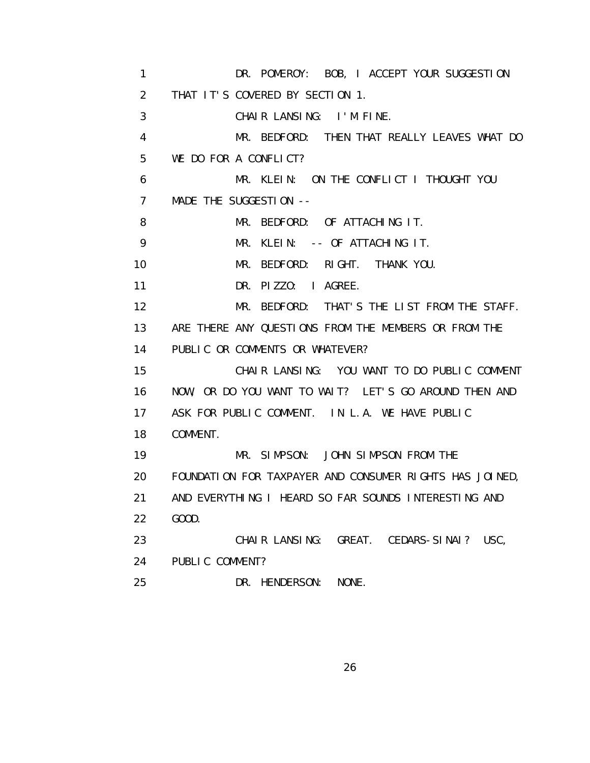1 DR. POMEROY: BOB, I ACCEPT YOUR SUGGESTION 2 THAT IT'S COVERED BY SECTION 1. 3 CHAIR LANSING: I'M FINE. 4 MR. BEDFORD: THEN THAT REALLY LEAVES WHAT DO 5 WE DO FOR A CONFLICT? 6 MR. KLEIN: ON THE CONFLICT I THOUGHT YOU 7 MADE THE SUGGESTION -- 8 MR. BEDFORD: OF ATTACHING IT. 9 MR. KLEIN: -- OF ATTACHING IT. 10 MR. BEDFORD: RIGHT. THANK YOU. 11 DR. PIZZO: I AGREE. 12 MR. BEDFORD: THAT'S THE LIST FROM THE STAFF. 13 ARE THERE ANY QUESTIONS FROM THE MEMBERS OR FROM THE 14 PUBLIC OR COMMENTS OR WHATEVER? 15 CHAIR LANSING: YOU WANT TO DO PUBLIC COMMENT 16 NOW, OR DO YOU WANT TO WAIT? LET'S GO AROUND THEN AND 17 ASK FOR PUBLIC COMMENT. IN L.A. WE HAVE PUBLIC 18 COMMENT. 19 MR. SIMPSON: JOHN SIMPSON FROM THE 20 FOUNDATION FOR TAXPAYER AND CONSUMER RIGHTS HAS JOINED, 21 AND EVERYTHING I HEARD SO FAR SOUNDS INTERESTING AND 22 GOOD. 23 CHAIR LANSING: GREAT. CEDARS-SINAI? USC, 24 PUBLIC COMMENT? 25 DR. HENDERSON: NONE.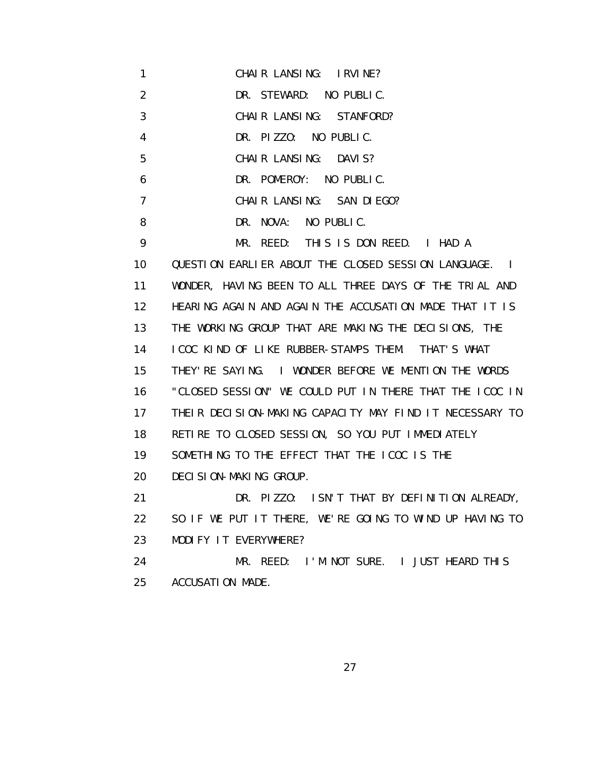- 1 CHAIR LANSING: IRVINE?
- 2 DR. STEWARD: NO PUBLIC.
- 3 CHAIR LANSING: STANFORD?
- 4 DR. PIZZO: NO PUBLIC.
- 5 CHAIR LANSING: DAVIS?
- 6 DR. POMEROY: NO PUBLIC.
- 7 CHAIR LANSING: SAN DIEGO?
- 8 DR. NOVA: NO PUBLIC.

 9 MR. REED: THIS IS DON REED. I HAD A 10 QUESTION EARLIER ABOUT THE CLOSED SESSION LANGUAGE. I 11 WONDER, HAVING BEEN TO ALL THREE DAYS OF THE TRIAL AND 12 HEARING AGAIN AND AGAIN THE ACCUSATION MADE THAT IT IS 13 THE WORKING GROUP THAT ARE MAKING THE DECISIONS, THE 14 ICOC KIND OF LIKE RUBBER-STAMPS THEM. THAT'S WHAT 15 THEY'RE SAYING. I WONDER BEFORE WE MENTION THE WORDS 16 "CLOSED SESSION" WE COULD PUT IN THERE THAT THE ICOC IN 17 THEIR DECISION-MAKING CAPACITY MAY FIND IT NECESSARY TO 18 RETIRE TO CLOSED SESSION, SO YOU PUT IMMEDIATELY 19 SOMETHING TO THE EFFECT THAT THE ICOC IS THE 20 DECISION-MAKING GROUP. 21 DR. PIZZO: ISN'T THAT BY DEFINITION ALREADY, 22 SO IF WE PUT IT THERE, WE'RE GOING TO WIND UP HAVING TO 23 MODIFY IT EVERYWHERE?

 24 MR. REED: I'M NOT SURE. I JUST HEARD THIS 25 ACCUSATION MADE.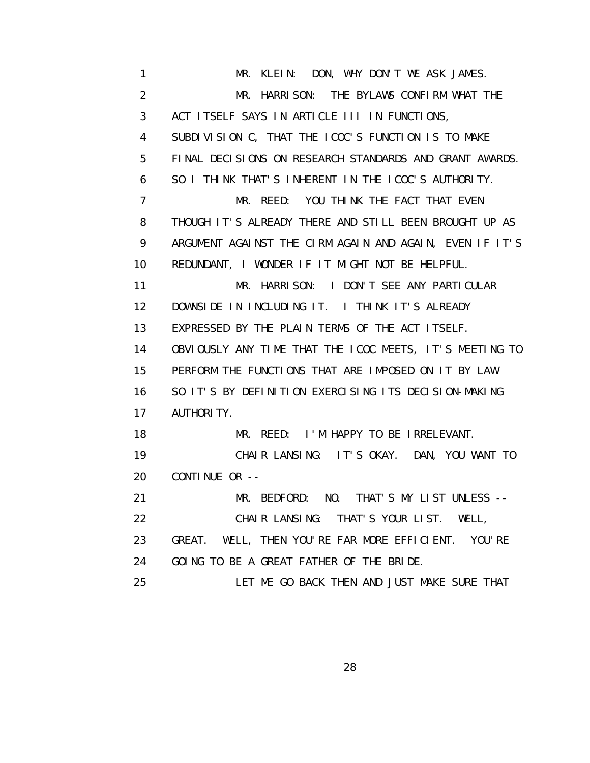1 MR. KLEIN: DON, WHY DON'T WE ASK JAMES. 2 MR. HARRISON: THE BYLAWS CONFIRM WHAT THE 3 ACT ITSELF SAYS IN ARTICLE III IN FUNCTIONS, 4 SUBDIVISION C, THAT THE ICOC'S FUNCTION IS TO MAKE 5 FINAL DECISIONS ON RESEARCH STANDARDS AND GRANT AWARDS. 6 SO I THINK THAT'S INHERENT IN THE ICOC'S AUTHORITY. 7 MR. REED: YOU THINK THE FACT THAT EVEN 8 THOUGH IT'S ALREADY THERE AND STILL BEEN BROUGHT UP AS 9 ARGUMENT AGAINST THE CIRM AGAIN AND AGAIN, EVEN IF IT'S 10 REDUNDANT, I WONDER IF IT MIGHT NOT BE HELPFUL. 11 MR. HARRISON: I DON'T SEE ANY PARTICULAR 12 DOWNSIDE IN INCLUDING IT. I THINK IT'S ALREADY 13 EXPRESSED BY THE PLAIN TERMS OF THE ACT ITSELF. 14 OBVIOUSLY ANY TIME THAT THE ICOC MEETS, IT'S MEETING TO 15 PERFORM THE FUNCTIONS THAT ARE IMPOSED ON IT BY LAW. 16 SO IT'S BY DEFINITION EXERCISING ITS DECISION-MAKING 17 AUTHORITY. 18 MR. REED: I'M HAPPY TO BE IRRELEVANT. 19 CHAIR LANSING: IT'S OKAY. DAN, YOU WANT TO 20 CONTINUE OR -- 21 MR. BEDFORD: NO. THAT'S MY LIST UNLESS -- 22 CHAIR LANSING: THAT'S YOUR LIST. WELL, 23 GREAT. WELL, THEN YOU'RE FAR MORE EFFICIENT. YOU'RE 24 GOING TO BE A GREAT FATHER OF THE BRIDE. 25 LET ME GO BACK THEN AND JUST MAKE SURE THAT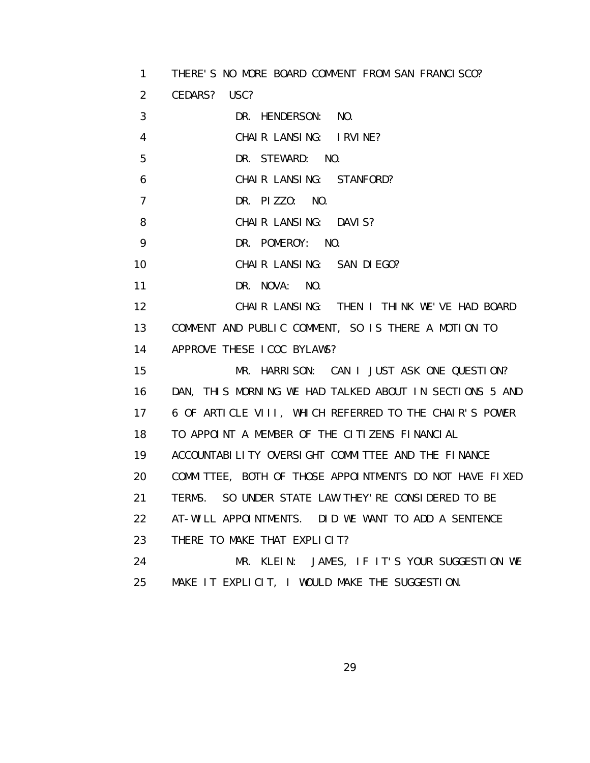1 THERE'S NO MORE BOARD COMMENT FROM SAN FRANCISCO?

2 CEDARS? USC?

3 DR. HENDERSON: NO.

4 CHAIR LANSING: IRVINE?

5 DR. STEWARD: NO.

6 CHAIR LANSING: STANFORD?

7 DR. PIZZO: NO.

8 CHAIR LANSING: DAVIS?

9 DR. POMEROY: NO.

10 CHAIR LANSING: SAN DIEGO?

11 DR. NOVA: NO.

12 CHAIR LANSING: THEN I THINK WE'VE HAD BOARD

13 COMMENT AND PUBLIC COMMENT, SO IS THERE A MOTION TO

14 APPROVE THESE ICOC BYLAWS?

 15 MR. HARRISON: CAN I JUST ASK ONE QUESTION? 16 DAN, THIS MORNING WE HAD TALKED ABOUT IN SECTIONS 5 AND 17 6 OF ARTICLE VIII, WHICH REFERRED TO THE CHAIR'S POWER 18 TO APPOINT A MEMBER OF THE CITIZENS FINANCIAL 19 ACCOUNTABILITY OVERSIGHT COMMITTEE AND THE FINANCE 20 COMMITTEE, BOTH OF THOSE APPOINTMENTS DO NOT HAVE FIXED 21 TERMS. SO UNDER STATE LAW THEY'RE CONSIDERED TO BE 22 AT-WILL APPOINTMENTS. DID WE WANT TO ADD A SENTENCE 23 THERE TO MAKE THAT EXPLICIT? 24 MR. KLEIN: JAMES, IF IT'S YOUR SUGGESTION WE 25 MAKE IT EXPLICIT, I WOULD MAKE THE SUGGESTION.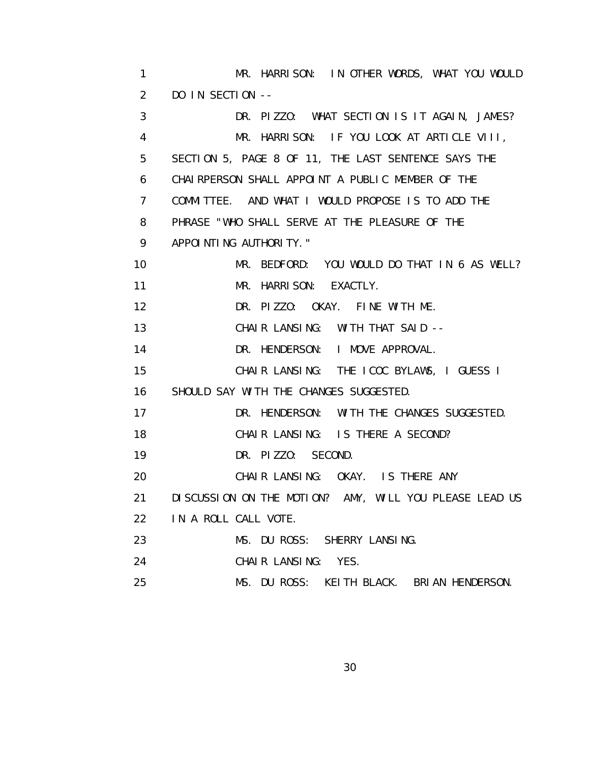1 MR. HARRISON: IN OTHER WORDS, WHAT YOU WOULD 2 DO IN SECTION -- 3 DR. PIZZO: WHAT SECTION IS IT AGAIN, JAMES? 4 MR. HARRISON: IF YOU LOOK AT ARTICLE VIII, 5 SECTION 5, PAGE 8 OF 11, THE LAST SENTENCE SAYS THE 6 CHAIRPERSON SHALL APPOINT A PUBLIC MEMBER OF THE 7 COMMITTEE. AND WHAT I WOULD PROPOSE IS TO ADD THE 8 PHRASE "WHO SHALL SERVE AT THE PLEASURE OF THE 9 APPOINTING AUTHORITY." 10 MR. BEDFORD: YOU WOULD DO THAT IN 6 AS WELL? 11 MR. HARRISON: EXACTLY. 12 DR. PIZZO: OKAY. FINE WITH ME. 13 CHAIR LANSING: WITH THAT SAID -- 14 DR. HENDERSON: I MOVE APPROVAL. 15 CHAIR LANSING: THE ICOC BYLAWS, I GUESS I 16 SHOULD SAY WITH THE CHANGES SUGGESTED. 17 DR. HENDERSON: WITH THE CHANGES SUGGESTED. 18 CHAIR LANSING: IS THERE A SECOND? 19 DR. PIZZO: SECOND. 20 CHAIR LANSING: OKAY. IS THERE ANY 21 DISCUSSION ON THE MOTION? AMY, WILL YOU PLEASE LEAD US 22 IN A ROLL CALL VOTE. 23 MS. DU ROSS: SHERRY LANSING. 24 CHAIR LANSING: YES. 25 MS. DU ROSS: KEITH BLACK. BRIAN HENDERSON.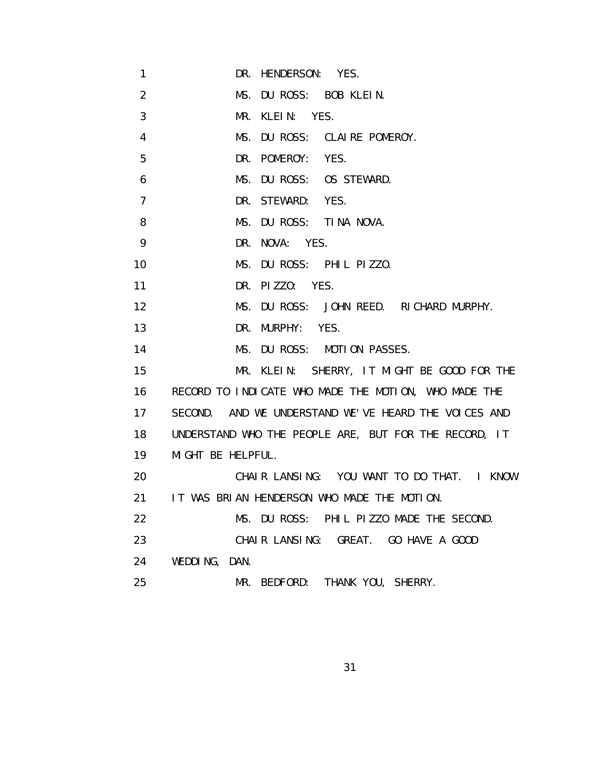- 1 DR. HENDERSON: YES.
- 2 MS. DU ROSS: BOB KLEIN.
- 3 MR. KLEIN: YES.
- 4 MS. DU ROSS: CLAIRE POMEROY.
- 5 DR. POMEROY: YES.
- 6 MS. DU ROSS: OS STEWARD.
- 7 DR. STEWARD: YES.
- 8 MS. DU ROSS: TINA NOVA.
- 9 DR. NOVA: YES.
- 10 MS. DU ROSS: PHIL PIZZO.
- 11 DR. PIZZO: YES.
- 12 MS. DU ROSS: JOHN REED. RICHARD MURPHY.
- 13 DR. MURPHY: YES.
- 14 MS. DU ROSS: MOTION PASSES.
- 15 MR. KLEIN: SHERRY, IT MIGHT BE GOOD FOR THE 16 RECORD TO INDICATE WHO MADE THE MOTION, WHO MADE THE 17 SECOND. AND WE UNDERSTAND WE'VE HEARD THE VOICES AND 18 UNDERSTAND WHO THE PEOPLE ARE, BUT FOR THE RECORD, IT 19 MIGHT BE HELPFUL.
- 20 CHAIR LANSING: YOU WANT TO DO THAT. I KNOW 21 IT WAS BRIAN HENDERSON WHO MADE THE MOTION. 22 MS. DU ROSS: PHIL PIZZO MADE THE SECOND.
- 23 CHAIR LANSING: GREAT. GO HAVE A GOOD 24 WEDDING, DAN.
- 25 MR. BEDFORD: THANK YOU, SHERRY.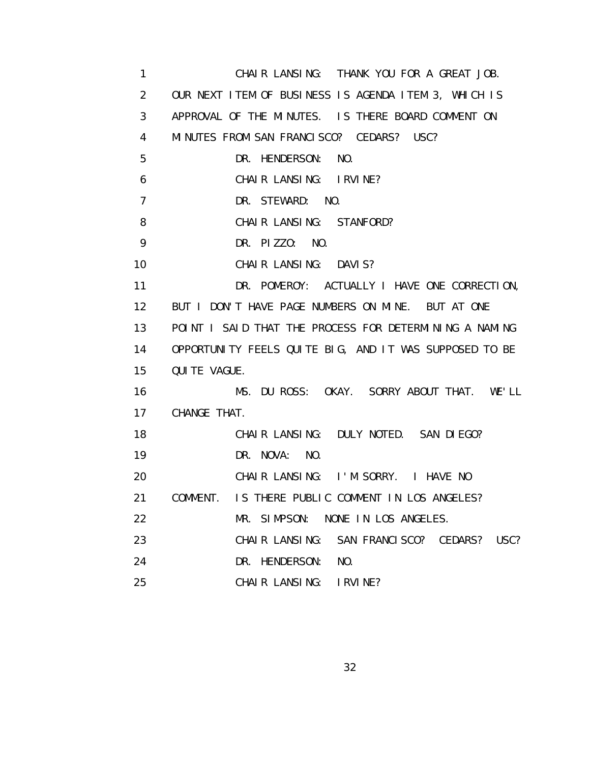1 CHAIR LANSING: THANK YOU FOR A GREAT JOB. 2 OUR NEXT ITEM OF BUSINESS IS AGENDA ITEM 3, WHICH IS 3 APPROVAL OF THE MINUTES. IS THERE BOARD COMMENT ON 4 MINUTES FROM SAN FRANCISCO? CEDARS? USC? 5 DR. HENDERSON: NO. 6 CHAIR LANSING: IRVINE? 7 DR. STEWARD: NO. 8 CHAIR LANSING: STANFORD? 9 DR. PIZZO: NO. 10 CHAIR LANSING: DAVIS? 11 DR. POMEROY: ACTUALLY I HAVE ONE CORRECTION, 12 BUT I DON'T HAVE PAGE NUMBERS ON MINE. BUT AT ONE 13 POINT I SAID THAT THE PROCESS FOR DETERMINING A NAMING 14 OPPORTUNITY FEELS QUITE BIG, AND IT WAS SUPPOSED TO BE 15 QUITE VAGUE. 16 MS. DU ROSS: OKAY. SORRY ABOUT THAT. WE'LL 17 CHANGE THAT. 18 CHAIR LANSING: DULY NOTED. SAN DIEGO? 19 DR. NOVA: NO. 20 CHAIR LANSING: I'M SORRY. I HAVE NO 21 COMMENT. IS THERE PUBLIC COMMENT IN LOS ANGELES? 22 MR. SIMPSON: NONE IN LOS ANGELES. 23 CHAIR LANSING: SAN FRANCISCO? CEDARS? USC? 24 DR. HENDERSON: NO. 25 CHAIR LANSING: IRVINE?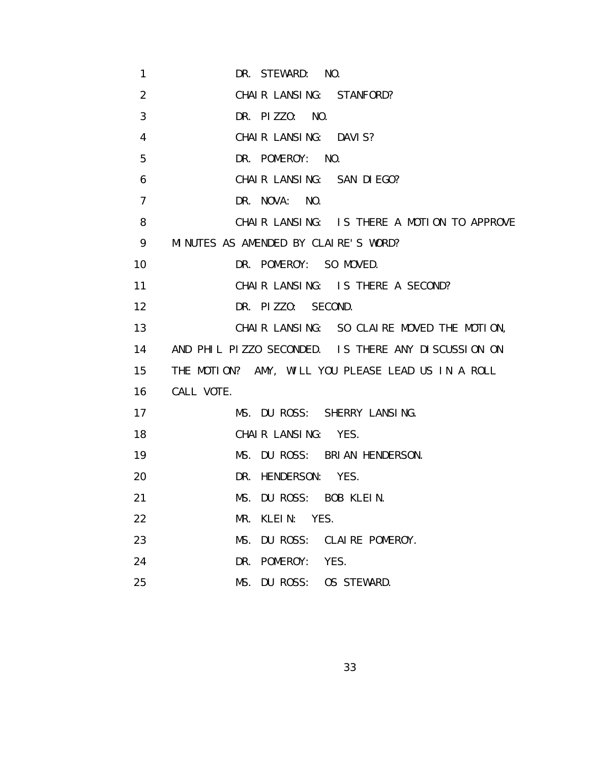| 1              | DR. STEWARD: NO.                                    |
|----------------|-----------------------------------------------------|
| $\overline{2}$ | CHAIR LANSING: STANFORD?                            |
| 3              | DR. PIZZO: NO.                                      |
| 4              | CHAIR LANSING: DAVIS?                               |
| 5              | DR. POMEROY: NO.                                    |
| 6              | CHAIR LANSING: SAN DIEGO?                           |
| 7              | DR. NOVA: NO.                                       |
| 8              | CHAIR LANSING: IS THERE A MOTION TO APPROVE         |
| 9              | MINUTES AS AMENDED BY CLAIRE'S WORD?                |
| 10             | DR. POMEROY: SO MOVED.                              |
| 11             | CHAIR LANSING: IS THERE A SECOND?                   |
| 12             | DR. PIZZO: SECOND.                                  |
| 13             | CHAIR LANSING: SO CLAIRE MOVED THE MOTION,          |
| 14             | AND PHIL PIZZO SECONDED. IS THERE ANY DISCUSSION ON |
| 15             | THE MOTION? AMY, WILL YOU PLEASE LEAD US IN A ROLL  |
| 16             | CALL VOTE.                                          |
| 17             | MS. DU ROSS: SHERRY LANSING.                        |
| 18             | CHAIR LANSING: YES.                                 |
| 19             | MS. DU ROSS: BRIAN HENDERSON.                       |
| 20             | DR. HENDERSON: YES.                                 |
| 21             | MS. DU ROSS: BOB KLEIN.                             |
| 22             | MR. KLEIN: YES.                                     |
| 23             | MS. DU ROSS: CLAIRE POMEROY.                        |
| 24             | DR. POMEROY: YES.                                   |
| 25             | MS. DU ROSS: OS STEWARD.                            |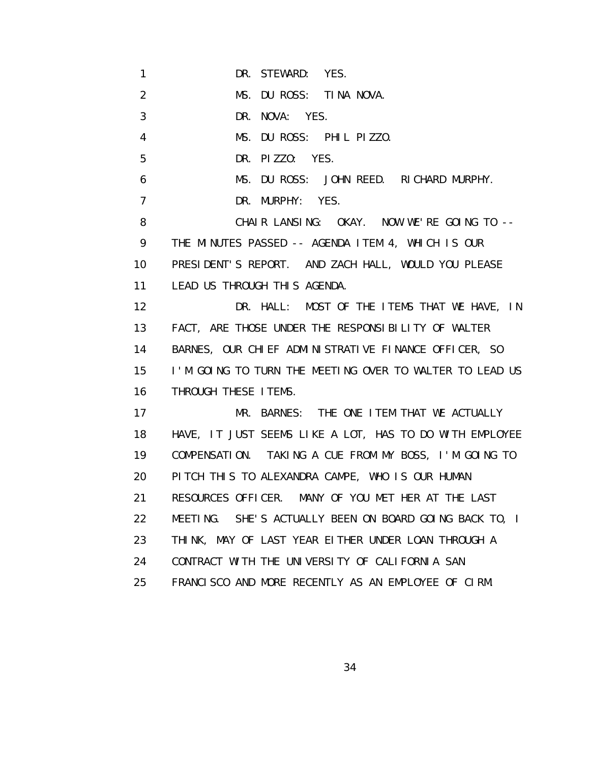1 DR. STEWARD: YES.

2 MS. DU ROSS: TINA NOVA.

3 DR. NOVA: YES.

4 MS. DU ROSS: PHIL PIZZO.

5 DR. PIZZO: YES.

6 MS. DU ROSS: JOHN REED. RICHARD MURPHY.

7 DR. MURPHY: YES.

8 CHAIR LANSING: OKAY. NOW WE'RE GOING TO -- 9 THE MINUTES PASSED -- AGENDA ITEM 4, WHICH IS OUR 10 PRESIDENT'S REPORT. AND ZACH HALL, WOULD YOU PLEASE 11 LEAD US THROUGH THIS AGENDA.

12 **DR. HALL: MOST OF THE ITEMS THAT WE HAVE, IN**  13 FACT, ARE THOSE UNDER THE RESPONSIBILITY OF WALTER 14 BARNES, OUR CHIEF ADMINISTRATIVE FINANCE OFFICER, SO 15 I'M GOING TO TURN THE MEETING OVER TO WALTER TO LEAD US 16 THROUGH THESE ITEMS.

17 MR. BARNES: THE ONE ITEM THAT WE ACTUALLY 18 HAVE, IT JUST SEEMS LIKE A LOT, HAS TO DO WITH EMPLOYEE 19 COMPENSATION. TAKING A CUE FROM MY BOSS, I'M GOING TO 20 PITCH THIS TO ALEXANDRA CAMPE, WHO IS OUR HUMAN 21 RESOURCES OFFICER. MANY OF YOU MET HER AT THE LAST 22 MEETING. SHE'S ACTUALLY BEEN ON BOARD GOING BACK TO, I 23 THINK, MAY OF LAST YEAR EITHER UNDER LOAN THROUGH A 24 CONTRACT WITH THE UNIVERSITY OF CALIFORNIA SAN 25 FRANCISCO AND MORE RECENTLY AS AN EMPLOYEE OF CIRM.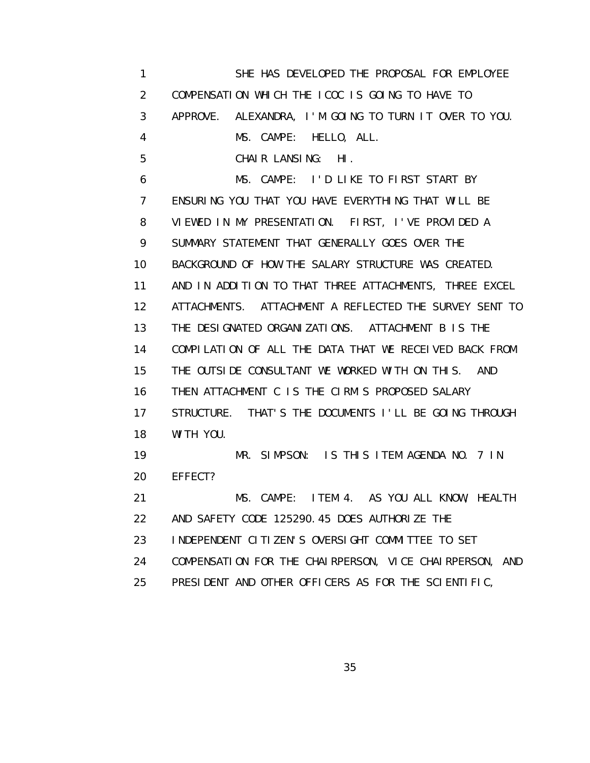1 SHE HAS DEVELOPED THE PROPOSAL FOR EMPLOYEE 2 COMPENSATION WHICH THE ICOC IS GOING TO HAVE TO 3 APPROVE. ALEXANDRA, I'M GOING TO TURN IT OVER TO YOU. 4 MS. CAMPE: HELLO, ALL. 5 CHAIR LANSING: HI. 6 MS. CAMPE: I'D LIKE TO FIRST START BY 7 ENSURING YOU THAT YOU HAVE EVERYTHING THAT WILL BE 8 VIEWED IN MY PRESENTATION. FIRST, I'VE PROVIDED A 9 SUMMARY STATEMENT THAT GENERALLY GOES OVER THE 10 BACKGROUND OF HOW THE SALARY STRUCTURE WAS CREATED. 11 AND IN ADDITION TO THAT THREE ATTACHMENTS, THREE EXCEL 12 ATTACHMENTS. ATTACHMENT A REFLECTED THE SURVEY SENT TO 13 THE DESIGNATED ORGANIZATIONS. ATTACHMENT B IS THE 14 COMPILATION OF ALL THE DATA THAT WE RECEIVED BACK FROM 15 THE OUTSIDE CONSULTANT WE WORKED WITH ON THIS. AND 16 THEN ATTACHMENT C IS THE CIRM'S PROPOSED SALARY 17 STRUCTURE. THAT'S THE DOCUMENTS I'LL BE GOING THROUGH 18 WITH YOU. 19 MR. SIMPSON: IS THIS ITEM AGENDA NO. 7 IN 20 EFFECT? 21 MS. CAMPE: ITEM 4. AS YOU ALL KNOW, HEALTH 22 AND SAFETY CODE 125290.45 DOES AUTHORIZE THE 23 INDEPENDENT CITIZEN'S OVERSIGHT COMMITTEE TO SET 24 COMPENSATION FOR THE CHAIRPERSON, VICE CHAIRPERSON, AND 25 PRESIDENT AND OTHER OFFICERS AS FOR THE SCIENTIFIC,

<u>35 and 2012 and 2013 and 2014 and 2014 and 2014 and 2014 and 2014 and 2014 and 2014 and 2014 and 2014 and 201</u>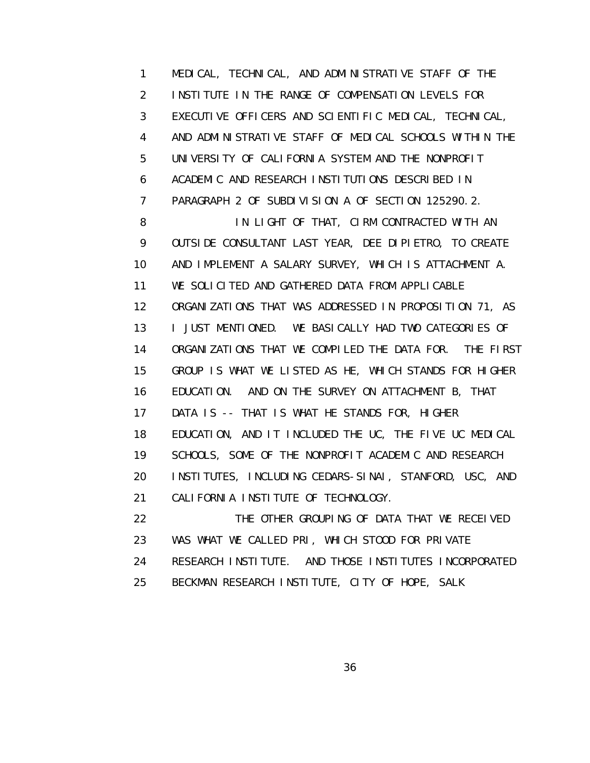1 MEDICAL, TECHNICAL, AND ADMINISTRATIVE STAFF OF THE 2 INSTITUTE IN THE RANGE OF COMPENSATION LEVELS FOR 3 EXECUTIVE OFFICERS AND SCIENTIFIC MEDICAL, TECHNICAL, 4 AND ADMINISTRATIVE STAFF OF MEDICAL SCHOOLS WITHIN THE 5 UNIVERSITY OF CALIFORNIA SYSTEM AND THE NONPROFIT 6 ACADEMIC AND RESEARCH INSTITUTIONS DESCRIBED IN 7 PARAGRAPH 2 OF SUBDIVISION A OF SECTION 125290.2. 8 IN LIGHT OF THAT, CIRM CONTRACTED WITH AN 9 OUTSIDE CONSULTANT LAST YEAR, DEE DIPIETRO, TO CREATE 10 AND IMPLEMENT A SALARY SURVEY, WHICH IS ATTACHMENT A. 11 WE SOLICITED AND GATHERED DATA FROM APPLICABLE 12 ORGANIZATIONS THAT WAS ADDRESSED IN PROPOSITION 71, AS 13 I JUST MENTIONED. WE BASICALLY HAD TWO CATEGORIES OF 14 ORGANIZATIONS THAT WE COMPILED THE DATA FOR. THE FIRST 15 GROUP IS WHAT WE LISTED AS HE, WHICH STANDS FOR HIGHER 16 EDUCATION. AND ON THE SURVEY ON ATTACHMENT B, THAT 17 DATA IS -- THAT IS WHAT HE STANDS FOR, HIGHER 18 EDUCATION, AND IT INCLUDED THE UC, THE FIVE UC MEDICAL 19 SCHOOLS, SOME OF THE NONPROFIT ACADEMIC AND RESEARCH 20 INSTITUTES, INCLUDING CEDARS-SINAI, STANFORD, USC, AND 21 CALIFORNIA INSTITUTE OF TECHNOLOGY. 22 THE OTHER GROUPING OF DATA THAT WE RECEIVED 23 WAS WHAT WE CALLED PRI, WHICH STOOD FOR PRIVATE 24 RESEARCH INSTITUTE. AND THOSE INSTITUTES INCORPORATED

25 BECKMAN RESEARCH INSTITUTE, CITY OF HOPE, SALK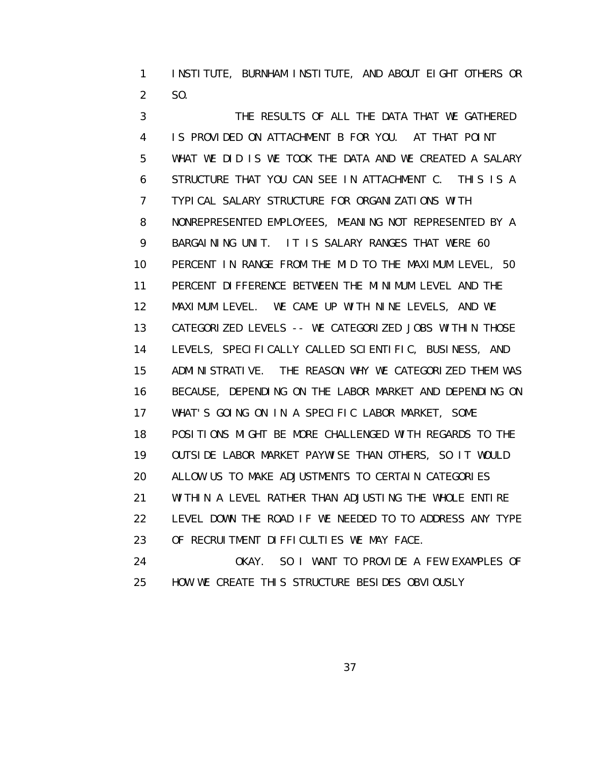1 INSTITUTE, BURNHAM INSTITUTE, AND ABOUT EIGHT OTHERS OR 2 SO.

 3 THE RESULTS OF ALL THE DATA THAT WE GATHERED 4 IS PROVIDED ON ATTACHMENT B FOR YOU. AT THAT POINT 5 WHAT WE DID IS WE TOOK THE DATA AND WE CREATED A SALARY 6 STRUCTURE THAT YOU CAN SEE IN ATTACHMENT C. THIS IS A 7 TYPICAL SALARY STRUCTURE FOR ORGANIZATIONS WITH 8 NONREPRESENTED EMPLOYEES, MEANING NOT REPRESENTED BY A 9 BARGAINING UNIT. IT IS SALARY RANGES THAT WERE 60 10 PERCENT IN RANGE FROM THE MID TO THE MAXIMUM LEVEL, 50 11 PERCENT DIFFERENCE BETWEEN THE MINIMUM LEVEL AND THE 12 MAXIMUM LEVEL. WE CAME UP WITH NINE LEVELS, AND WE 13 CATEGORIZED LEVELS -- WE CATEGORIZED JOBS WITHIN THOSE 14 LEVELS, SPECIFICALLY CALLED SCIENTIFIC, BUSINESS, AND 15 ADMINISTRATIVE. THE REASON WHY WE CATEGORIZED THEM WAS 16 BECAUSE, DEPENDING ON THE LABOR MARKET AND DEPENDING ON 17 WHAT'S GOING ON IN A SPECIFIC LABOR MARKET, SOME 18 POSITIONS MIGHT BE MORE CHALLENGED WITH REGARDS TO THE 19 OUTSIDE LABOR MARKET PAYWISE THAN OTHERS, SO IT WOULD 20 ALLOW US TO MAKE ADJUSTMENTS TO CERTAIN CATEGORIES 21 WITHIN A LEVEL RATHER THAN ADJUSTING THE WHOLE ENTIRE 22 LEVEL DOWN THE ROAD IF WE NEEDED TO TO ADDRESS ANY TYPE 23 OF RECRUITMENT DIFFICULTIES WE MAY FACE. 24 OKAY. SO I WANT TO PROVIDE A FEW EXAMPLES OF

25 HOW WE CREATE THIS STRUCTURE BESIDES OBVIOUSLY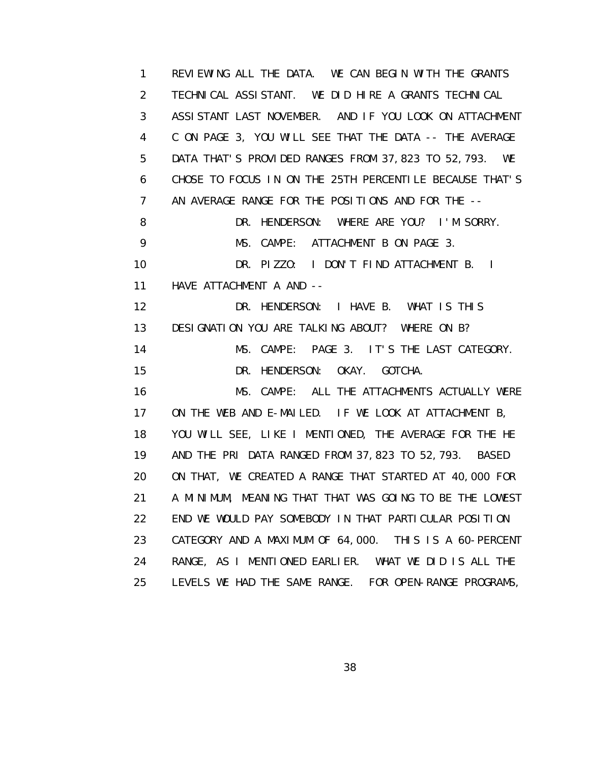1 REVIEWING ALL THE DATA. WE CAN BEGIN WITH THE GRANTS 2 TECHNICAL ASSISTANT. WE DID HIRE A GRANTS TECHNICAL 3 ASSISTANT LAST NOVEMBER. AND IF YOU LOOK ON ATTACHMENT 4 C ON PAGE 3, YOU WILL SEE THAT THE DATA -- THE AVERAGE 5 DATA THAT'S PROVIDED RANGES FROM 37,823 TO 52,793. WE 6 CHOSE TO FOCUS IN ON THE 25TH PERCENTILE BECAUSE THAT'S 7 AN AVERAGE RANGE FOR THE POSITIONS AND FOR THE -- 8 DR. HENDERSON: WHERE ARE YOU? I'M SORRY. 9 MS. CAMPE: ATTACHMENT B ON PAGE 3. 10 DR. PIZZO: I DON'T FIND ATTACHMENT B. I 11 HAVE ATTACHMENT A AND -- 12 DR. HENDERSON: I HAVE B. WHAT IS THIS 13 DESIGNATION YOU ARE TALKING ABOUT? WHERE ON B? 14 MS. CAMPE: PAGE 3. IT'S THE LAST CATEGORY. 15 DR. HENDERSON: OKAY. GOTCHA. 16 MS. CAMPE: ALL THE ATTACHMENTS ACTUALLY WERE 17 ON THE WEB AND E-MAILED. IF WE LOOK AT ATTACHMENT B, 18 YOU WILL SEE, LIKE I MENTIONED, THE AVERAGE FOR THE HE 19 AND THE PRI DATA RANGED FROM 37,823 TO 52,793. BASED 20 ON THAT, WE CREATED A RANGE THAT STARTED AT 40,000 FOR 21 A MINIMUM, MEANING THAT THAT WAS GOING TO BE THE LOWEST 22 END WE WOULD PAY SOMEBODY IN THAT PARTICULAR POSITION 23 CATEGORY AND A MAXIMUM OF 64,000. THIS IS A 60-PERCENT 24 RANGE, AS I MENTIONED EARLIER. WHAT WE DID IS ALL THE 25 LEVELS WE HAD THE SAME RANGE. FOR OPEN-RANGE PROGRAMS,

<u>38 and 2012 and 2013 and 2014 and 2014 and 2014 and 2014 and 2014 and 2014 and 2014 and 2014 and 2014 and 201</u>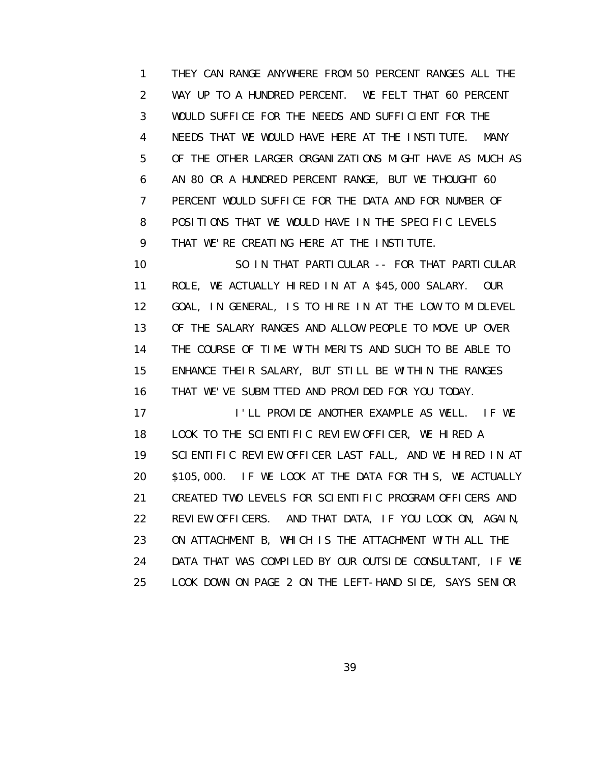1 THEY CAN RANGE ANYWHERE FROM 50 PERCENT RANGES ALL THE 2 WAY UP TO A HUNDRED PERCENT. WE FELT THAT 60 PERCENT 3 WOULD SUFFICE FOR THE NEEDS AND SUFFICIENT FOR THE 4 NEEDS THAT WE WOULD HAVE HERE AT THE INSTITUTE. MANY 5 OF THE OTHER LARGER ORGANIZATIONS MIGHT HAVE AS MUCH AS 6 AN 80 OR A HUNDRED PERCENT RANGE, BUT WE THOUGHT 60 7 PERCENT WOULD SUFFICE FOR THE DATA AND FOR NUMBER OF 8 POSITIONS THAT WE WOULD HAVE IN THE SPECIFIC LEVELS 9 THAT WE'RE CREATING HERE AT THE INSTITUTE.

 10 SO IN THAT PARTICULAR -- FOR THAT PARTICULAR 11 ROLE, WE ACTUALLY HIRED IN AT A \$45,000 SALARY. OUR 12 GOAL, IN GENERAL, IS TO HIRE IN AT THE LOW TO MIDLEVEL 13 OF THE SALARY RANGES AND ALLOW PEOPLE TO MOVE UP OVER 14 THE COURSE OF TIME WITH MERITS AND SUCH TO BE ABLE TO 15 ENHANCE THEIR SALARY, BUT STILL BE WITHIN THE RANGES 16 THAT WE'VE SUBMITTED AND PROVIDED FOR YOU TODAY. 17 **I'LL PROVIDE ANOTHER EXAMPLE AS WELL.** IF WE 18 LOOK TO THE SCIENTIFIC REVIEW OFFICER, WE HIRED A 19 SCIENTIFIC REVIEW OFFICER LAST FALL, AND WE HIRED IN AT 20 \$105,000. IF WE LOOK AT THE DATA FOR THIS, WE ACTUALLY 21 CREATED TWO LEVELS FOR SCIENTIFIC PROGRAM OFFICERS AND

 22 REVIEW OFFICERS. AND THAT DATA, IF YOU LOOK ON, AGAIN, 23 ON ATTACHMENT B, WHICH IS THE ATTACHMENT WITH ALL THE 24 DATA THAT WAS COMPILED BY OUR OUTSIDE CONSULTANT, IF WE 25 LOOK DOWN ON PAGE 2 ON THE LEFT-HAND SIDE, SAYS SENIOR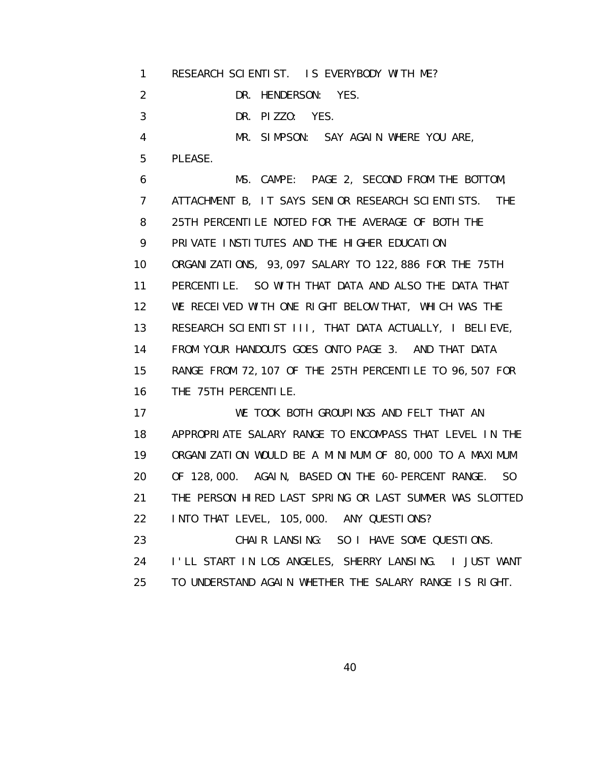1 RESEARCH SCIENTIST. IS EVERYBODY WITH ME?

2 DR. HENDERSON: YES.

3 DR. PIZZO: YES.

4 MR. SIMPSON: SAY AGAIN WHERE YOU ARE,

5 PLEASE.

 6 MS. CAMPE: PAGE 2, SECOND FROM THE BOTTOM, 7 ATTACHMENT B, IT SAYS SENIOR RESEARCH SCIENTISTS. THE 8 25TH PERCENTILE NOTED FOR THE AVERAGE OF BOTH THE 9 PRIVATE INSTITUTES AND THE HIGHER EDUCATION 10 ORGANIZATIONS, 93,097 SALARY TO 122,886 FOR THE 75TH 11 PERCENTILE. SO WITH THAT DATA AND ALSO THE DATA THAT 12 WE RECEIVED WITH ONE RIGHT BELOW THAT, WHICH WAS THE 13 RESEARCH SCIENTIST III, THAT DATA ACTUALLY, I BELIEVE, 14 FROM YOUR HANDOUTS GOES ONTO PAGE 3. AND THAT DATA 15 RANGE FROM 72,107 OF THE 25TH PERCENTILE TO 96,507 FOR 16 THE 75TH PERCENTILE.

 17 WE TOOK BOTH GROUPINGS AND FELT THAT AN 18 APPROPRIATE SALARY RANGE TO ENCOMPASS THAT LEVEL IN THE 19 ORGANIZATION WOULD BE A MINIMUM OF 80,000 TO A MAXIMUM 20 OF 128,000. AGAIN, BASED ON THE 60-PERCENT RANGE. SO 21 THE PERSON HIRED LAST SPRING OR LAST SUMMER WAS SLOTTED 22 INTO THAT LEVEL, 105,000. ANY QUESTIONS?

23 CHAIR LANSING: SO I HAVE SOME QUESTIONS. 24 I'LL START IN LOS ANGELES, SHERRY LANSING. I JUST WANT 25 TO UNDERSTAND AGAIN WHETHER THE SALARY RANGE IS RIGHT.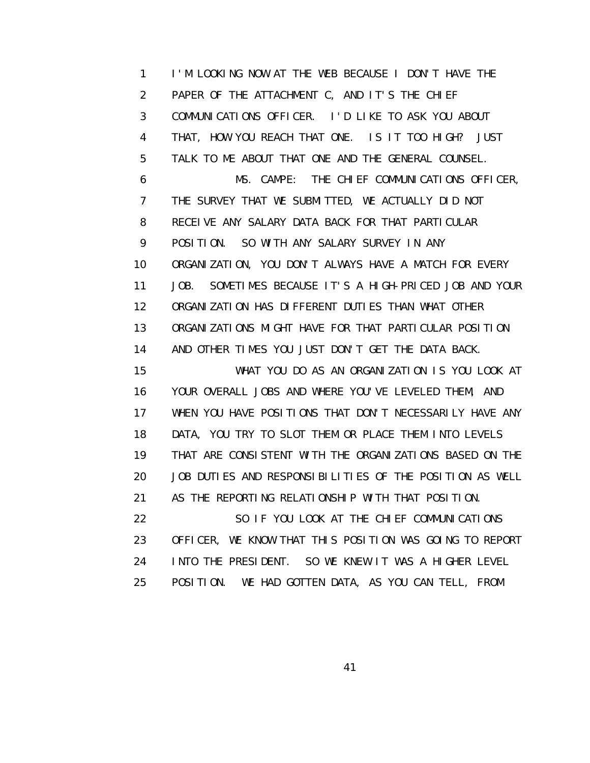1 I'M LOOKING NOW AT THE WEB BECAUSE I DON'T HAVE THE 2 PAPER OF THE ATTACHMENT C, AND IT'S THE CHIEF 3 COMMUNICATIONS OFFICER. I'D LIKE TO ASK YOU ABOUT 4 THAT, HOW YOU REACH THAT ONE. IS IT TOO HIGH? JUST 5 TALK TO ME ABOUT THAT ONE AND THE GENERAL COUNSEL. 6 MS. CAMPE: THE CHIEF COMMUNICATIONS OFFICER, 7 THE SURVEY THAT WE SUBMITTED, WE ACTUALLY DID NOT 8 RECEIVE ANY SALARY DATA BACK FOR THAT PARTICULAR 9 POSITION. SO WITH ANY SALARY SURVEY IN ANY 10 ORGANIZATION, YOU DON'T ALWAYS HAVE A MATCH FOR EVERY 11 JOB. SOMETIMES BECAUSE IT'S A HIGH-PRICED JOB AND YOUR 12 ORGANIZATION HAS DIFFERENT DUTIES THAN WHAT OTHER 13 ORGANIZATIONS MIGHT HAVE FOR THAT PARTICULAR POSITION 14 AND OTHER TIMES YOU JUST DON'T GET THE DATA BACK. 15 WHAT YOU DO AS AN ORGANIZATION IS YOU LOOK AT 16 YOUR OVERALL JOBS AND WHERE YOU'VE LEVELED THEM, AND 17 WHEN YOU HAVE POSITIONS THAT DON'T NECESSARILY HAVE ANY 18 DATA, YOU TRY TO SLOT THEM OR PLACE THEM INTO LEVELS 19 THAT ARE CONSISTENT WITH THE ORGANIZATIONS BASED ON THE 20 JOB DUTIES AND RESPONSIBILITIES OF THE POSITION AS WELL 21 AS THE REPORTING RELATIONSHIP WITH THAT POSITION. 22 SO IF YOU LOOK AT THE CHIEF COMMUNICATIONS 23 OFFICER, WE KNOW THAT THIS POSITION WAS GOING TO REPORT 24 INTO THE PRESIDENT. SO WE KNEW IT WAS A HIGHER LEVEL 25 POSITION. WE HAD GOTTEN DATA, AS YOU CAN TELL, FROM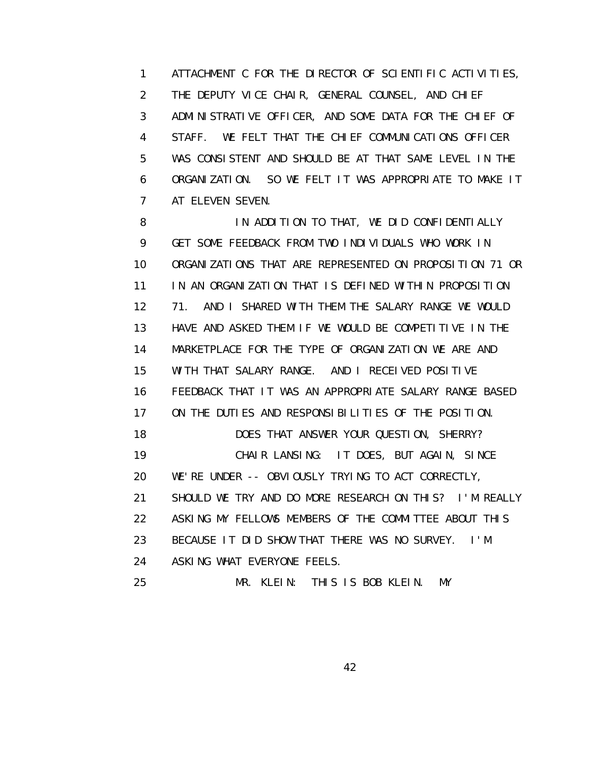1 ATTACHMENT C FOR THE DIRECTOR OF SCIENTIFIC ACTIVITIES, 2 THE DEPUTY VICE CHAIR, GENERAL COUNSEL, AND CHIEF 3 ADMINISTRATIVE OFFICER, AND SOME DATA FOR THE CHIEF OF 4 STAFF. WE FELT THAT THE CHIEF COMMUNICATIONS OFFICER 5 WAS CONSISTENT AND SHOULD BE AT THAT SAME LEVEL IN THE 6 ORGANIZATION. SO WE FELT IT WAS APPROPRIATE TO MAKE IT 7 AT ELEVEN SEVEN.

8 IN ADDITION TO THAT, WE DID CONFIDENTIALLY 9 GET SOME FEEDBACK FROM TWO INDIVIDUALS WHO WORK IN 10 ORGANIZATIONS THAT ARE REPRESENTED ON PROPOSITION 71 OR 11 IN AN ORGANIZATION THAT IS DEFINED WITHIN PROPOSITION 12 71. AND I SHARED WITH THEM THE SALARY RANGE WE WOULD 13 HAVE AND ASKED THEM IF WE WOULD BE COMPETITIVE IN THE 14 MARKETPLACE FOR THE TYPE OF ORGANIZATION WE ARE AND 15 WITH THAT SALARY RANGE. AND I RECEIVED POSITIVE 16 FEEDBACK THAT IT WAS AN APPROPRIATE SALARY RANGE BASED 17 ON THE DUTIES AND RESPONSIBILITIES OF THE POSITION. 18 DOES THAT ANSWER YOUR QUESTION, SHERRY? 19 CHAIR LANSING: IT DOES, BUT AGAIN, SINCE 20 WE'RE UNDER -- OBVIOUSLY TRYING TO ACT CORRECTLY, 21 SHOULD WE TRY AND DO MORE RESEARCH ON THIS? I'M REALLY 22 ASKING MY FELLOWS MEMBERS OF THE COMMITTEE ABOUT THIS 23 BECAUSE IT DID SHOW THAT THERE WAS NO SURVEY. I'M 24 ASKING WHAT EVERYONE FEELS. 25 MR. KLEIN: THIS IS BOB KLEIN. MY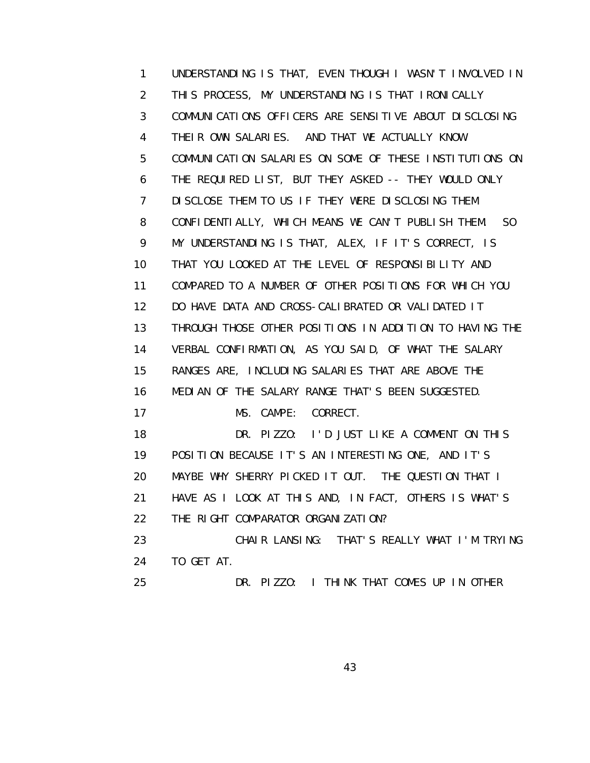1 UNDERSTANDING IS THAT, EVEN THOUGH I WASN'T INVOLVED IN 2 THIS PROCESS, MY UNDERSTANDING IS THAT IRONICALLY 3 COMMUNICATIONS OFFICERS ARE SENSITIVE ABOUT DISCLOSING 4 THEIR OWN SALARIES. AND THAT WE ACTUALLY KNOW 5 COMMUNICATION SALARIES ON SOME OF THESE INSTITUTIONS ON 6 THE REQUIRED LIST, BUT THEY ASKED -- THEY WOULD ONLY 7 DISCLOSE THEM TO US IF THEY WERE DISCLOSING THEM 8 CONFIDENTIALLY, WHICH MEANS WE CAN'T PUBLISH THEM. SO 9 MY UNDERSTANDING IS THAT, ALEX, IF IT'S CORRECT, IS 10 THAT YOU LOOKED AT THE LEVEL OF RESPONSIBILITY AND 11 COMPARED TO A NUMBER OF OTHER POSITIONS FOR WHICH YOU 12 DO HAVE DATA AND CROSS-CALIBRATED OR VALIDATED IT 13 THROUGH THOSE OTHER POSITIONS IN ADDITION TO HAVING THE 14 VERBAL CONFIRMATION, AS YOU SAID, OF WHAT THE SALARY 15 RANGES ARE, INCLUDING SALARIES THAT ARE ABOVE THE 16 MEDIAN OF THE SALARY RANGE THAT'S BEEN SUGGESTED. 17 MS. CAMPE: CORRECT. 18 DR. PIZZO: I'D JUST LIKE A COMMENT ON THIS 19 POSITION BECAUSE IT'S AN INTERESTING ONE, AND IT'S 20 MAYBE WHY SHERRY PICKED IT OUT. THE QUESTION THAT I 21 HAVE AS I LOOK AT THIS AND, IN FACT, OTHERS IS WHAT'S 22 THE RIGHT COMPARATOR ORGANIZATION? 23 CHAIR LANSING: THAT'S REALLY WHAT I'M TRYING 24 TO GET AT. 25 DR. PIZZO: I THINK THAT COMES UP IN OTHER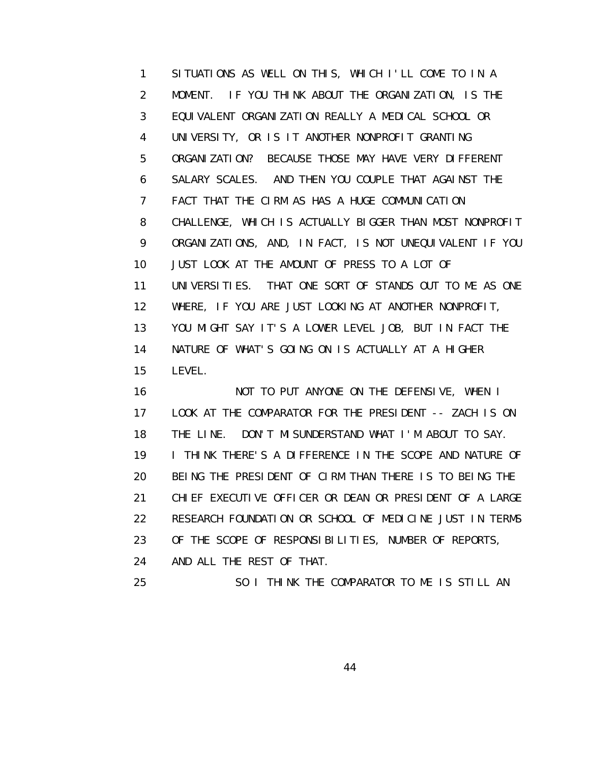1 SITUATIONS AS WELL ON THIS, WHICH I'LL COME TO IN A 2 MOMENT. IF YOU THINK ABOUT THE ORGANIZATION, IS THE 3 EQUIVALENT ORGANIZATION REALLY A MEDICAL SCHOOL OR 4 UNIVERSITY, OR IS IT ANOTHER NONPROFIT GRANTING 5 ORGANIZATION? BECAUSE THOSE MAY HAVE VERY DIFFERENT 6 SALARY SCALES. AND THEN YOU COUPLE THAT AGAINST THE 7 FACT THAT THE CIRM AS HAS A HUGE COMMUNICATION 8 CHALLENGE, WHICH IS ACTUALLY BIGGER THAN MOST NONPROFIT 9 ORGANIZATIONS, AND, IN FACT, IS NOT UNEQUIVALENT IF YOU 10 JUST LOOK AT THE AMOUNT OF PRESS TO A LOT OF 11 UNIVERSITIES. THAT ONE SORT OF STANDS OUT TO ME AS ONE 12 WHERE, IF YOU ARE JUST LOOKING AT ANOTHER NONPROFIT, 13 YOU MIGHT SAY IT'S A LOWER LEVEL JOB, BUT IN FACT THE 14 NATURE OF WHAT'S GOING ON IS ACTUALLY AT A HIGHER 15 LEVEL.

 16 NOT TO PUT ANYONE ON THE DEFENSIVE, WHEN I 17 LOOK AT THE COMPARATOR FOR THE PRESIDENT -- ZACH IS ON 18 THE LINE. DON'T MISUNDERSTAND WHAT I'M ABOUT TO SAY. 19 I THINK THERE'S A DIFFERENCE IN THE SCOPE AND NATURE OF 20 BEING THE PRESIDENT OF CIRM THAN THERE IS TO BEING THE 21 CHIEF EXECUTIVE OFFICER OR DEAN OR PRESIDENT OF A LARGE 22 RESEARCH FOUNDATION OR SCHOOL OF MEDICINE JUST IN TERMS 23 OF THE SCOPE OF RESPONSIBILITIES, NUMBER OF REPORTS, 24 AND ALL THE REST OF THAT.

25 SO I THINK THE COMPARATOR TO ME IS STILL AN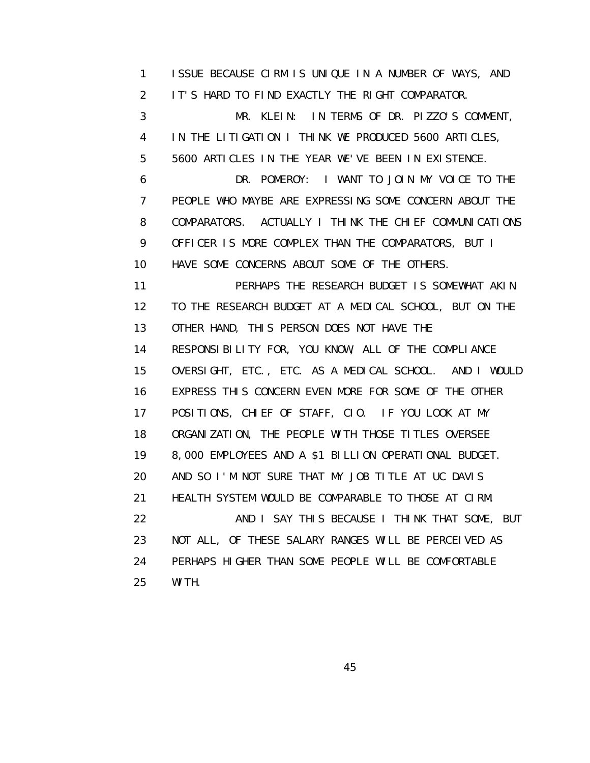1 ISSUE BECAUSE CIRM IS UNIQUE IN A NUMBER OF WAYS, AND 2 IT'S HARD TO FIND EXACTLY THE RIGHT COMPARATOR. 3 MR. KLEIN: IN TERMS OF DR. PIZZO'S COMMENT, 4 IN THE LITIGATION I THINK WE PRODUCED 5600 ARTICLES, 5 5600 ARTICLES IN THE YEAR WE'VE BEEN IN EXISTENCE. 6 DR. POMEROY: I WANT TO JOIN MY VOICE TO THE 7 PEOPLE WHO MAYBE ARE EXPRESSING SOME CONCERN ABOUT THE 8 COMPARATORS. ACTUALLY I THINK THE CHIEF COMMUNICATIONS 9 OFFICER IS MORE COMPLEX THAN THE COMPARATORS, BUT I 10 HAVE SOME CONCERNS ABOUT SOME OF THE OTHERS. 11 PERHAPS THE RESEARCH BUDGET IS SOMEWHAT AKIN 12 TO THE RESEARCH BUDGET AT A MEDICAL SCHOOL, BUT ON THE 13 OTHER HAND, THIS PERSON DOES NOT HAVE THE 14 RESPONSIBILITY FOR, YOU KNOW, ALL OF THE COMPLIANCE

 15 OVERSIGHT, ETC., ETC. AS A MEDICAL SCHOOL. AND I WOULD 16 EXPRESS THIS CONCERN EVEN MORE FOR SOME OF THE OTHER 17 POSITIONS, CHIEF OF STAFF, CIO. IF YOU LOOK AT MY 18 ORGANIZATION, THE PEOPLE WITH THOSE TITLES OVERSEE 19 8,000 EMPLOYEES AND A \$1 BILLION OPERATIONAL BUDGET. 20 AND SO I'M NOT SURE THAT MY JOB TITLE AT UC DAVIS 21 HEALTH SYSTEM WOULD BE COMPARABLE TO THOSE AT CIRM. 22 AND I SAY THIS BECAUSE I THINK THAT SOME, BUT 23 NOT ALL, OF THESE SALARY RANGES WILL BE PERCEIVED AS 24 PERHAPS HIGHER THAN SOME PEOPLE WILL BE COMFORTABLE 25 WITH.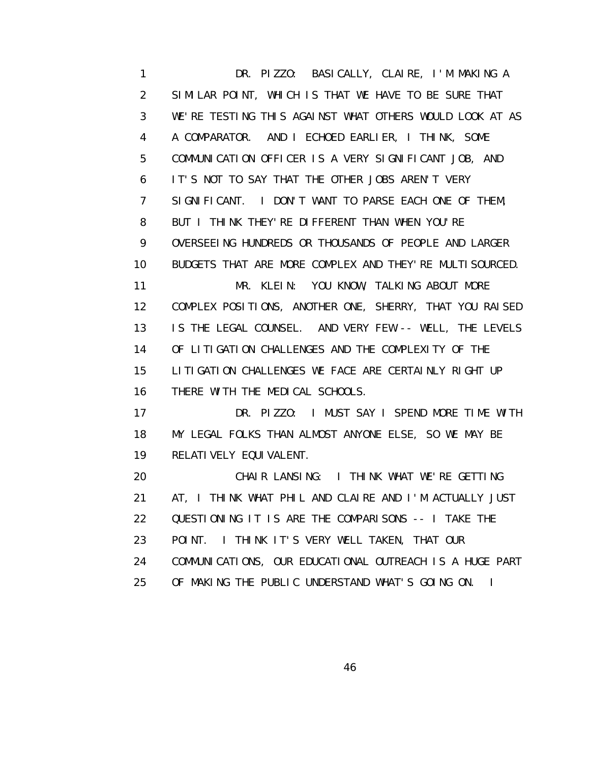1 DR. PIZZO: BASICALLY, CLAIRE, I'M MAKING A 2 SIMILAR POINT, WHICH IS THAT WE HAVE TO BE SURE THAT 3 WE'RE TESTING THIS AGAINST WHAT OTHERS WOULD LOOK AT AS 4 A COMPARATOR. AND I ECHOED EARLIER, I THINK, SOME 5 COMMUNICATION OFFICER IS A VERY SIGNIFICANT JOB, AND 6 IT'S NOT TO SAY THAT THE OTHER JOBS AREN'T VERY 7 SIGNIFICANT. I DON'T WANT TO PARSE EACH ONE OF THEM, 8 BUT I THINK THEY'RE DIFFERENT THAN WHEN YOU'RE 9 OVERSEEING HUNDREDS OR THOUSANDS OF PEOPLE AND LARGER 10 BUDGETS THAT ARE MORE COMPLEX AND THEY'RE MULTISOURCED. 11 MR. KLEIN: YOU KNOW, TALKING ABOUT MORE 12 COMPLEX POSITIONS, ANOTHER ONE, SHERRY, THAT YOU RAISED 13 IS THE LEGAL COUNSEL. AND VERY FEW -- WELL, THE LEVELS 14 OF LITIGATION CHALLENGES AND THE COMPLEXITY OF THE 15 LITIGATION CHALLENGES WE FACE ARE CERTAINLY RIGHT UP 16 THERE WITH THE MEDICAL SCHOOLS. 17 DR. PIZZO: I MUST SAY I SPEND MORE TIME WITH 18 MY LEGAL FOLKS THAN ALMOST ANYONE ELSE, SO WE MAY BE 19 RELATIVELY EQUIVALENT. 20 CHAIR LANSING: I THINK WHAT WE'RE GETTING 21 AT, I THINK WHAT PHIL AND CLAIRE AND I'M ACTUALLY JUST 22 QUESTIONING IT IS ARE THE COMPARISONS -- I TAKE THE 23 POINT. I THINK IT'S VERY WELL TAKEN, THAT OUR 24 COMMUNICATIONS, OUR EDUCATIONAL OUTREACH IS A HUGE PART

25 OF MAKING THE PUBLIC UNDERSTAND WHAT'S GOING ON. I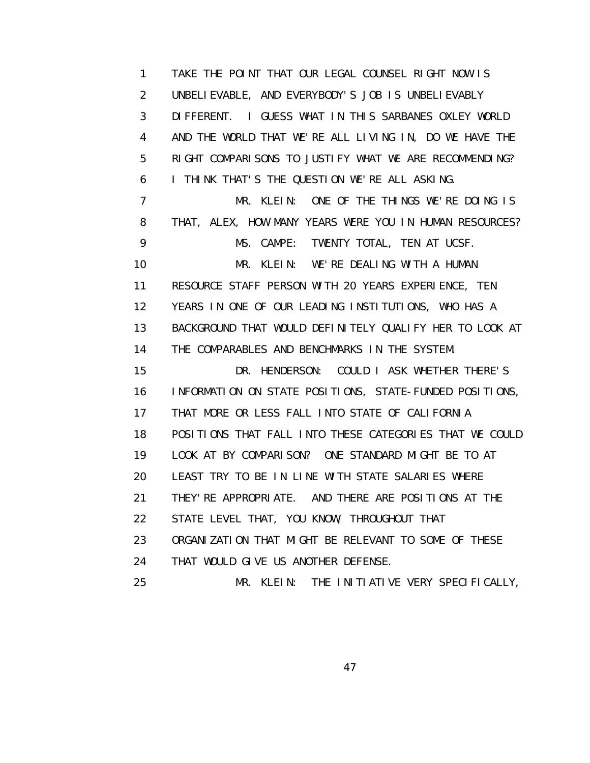1 TAKE THE POINT THAT OUR LEGAL COUNSEL RIGHT NOW IS 2 UNBELIEVABLE, AND EVERYBODY'S JOB IS UNBELIEVABLY 3 DIFFERENT. I GUESS WHAT IN THIS SARBANES OXLEY WORLD 4 AND THE WORLD THAT WE'RE ALL LIVING IN, DO WE HAVE THE 5 RIGHT COMPARISONS TO JUSTIFY WHAT WE ARE RECOMMENDING? 6 I THINK THAT'S THE QUESTION WE'RE ALL ASKING. 7 MR. KLEIN: ONE OF THE THINGS WE'RE DOING IS 8 THAT, ALEX, HOW MANY YEARS WERE YOU IN HUMAN RESOURCES? 9 MS. CAMPE: TWENTY TOTAL, TEN AT UCSF. 10 MR. KLEIN: WE'RE DEALING WITH A HUMAN 11 RESOURCE STAFF PERSON WITH 20 YEARS EXPERIENCE, TEN 12 YEARS IN ONE OF OUR LEADING INSTITUTIONS, WHO HAS A 13 BACKGROUND THAT WOULD DEFINITELY QUALIFY HER TO LOOK AT 14 THE COMPARABLES AND BENCHMARKS IN THE SYSTEM. 15 DR. HENDERSON: COULD I ASK WHETHER THERE'S 16 INFORMATION ON STATE POSITIONS, STATE-FUNDED POSITIONS, 17 THAT MORE OR LESS FALL INTO STATE OF CALIFORNIA 18 POSITIONS THAT FALL INTO THESE CATEGORIES THAT WE COULD 19 LOOK AT BY COMPARISON? ONE STANDARD MIGHT BE TO AT 20 LEAST TRY TO BE IN LINE WITH STATE SALARIES WHERE 21 THEY'RE APPROPRIATE. AND THERE ARE POSITIONS AT THE 22 STATE LEVEL THAT, YOU KNOW, THROUGHOUT THAT 23 ORGANIZATION THAT MIGHT BE RELEVANT TO SOME OF THESE 24 THAT WOULD GIVE US ANOTHER DEFENSE. 25 MR. KLEIN: THE INITIATIVE VERY SPECIFICALLY,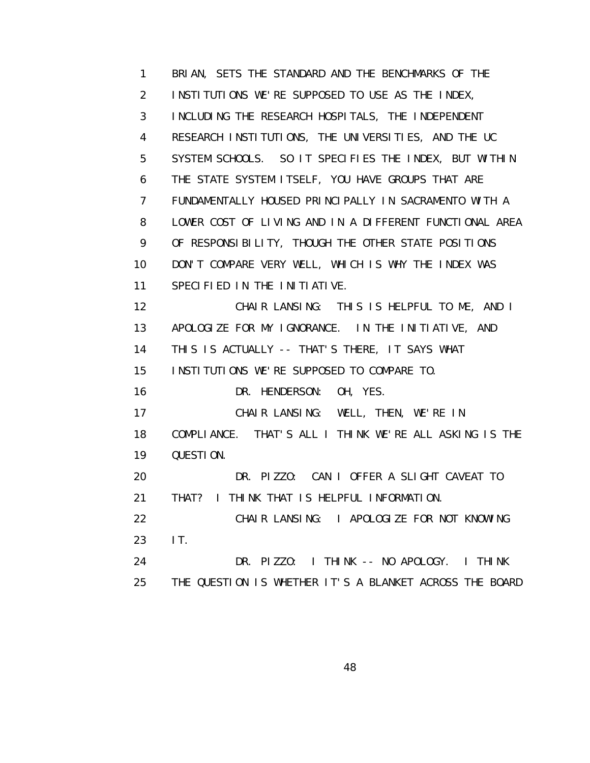1 BRIAN, SETS THE STANDARD AND THE BENCHMARKS OF THE 2 INSTITUTIONS WE'RE SUPPOSED TO USE AS THE INDEX, 3 INCLUDING THE RESEARCH HOSPITALS, THE INDEPENDENT 4 RESEARCH INSTITUTIONS, THE UNIVERSITIES, AND THE UC 5 SYSTEM SCHOOLS. SO IT SPECIFIES THE INDEX, BUT WITHIN 6 THE STATE SYSTEM ITSELF, YOU HAVE GROUPS THAT ARE 7 FUNDAMENTALLY HOUSED PRINCIPALLY IN SACRAMENTO WITH A 8 LOWER COST OF LIVING AND IN A DIFFERENT FUNCTIONAL AREA 9 OF RESPONSIBILITY, THOUGH THE OTHER STATE POSITIONS 10 DON'T COMPARE VERY WELL, WHICH IS WHY THE INDEX WAS 11 SPECIFIED IN THE INITIATIVE. 12 CHAIR LANSING: THIS IS HELPFUL TO ME, AND I 13 APOLOGIZE FOR MY IGNORANCE. IN THE INITIATIVE, AND 14 THIS IS ACTUALLY -- THAT'S THERE, IT SAYS WHAT 15 INSTITUTIONS WE'RE SUPPOSED TO COMPARE TO. 16 DR. HENDERSON: OH, YES. 17 CHAIR LANSING: WELL, THEN, WE'RE IN 18 COMPLIANCE. THAT'S ALL I THINK WE'RE ALL ASKING IS THE 19 QUESTION. 20 DR. PIZZO: CAN I OFFER A SLIGHT CAVEAT TO 21 THAT? I THINK THAT IS HELPFUL INFORMATION. 22 CHAIR LANSING: I APOLOGIZE FOR NOT KNOWING 23 IT. 24 DR. PIZZO: I THINK -- NO APOLOGY. I THINK 25 THE QUESTION IS WHETHER IT'S A BLANKET ACROSS THE BOARD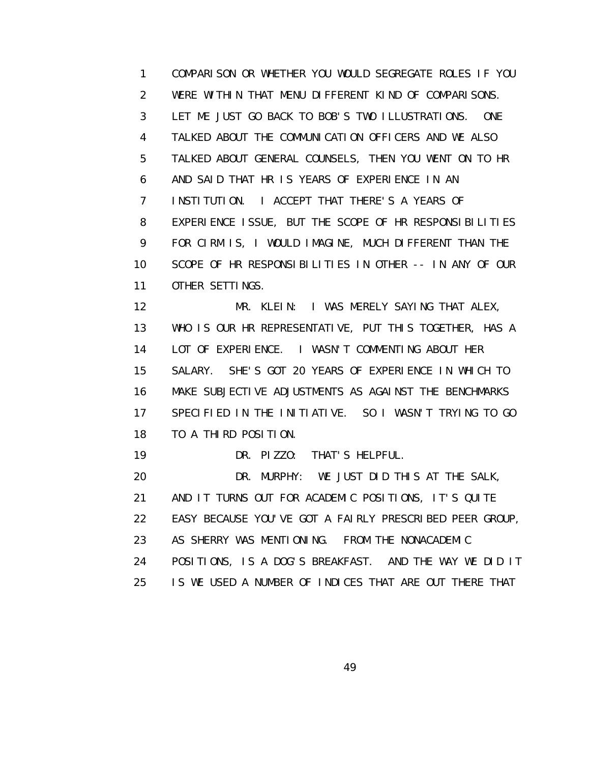1 COMPARISON OR WHETHER YOU WOULD SEGREGATE ROLES IF YOU 2 WERE WITHIN THAT MENU DIFFERENT KIND OF COMPARISONS. 3 LET ME JUST GO BACK TO BOB'S TWO ILLUSTRATIONS. ONE 4 TALKED ABOUT THE COMMUNICATION OFFICERS AND WE ALSO 5 TALKED ABOUT GENERAL COUNSELS, THEN YOU WENT ON TO HR 6 AND SAID THAT HR IS YEARS OF EXPERIENCE IN AN 7 INSTITUTION. I ACCEPT THAT THERE'S A YEARS OF 8 EXPERIENCE ISSUE, BUT THE SCOPE OF HR RESPONSIBILITIES 9 FOR CIRM IS, I WOULD IMAGINE, MUCH DIFFERENT THAN THE 10 SCOPE OF HR RESPONSIBILITIES IN OTHER -- IN ANY OF OUR 11 OTHER SETTINGS.

 12 MR. KLEIN: I WAS MERELY SAYING THAT ALEX, 13 WHO IS OUR HR REPRESENTATIVE, PUT THIS TOGETHER, HAS A 14 LOT OF EXPERIENCE. I WASN'T COMMENTING ABOUT HER 15 SALARY. SHE'S GOT 20 YEARS OF EXPERIENCE IN WHICH TO 16 MAKE SUBJECTIVE ADJUSTMENTS AS AGAINST THE BENCHMARKS 17 SPECIFIED IN THE INITIATIVE. SO I WASN'T TRYING TO GO 18 TO A THIRD POSITION.

19 DR. PIZZO: THAT'S HELPFUL.

 20 DR. MURPHY: WE JUST DID THIS AT THE SALK, 21 AND IT TURNS OUT FOR ACADEMIC POSITIONS, IT'S QUITE 22 EASY BECAUSE YOU'VE GOT A FAIRLY PRESCRIBED PEER GROUP, 23 AS SHERRY WAS MENTIONING. FROM THE NONACADEMIC

24 POSITIONS, IS A DOG'S BREAKFAST. AND THE WAY WE DID IT

25 IS WE USED A NUMBER OF INDICES THAT ARE OUT THERE THAT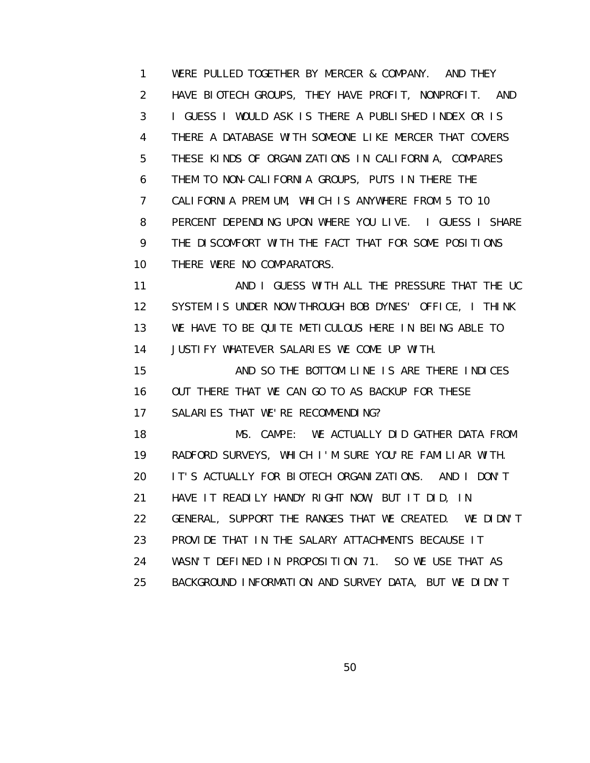1 WERE PULLED TOGETHER BY MERCER & COMPANY. AND THEY 2 HAVE BIOTECH GROUPS, THEY HAVE PROFIT, NONPROFIT. AND 3 I GUESS I WOULD ASK IS THERE A PUBLISHED INDEX OR IS 4 THERE A DATABASE WITH SOMEONE LIKE MERCER THAT COVERS 5 THESE KINDS OF ORGANIZATIONS IN CALIFORNIA, COMPARES 6 THEM TO NON-CALIFORNIA GROUPS, PUTS IN THERE THE 7 CALIFORNIA PREMIUM, WHICH IS ANYWHERE FROM 5 TO 10 8 PERCENT DEPENDING UPON WHERE YOU LIVE. I GUESS I SHARE 9 THE DISCOMFORT WITH THE FACT THAT FOR SOME POSITIONS 10 THERE WERE NO COMPARATORS.

11 AND I GUESS WITH ALL THE PRESSURE THAT THE UC 12 SYSTEM IS UNDER NOW THROUGH BOB DYNES' OFFICE, I THINK 13 WE HAVE TO BE QUITE METICULOUS HERE IN BEING ABLE TO 14 JUSTIFY WHATEVER SALARIES WE COME UP WITH.

 15 AND SO THE BOTTOM LINE IS ARE THERE INDICES 16 OUT THERE THAT WE CAN GO TO AS BACKUP FOR THESE 17 SALARIES THAT WE'RE RECOMMENDING?

 18 MS. CAMPE: WE ACTUALLY DID GATHER DATA FROM 19 RADFORD SURVEYS, WHICH I'M SURE YOU'RE FAMILIAR WITH. 20 IT'S ACTUALLY FOR BIOTECH ORGANIZATIONS. AND I DON'T 21 HAVE IT READILY HANDY RIGHT NOW, BUT IT DID, IN 22 GENERAL, SUPPORT THE RANGES THAT WE CREATED. WE DIDN'T 23 PROVIDE THAT IN THE SALARY ATTACHMENTS BECAUSE IT 24 WASN'T DEFINED IN PROPOSITION 71. SO WE USE THAT AS 25 BACKGROUND INFORMATION AND SURVEY DATA, BUT WE DIDN'T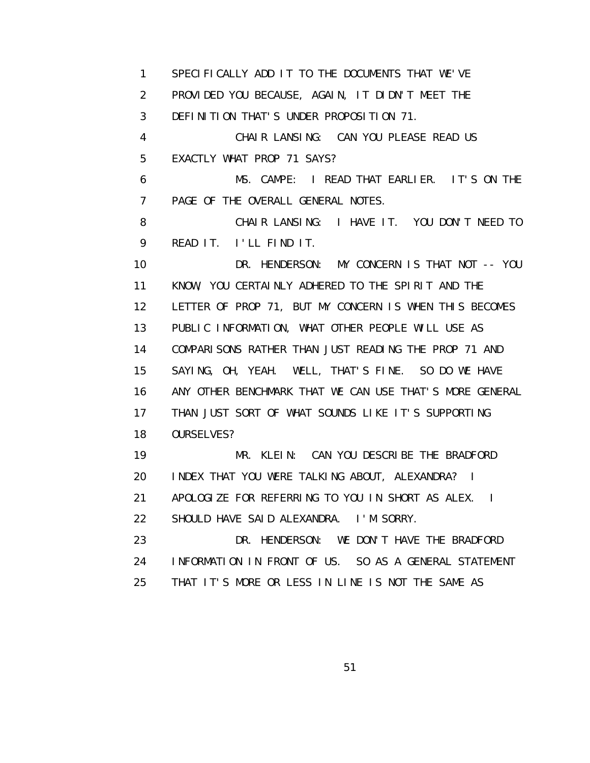1 SPECIFICALLY ADD IT TO THE DOCUMENTS THAT WE'VE 2 PROVIDED YOU BECAUSE, AGAIN, IT DIDN'T MEET THE 3 DEFINITION THAT'S UNDER PROPOSITION 71. 4 CHAIR LANSING: CAN YOU PLEASE READ US 5 EXACTLY WHAT PROP 71 SAYS? 6 MS. CAMPE: I READ THAT EARLIER. IT'S ON THE 7 PAGE OF THE OVERALL GENERAL NOTES. 8 CHAIR LANSING: I HAVE IT. YOU DON'T NEED TO 9 READ IT. I'LL FIND IT. 10 DR. HENDERSON: MY CONCERN IS THAT NOT -- YOU 11 KNOW, YOU CERTAINLY ADHERED TO THE SPIRIT AND THE 12 LETTER OF PROP 71, BUT MY CONCERN IS WHEN THIS BECOMES 13 PUBLIC INFORMATION, WHAT OTHER PEOPLE WILL USE AS 14 COMPARISONS RATHER THAN JUST READING THE PROP 71 AND 15 SAYING, OH, YEAH. WELL, THAT'S FINE. SO DO WE HAVE 16 ANY OTHER BENCHMARK THAT WE CAN USE THAT'S MORE GENERAL 17 THAN JUST SORT OF WHAT SOUNDS LIKE IT'S SUPPORTING 18 OURSELVES? 19 MR. KLEIN: CAN YOU DESCRIBE THE BRADFORD 20 INDEX THAT YOU WERE TALKING ABOUT, ALEXANDRA? I 21 APOLOGIZE FOR REFERRING TO YOU IN SHORT AS ALEX. I 22 SHOULD HAVE SAID ALEXANDRA. I'M SORRY. 23 DR. HENDERSON: WE DON'T HAVE THE BRADFORD 24 INFORMATION IN FRONT OF US. SO AS A GENERAL STATEMENT 25 THAT IT'S MORE OR LESS IN LINE IS NOT THE SAME AS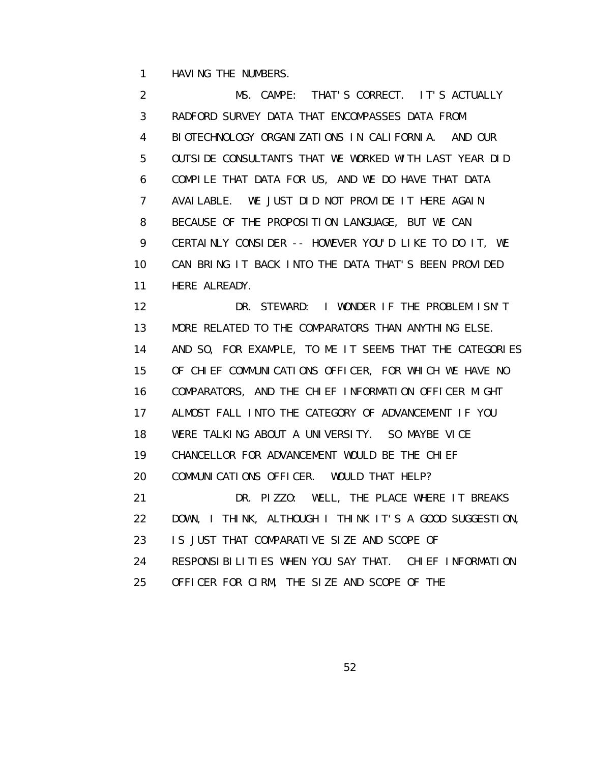1 HAVING THE NUMBERS.

 2 MS. CAMPE: THAT'S CORRECT. IT'S ACTUALLY 3 RADFORD SURVEY DATA THAT ENCOMPASSES DATA FROM 4 BIOTECHNOLOGY ORGANIZATIONS IN CALIFORNIA. AND OUR 5 OUTSIDE CONSULTANTS THAT WE WORKED WITH LAST YEAR DID 6 COMPILE THAT DATA FOR US, AND WE DO HAVE THAT DATA 7 AVAILABLE. WE JUST DID NOT PROVIDE IT HERE AGAIN 8 BECAUSE OF THE PROPOSITION LANGUAGE, BUT WE CAN 9 CERTAINLY CONSIDER -- HOWEVER YOU'D LIKE TO DO IT, WE 10 CAN BRING IT BACK INTO THE DATA THAT'S BEEN PROVIDED 11 HERE ALREADY. 12 DR. STEWARD: I WONDER IF THE PROBLEM ISN'T 13 MORE RELATED TO THE COMPARATORS THAN ANYTHING ELSE.

 14 AND SO, FOR EXAMPLE, TO ME IT SEEMS THAT THE CATEGORIES 15 OF CHIEF COMMUNICATIONS OFFICER, FOR WHICH WE HAVE NO 16 COMPARATORS, AND THE CHIEF INFORMATION OFFICER MIGHT 17 ALMOST FALL INTO THE CATEGORY OF ADVANCEMENT IF YOU 18 WERE TALKING ABOUT A UNIVERSITY. SO MAYBE VICE 19 CHANCELLOR FOR ADVANCEMENT WOULD BE THE CHIEF

20 COMMUNICATIONS OFFICER. WOULD THAT HELP?

 21 DR. PIZZO: WELL, THE PLACE WHERE IT BREAKS 22 DOWN, I THINK, ALTHOUGH I THINK IT'S A GOOD SUGGESTION, 23 IS JUST THAT COMPARATIVE SIZE AND SCOPE OF

24 RESPONSIBILITIES WHEN YOU SAY THAT. CHIEF INFORMATION

25 OFFICER FOR CIRM, THE SIZE AND SCOPE OF THE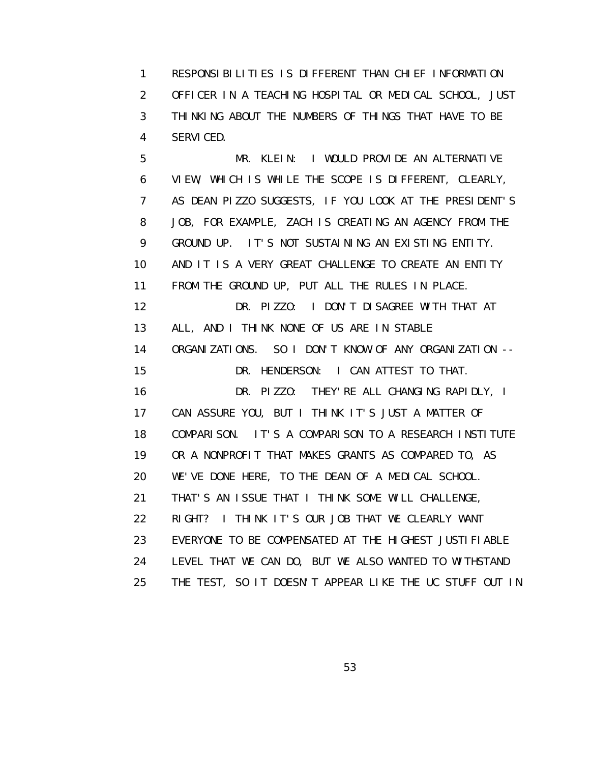1 RESPONSIBILITIES IS DIFFERENT THAN CHIEF INFORMATION 2 OFFICER IN A TEACHING HOSPITAL OR MEDICAL SCHOOL, JUST 3 THINKING ABOUT THE NUMBERS OF THINGS THAT HAVE TO BE 4 SERVICED.

 5 MR. KLEIN: I WOULD PROVIDE AN ALTERNATIVE 6 VIEW, WHICH IS WHILE THE SCOPE IS DIFFERENT, CLEARLY, 7 AS DEAN PIZZO SUGGESTS, IF YOU LOOK AT THE PRESIDENT'S 8 JOB, FOR EXAMPLE, ZACH IS CREATING AN AGENCY FROM THE 9 GROUND UP. IT'S NOT SUSTAINING AN EXISTING ENTITY. 10 AND IT IS A VERY GREAT CHALLENGE TO CREATE AN ENTITY 11 FROM THE GROUND UP, PUT ALL THE RULES IN PLACE. 12 DR. PIZZO: I DON'T DISAGREE WITH THAT AT 13 ALL, AND I THINK NONE OF US ARE IN STABLE 14 ORGANIZATIONS. SO I DON'T KNOW OF ANY ORGANIZATION -- 15 DR. HENDERSON: I CAN ATTEST TO THAT. 16 DR. PIZZO: THEY'RE ALL CHANGING RAPIDLY, I 17 CAN ASSURE YOU, BUT I THINK IT'S JUST A MATTER OF 18 COMPARISON. IT'S A COMPARISON TO A RESEARCH INSTITUTE 19 OR A NONPROFIT THAT MAKES GRANTS AS COMPARED TO, AS 20 WE'VE DONE HERE, TO THE DEAN OF A MEDICAL SCHOOL. 21 THAT'S AN ISSUE THAT I THINK SOME WILL CHALLENGE, 22 RIGHT? I THINK IT'S OUR JOB THAT WE CLEARLY WANT 23 EVERYONE TO BE COMPENSATED AT THE HIGHEST JUSTIFIABLE 24 LEVEL THAT WE CAN DO, BUT WE ALSO WANTED TO WITHSTAND 25 THE TEST, SO IT DOESN'T APPEAR LIKE THE UC STUFF OUT IN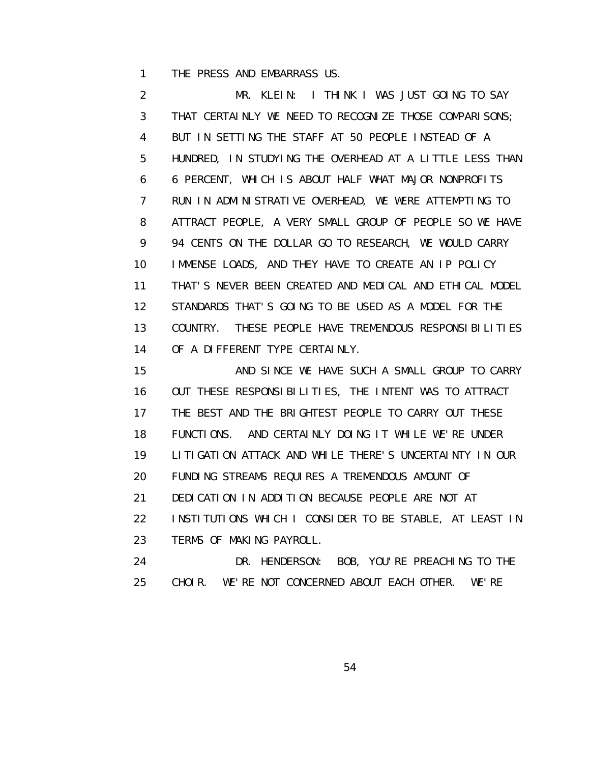1 THE PRESS AND EMBARRASS US.

 2 MR. KLEIN: I THINK I WAS JUST GOING TO SAY 3 THAT CERTAINLY WE NEED TO RECOGNIZE THOSE COMPARISONS; 4 BUT IN SETTING THE STAFF AT 50 PEOPLE INSTEAD OF A 5 HUNDRED, IN STUDYING THE OVERHEAD AT A LITTLE LESS THAN 6 6 PERCENT, WHICH IS ABOUT HALF WHAT MAJOR NONPROFITS 7 RUN IN ADMINISTRATIVE OVERHEAD, WE WERE ATTEMPTING TO 8 ATTRACT PEOPLE, A VERY SMALL GROUP OF PEOPLE SO WE HAVE 9 94 CENTS ON THE DOLLAR GO TO RESEARCH, WE WOULD CARRY 10 IMMENSE LOADS, AND THEY HAVE TO CREATE AN IP POLICY 11 THAT'S NEVER BEEN CREATED AND MEDICAL AND ETHICAL MODEL 12 STANDARDS THAT'S GOING TO BE USED AS A MODEL FOR THE 13 COUNTRY. THESE PEOPLE HAVE TREMENDOUS RESPONSIBILITIES 14 OF A DIFFERENT TYPE CERTAINLY.

15 AND SINCE WE HAVE SUCH A SMALL GROUP TO CARRY 16 OUT THESE RESPONSIBILITIES, THE INTENT WAS TO ATTRACT 17 THE BEST AND THE BRIGHTEST PEOPLE TO CARRY OUT THESE 18 FUNCTIONS. AND CERTAINLY DOING IT WHILE WE'RE UNDER 19 LITIGATION ATTACK AND WHILE THERE'S UNCERTAINTY IN OUR 20 FUNDING STREAMS REQUIRES A TREMENDOUS AMOUNT OF 21 DEDICATION IN ADDITION BECAUSE PEOPLE ARE NOT AT 22 INSTITUTIONS WHICH I CONSIDER TO BE STABLE, AT LEAST IN 23 TERMS OF MAKING PAYROLL. 24 DR. HENDERSON: BOB, YOU'RE PREACHING TO THE

25 CHOIR. WE'RE NOT CONCERNED ABOUT EACH OTHER. WE'RE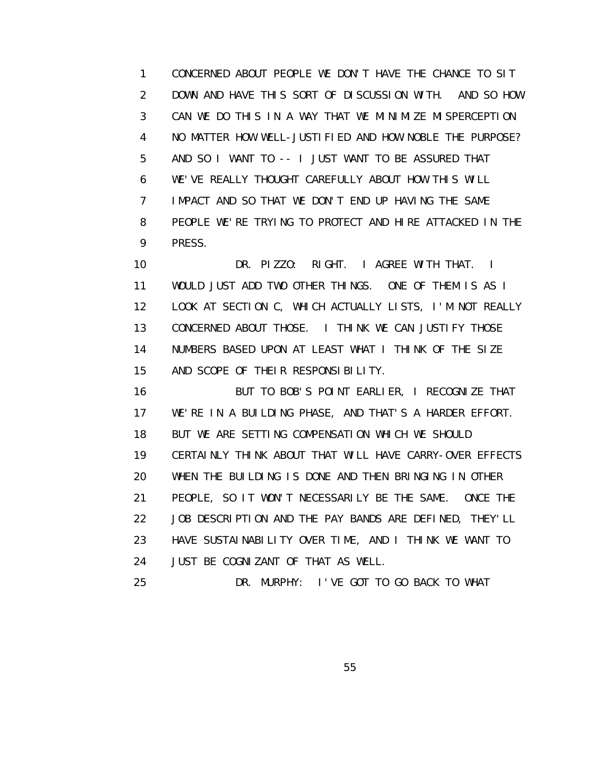1 CONCERNED ABOUT PEOPLE WE DON'T HAVE THE CHANCE TO SIT 2 DOWN AND HAVE THIS SORT OF DISCUSSION WITH. AND SO HOW 3 CAN WE DO THIS IN A WAY THAT WE MINIMIZE MISPERCEPTION 4 NO MATTER HOW WELL-JUSTIFIED AND HOW NOBLE THE PURPOSE? 5 AND SO I WANT TO -- I JUST WANT TO BE ASSURED THAT 6 WE'VE REALLY THOUGHT CAREFULLY ABOUT HOW THIS WILL 7 IMPACT AND SO THAT WE DON'T END UP HAVING THE SAME 8 PEOPLE WE'RE TRYING TO PROTECT AND HIRE ATTACKED IN THE 9 PRESS.

 10 DR. PIZZO: RIGHT. I AGREE WITH THAT. I 11 WOULD JUST ADD TWO OTHER THINGS. ONE OF THEM IS AS I 12 LOOK AT SECTION C, WHICH ACTUALLY LISTS, I'M NOT REALLY 13 CONCERNED ABOUT THOSE. I THINK WE CAN JUSTIFY THOSE 14 NUMBERS BASED UPON AT LEAST WHAT I THINK OF THE SIZE 15 AND SCOPE OF THEIR RESPONSIBILITY.

 16 BUT TO BOB'S POINT EARLIER, I RECOGNIZE THAT 17 WE'RE IN A BUILDING PHASE, AND THAT'S A HARDER EFFORT. 18 BUT WE ARE SETTING COMPENSATION WHICH WE SHOULD 19 CERTAINLY THINK ABOUT THAT WILL HAVE CARRY-OVER EFFECTS 20 WHEN THE BUILDING IS DONE AND THEN BRINGING IN OTHER 21 PEOPLE, SO IT WON'T NECESSARILY BE THE SAME. ONCE THE 22 JOB DESCRIPTION AND THE PAY BANDS ARE DEFINED, THEY'LL 23 HAVE SUSTAINABILITY OVER TIME, AND I THINK WE WANT TO 24 JUST BE COGNIZANT OF THAT AS WELL.

25 DR. MURPHY: I'VE GOT TO GO BACK TO WHAT

<u>55 September 2006 September 2006 September 2006 September 2006 September 2006 September 2006 September 2006 S</u>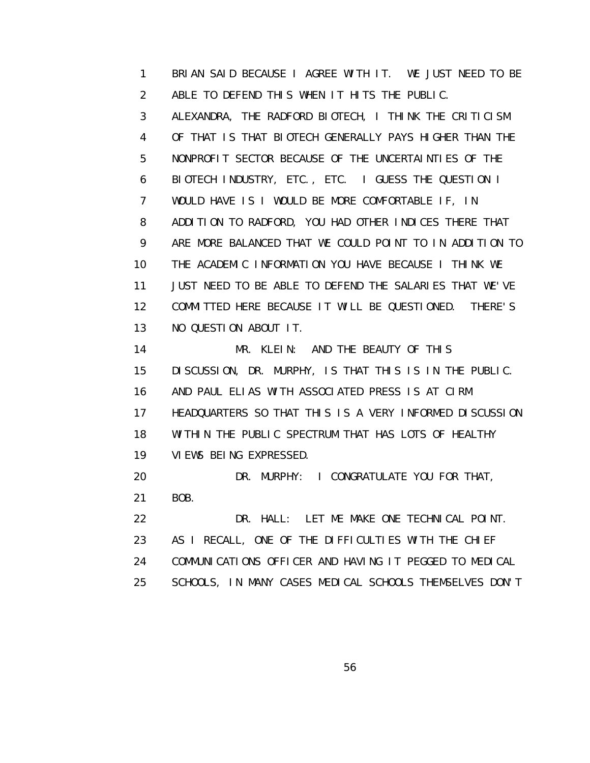1 BRIAN SAID BECAUSE I AGREE WITH IT. WE JUST NEED TO BE 2 ABLE TO DEFEND THIS WHEN IT HITS THE PUBLIC.

 3 ALEXANDRA, THE RADFORD BIOTECH, I THINK THE CRITICISM 4 OF THAT IS THAT BIOTECH GENERALLY PAYS HIGHER THAN THE 5 NONPROFIT SECTOR BECAUSE OF THE UNCERTAINTIES OF THE 6 BIOTECH INDUSTRY, ETC., ETC. I GUESS THE QUESTION I 7 WOULD HAVE IS I WOULD BE MORE COMFORTABLE IF, IN 8 ADDITION TO RADFORD, YOU HAD OTHER INDICES THERE THAT 9 ARE MORE BALANCED THAT WE COULD POINT TO IN ADDITION TO 10 THE ACADEMIC INFORMATION YOU HAVE BECAUSE I THINK WE 11 JUST NEED TO BE ABLE TO DEFEND THE SALARIES THAT WE'VE 12 COMMITTED HERE BECAUSE IT WILL BE QUESTIONED. THERE'S 13 NO QUESTION ABOUT IT.

14 MR. KLEIN: AND THE BEAUTY OF THIS 15 DISCUSSION, DR. MURPHY, IS THAT THIS IS IN THE PUBLIC. 16 AND PAUL ELIAS WITH ASSOCIATED PRESS IS AT CIRM 17 HEADQUARTERS SO THAT THIS IS A VERY INFORMED DISCUSSION 18 WITHIN THE PUBLIC SPECTRUM THAT HAS LOTS OF HEALTHY 19 VIEWS BEING EXPRESSED.

 20 DR. MURPHY: I CONGRATULATE YOU FOR THAT, 21 BOB.

 22 DR. HALL: LET ME MAKE ONE TECHNICAL POINT. 23 AS I RECALL, ONE OF THE DIFFICULTIES WITH THE CHIEF 24 COMMUNICATIONS OFFICER AND HAVING IT PEGGED TO MEDICAL 25 SCHOOLS, IN MANY CASES MEDICAL SCHOOLS THEMSELVES DON'T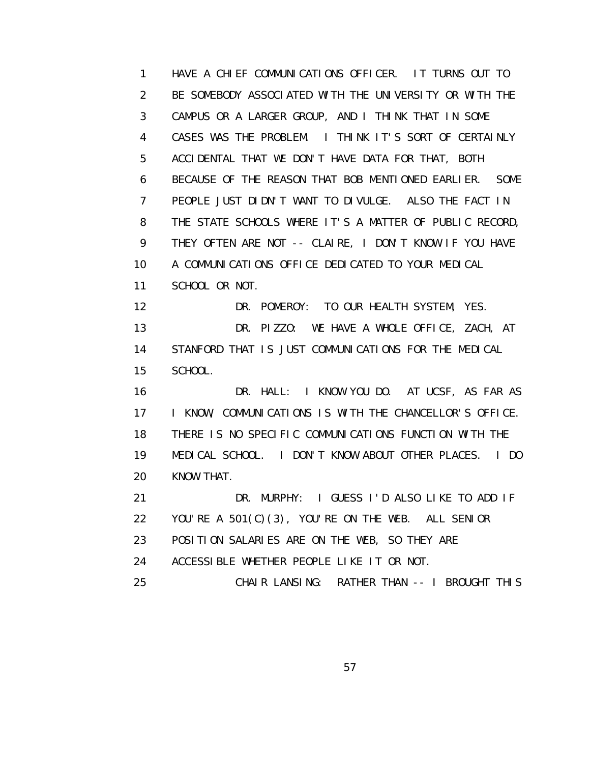1 HAVE A CHIEF COMMUNICATIONS OFFICER. IT TURNS OUT TO 2 BE SOMEBODY ASSOCIATED WITH THE UNIVERSITY OR WITH THE 3 CAMPUS OR A LARGER GROUP, AND I THINK THAT IN SOME 4 CASES WAS THE PROBLEM. I THINK IT'S SORT OF CERTAINLY 5 ACCIDENTAL THAT WE DON'T HAVE DATA FOR THAT, BOTH 6 BECAUSE OF THE REASON THAT BOB MENTIONED EARLIER. SOME 7 PEOPLE JUST DIDN'T WANT TO DIVULGE. ALSO THE FACT IN 8 THE STATE SCHOOLS WHERE IT'S A MATTER OF PUBLIC RECORD, 9 THEY OFTEN ARE NOT -- CLAIRE, I DON'T KNOW IF YOU HAVE 10 A COMMUNICATIONS OFFICE DEDICATED TO YOUR MEDICAL 11 SCHOOL OR NOT. 12 DR. POMEROY: TO OUR HEALTH SYSTEM, YES. 13 DR. PIZZO: WE HAVE A WHOLE OFFICE, ZACH, AT 14 STANFORD THAT IS JUST COMMUNICATIONS FOR THE MEDICAL 15 SCHOOL. 16 DR. HALL: I KNOW YOU DO. AT UCSF, AS FAR AS 17 **I KNOW, COMMUNICATIONS IS WITH THE CHANCELLOR'S OFFICE.**  18 THERE IS NO SPECIFIC COMMUNICATIONS FUNCTION WITH THE 19 MEDICAL SCHOOL. I DON'T KNOW ABOUT OTHER PLACES. I DO 20 KNOW THAT. 21 DR. MURPHY: I GUESS I'D ALSO LIKE TO ADD IF 22 YOU'RE A 501(C)(3), YOU'RE ON THE WEB. ALL SENIOR 23 POSITION SALARIES ARE ON THE WEB, SO THEY ARE 24 ACCESSIBLE WHETHER PEOPLE LIKE IT OR NOT. 25 CHAIR LANSING: RATHER THAN -- I BROUGHT THIS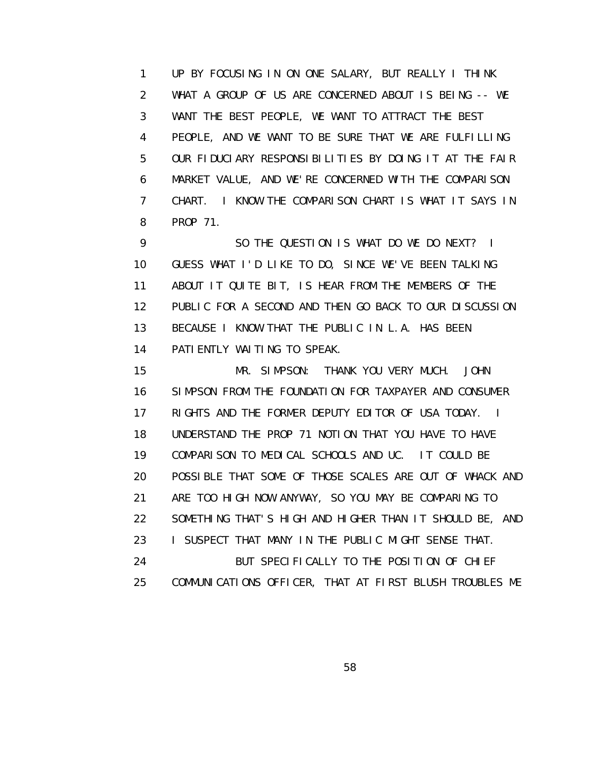1 UP BY FOCUSING IN ON ONE SALARY, BUT REALLY I THINK 2 WHAT A GROUP OF US ARE CONCERNED ABOUT IS BEING -- WE 3 WANT THE BEST PEOPLE, WE WANT TO ATTRACT THE BEST 4 PEOPLE, AND WE WANT TO BE SURE THAT WE ARE FULFILLING 5 OUR FIDUCIARY RESPONSIBILITIES BY DOING IT AT THE FAIR 6 MARKET VALUE, AND WE'RE CONCERNED WITH THE COMPARISON 7 CHART. I KNOW THE COMPARISON CHART IS WHAT IT SAYS IN 8 PROP 71.

 9 SO THE QUESTION IS WHAT DO WE DO NEXT? I 10 GUESS WHAT I'D LIKE TO DO, SINCE WE'VE BEEN TALKING 11 ABOUT IT QUITE BIT, IS HEAR FROM THE MEMBERS OF THE 12 PUBLIC FOR A SECOND AND THEN GO BACK TO OUR DISCUSSION 13 BECAUSE I KNOW THAT THE PUBLIC IN L.A. HAS BEEN 14 PATIENTLY WAITING TO SPEAK.

 15 MR. SIMPSON: THANK YOU VERY MUCH. JOHN 16 SIMPSON FROM THE FOUNDATION FOR TAXPAYER AND CONSUMER 17 RIGHTS AND THE FORMER DEPUTY EDITOR OF USA TODAY. I 18 UNDERSTAND THE PROP 71 NOTION THAT YOU HAVE TO HAVE 19 COMPARISON TO MEDICAL SCHOOLS AND UC. IT COULD BE 20 POSSIBLE THAT SOME OF THOSE SCALES ARE OUT OF WHACK AND 21 ARE TOO HIGH NOW ANYWAY, SO YOU MAY BE COMPARING TO 22 SOMETHING THAT'S HIGH AND HIGHER THAN IT SHOULD BE, AND 23 **I SUSPECT THAT MANY IN THE PUBLIC MIGHT SENSE THAT.**  24 BUT SPECIFICALLY TO THE POSITION OF CHIEF 25 COMMUNICATIONS OFFICER, THAT AT FIRST BLUSH TROUBLES ME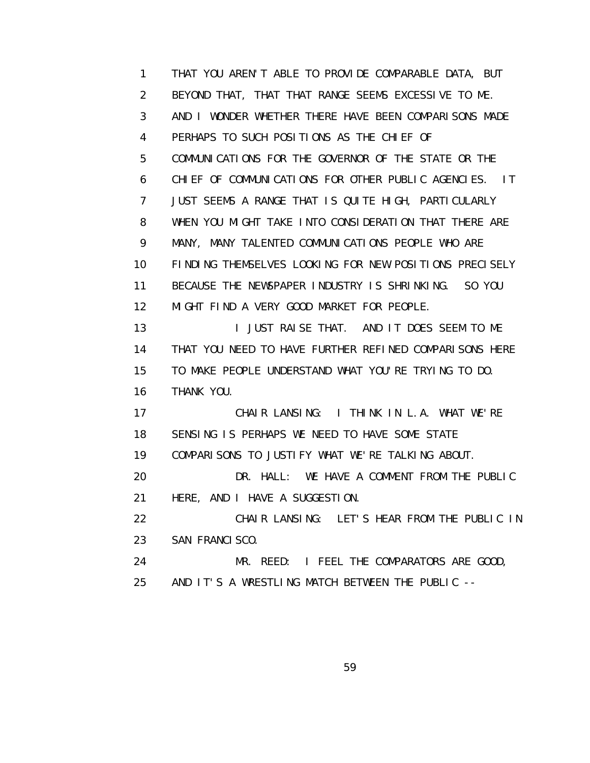1 THAT YOU AREN'T ABLE TO PROVIDE COMPARABLE DATA, BUT 2 BEYOND THAT, THAT THAT RANGE SEEMS EXCESSIVE TO ME. 3 AND I WONDER WHETHER THERE HAVE BEEN COMPARISONS MADE 4 PERHAPS TO SUCH POSITIONS AS THE CHIEF OF 5 COMMUNICATIONS FOR THE GOVERNOR OF THE STATE OR THE 6 CHIEF OF COMMUNICATIONS FOR OTHER PUBLIC AGENCIES. IT 7 JUST SEEMS A RANGE THAT IS QUITE HIGH, PARTICULARLY 8 WHEN YOU MIGHT TAKE INTO CONSIDERATION THAT THERE ARE 9 MANY, MANY TALENTED COMMUNICATIONS PEOPLE WHO ARE 10 FINDING THEMSELVES LOOKING FOR NEW POSITIONS PRECISELY 11 BECAUSE THE NEWSPAPER INDUSTRY IS SHRINKING. SO YOU 12 MIGHT FIND A VERY GOOD MARKET FOR PEOPLE. 13 I JUST RAISE THAT. AND IT DOES SEEM TO ME 14 THAT YOU NEED TO HAVE FURTHER REFINED COMPARISONS HERE 15 TO MAKE PEOPLE UNDERSTAND WHAT YOU'RE TRYING TO DO. 16 THANK YOU. 17 CHAIR LANSING: I THINK IN L.A. WHAT WE'RE 18 SENSING IS PERHAPS WE NEED TO HAVE SOME STATE 19 COMPARISONS TO JUSTIFY WHAT WE'RE TALKING ABOUT. 20 DR. HALL: WE HAVE A COMMENT FROM THE PUBLIC 21 HERE, AND I HAVE A SUGGESTION. 22 CHAIR LANSING: LET'S HEAR FROM THE PUBLIC IN 23 SAN FRANCISCO. 24 MR. REED: I FEEL THE COMPARATORS ARE GOOD, 25 AND IT'S A WRESTLING MATCH BETWEEN THE PUBLIC --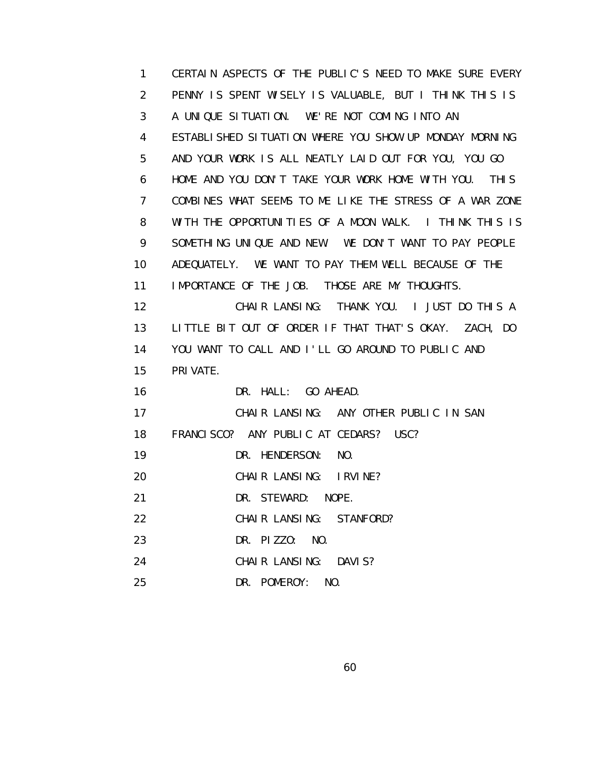1 CERTAIN ASPECTS OF THE PUBLIC'S NEED TO MAKE SURE EVERY 2 PENNY IS SPENT WISELY IS VALUABLE, BUT I THINK THIS IS 3 A UNIQUE SITUATION. WE'RE NOT COMING INTO AN 4 ESTABLISHED SITUATION WHERE YOU SHOW UP MONDAY MORNING 5 AND YOUR WORK IS ALL NEATLY LAID OUT FOR YOU, YOU GO 6 HOME AND YOU DON'T TAKE YOUR WORK HOME WITH YOU. THIS 7 COMBINES WHAT SEEMS TO ME LIKE THE STRESS OF A WAR ZONE 8 WITH THE OPPORTUNITIES OF A MOON WALK. I THINK THIS IS 9 SOMETHING UNIQUE AND NEW. WE DON'T WANT TO PAY PEOPLE 10 ADEQUATELY. WE WANT TO PAY THEM WELL BECAUSE OF THE 11 IMPORTANCE OF THE JOB. THOSE ARE MY THOUGHTS. 12 CHAIR LANSING: THANK YOU. I JUST DO THIS A 13 LITTLE BIT OUT OF ORDER IF THAT THAT'S OKAY. ZACH, DO 14 YOU WANT TO CALL AND I'LL GO AROUND TO PUBLIC AND 15 PRIVATE. 16 DR. HALL: GO AHEAD. 17 CHAIR LANSING: ANY OTHER PUBLIC IN SAN 18 FRANCISCO? ANY PUBLIC AT CEDARS? USC? 19 DR. HENDERSON: NO. 20 CHAIR LANSING: IRVINE? 21 DR. STEWARD: NOPE. 22 CHAIR LANSING: STANFORD? 23 DR. PIZZO: NO. 24 CHAIR LANSING: DAVIS? 25 DR. POMEROY: NO.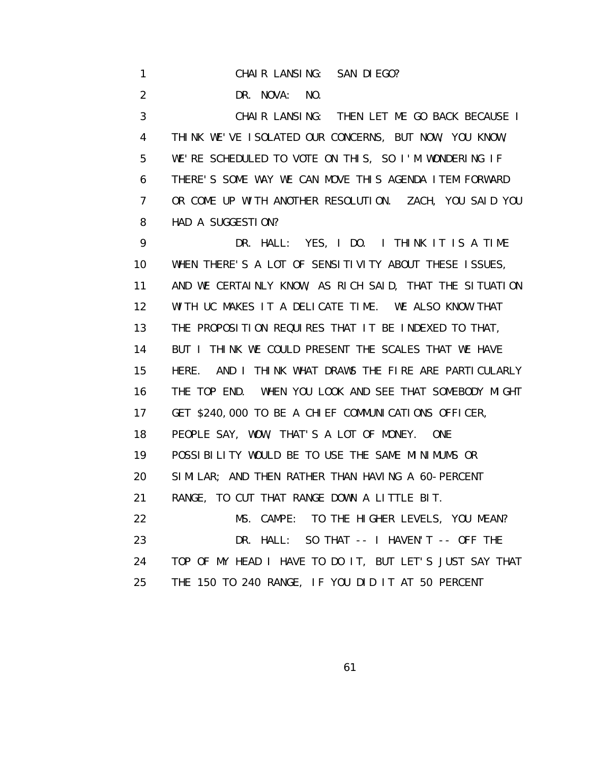1 CHAIR LANSING: SAN DIEGO?

2 DR. NOVA: NO.

 3 CHAIR LANSING: THEN LET ME GO BACK BECAUSE I 4 THINK WE'VE ISOLATED OUR CONCERNS, BUT NOW, YOU KNOW, 5 WE'RE SCHEDULED TO VOTE ON THIS, SO I'M WONDERING IF 6 THERE'S SOME WAY WE CAN MOVE THIS AGENDA ITEM FORWARD 7 OR COME UP WITH ANOTHER RESOLUTION. ZACH, YOU SAID YOU 8 HAD A SUGGESTION?

 9 DR. HALL: YES, I DO. I THINK IT IS A TIME 10 WHEN THERE'S A LOT OF SENSITIVITY ABOUT THESE ISSUES, 11 AND WE CERTAINLY KNOW, AS RICH SAID, THAT THE SITUATION 12 WITH UC MAKES IT A DELICATE TIME. WE ALSO KNOW THAT 13 THE PROPOSITION REQUIRES THAT IT BE INDEXED TO THAT, 14 BUT I THINK WE COULD PRESENT THE SCALES THAT WE HAVE 15 HERE. AND I THINK WHAT DRAWS THE FIRE ARE PARTICULARLY 16 THE TOP END. WHEN YOU LOOK AND SEE THAT SOMEBODY MIGHT 17 GET \$240,000 TO BE A CHIEF COMMUNICATIONS OFFICER, 18 PEOPLE SAY, WOW, THAT'S A LOT OF MONEY. ONE 19 POSSIBILITY WOULD BE TO USE THE SAME MINIMUMS OR 20 SIMILAR; AND THEN RATHER THAN HAVING A 60-PERCENT 21 RANGE, TO CUT THAT RANGE DOWN A LITTLE BIT. 22 MS. CAMPE: TO THE HIGHER LEVELS, YOU MEAN? 23 DR. HALL: SO THAT -- I HAVEN'T -- OFF THE 24 TOP OF MY HEAD I HAVE TO DO IT, BUT LET'S JUST SAY THAT 25 THE 150 TO 240 RANGE, IF YOU DID IT AT 50 PERCENT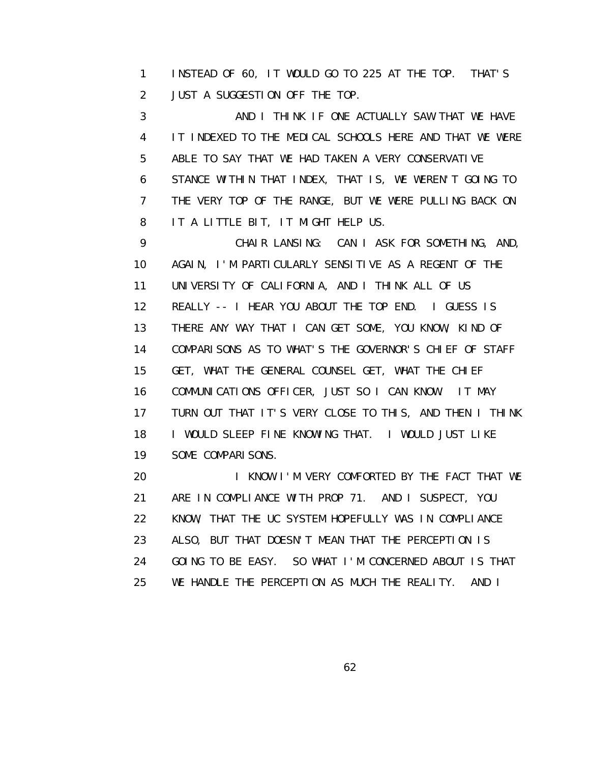1 INSTEAD OF 60, IT WOULD GO TO 225 AT THE TOP. THAT'S 2 JUST A SUGGESTION OFF THE TOP.

3 AND I THINK IF ONE ACTUALLY SAW THAT WE HAVE 4 IT INDEXED TO THE MEDICAL SCHOOLS HERE AND THAT WE WERE 5 ABLE TO SAY THAT WE HAD TAKEN A VERY CONSERVATIVE 6 STANCE WITHIN THAT INDEX, THAT IS, WE WEREN'T GOING TO 7 THE VERY TOP OF THE RANGE, BUT WE WERE PULLING BACK ON 8 IT A LITTLE BIT, IT MIGHT HELP US.

 9 CHAIR LANSING: CAN I ASK FOR SOMETHING, AND, 10 AGAIN, I'M PARTICULARLY SENSITIVE AS A REGENT OF THE 11 UNIVERSITY OF CALIFORNIA, AND I THINK ALL OF US 12 REALLY -- I HEAR YOU ABOUT THE TOP END. I GUESS IS 13 THERE ANY WAY THAT I CAN GET SOME, YOU KNOW, KIND OF 14 COMPARISONS AS TO WHAT'S THE GOVERNOR'S CHIEF OF STAFF 15 GET, WHAT THE GENERAL COUNSEL GET, WHAT THE CHIEF 16 COMMUNICATIONS OFFICER, JUST SO I CAN KNOW. IT MAY 17 TURN OUT THAT IT'S VERY CLOSE TO THIS, AND THEN I THINK 18 I WOULD SLEEP FINE KNOWING THAT. I WOULD JUST LIKE 19 SOME COMPARISONS.

20 I KNOW I'M VERY COMFORTED BY THE FACT THAT WE 21 ARE IN COMPLIANCE WITH PROP 71. AND I SUSPECT, YOU 22 KNOW, THAT THE UC SYSTEM HOPEFULLY WAS IN COMPLIANCE 23 ALSO, BUT THAT DOESN'T MEAN THAT THE PERCEPTION IS 24 GOING TO BE EASY. SO WHAT I'M CONCERNED ABOUT IS THAT 25 WE HANDLE THE PERCEPTION AS MUCH THE REALITY. AND I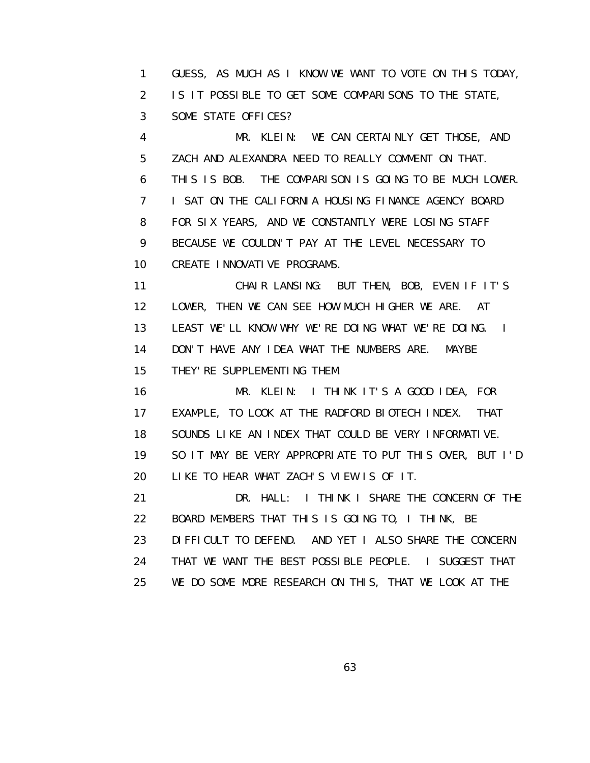1 GUESS, AS MUCH AS I KNOW WE WANT TO VOTE ON THIS TODAY, 2 IS IT POSSIBLE TO GET SOME COMPARISONS TO THE STATE, 3 SOME STATE OFFICES?

 4 MR. KLEIN: WE CAN CERTAINLY GET THOSE, AND 5 ZACH AND ALEXANDRA NEED TO REALLY COMMENT ON THAT. 6 THIS IS BOB. THE COMPARISON IS GOING TO BE MUCH LOWER. 7 I SAT ON THE CALIFORNIA HOUSING FINANCE AGENCY BOARD 8 FOR SIX YEARS, AND WE CONSTANTLY WERE LOSING STAFF 9 BECAUSE WE COULDN'T PAY AT THE LEVEL NECESSARY TO 10 CREATE INNOVATIVE PROGRAMS.

 11 CHAIR LANSING: BUT THEN, BOB, EVEN IF IT'S 12 LOWER, THEN WE CAN SEE HOW MUCH HIGHER WE ARE. AT 13 LEAST WE'LL KNOW WHY WE'RE DOING WHAT WE'RE DOING. I 14 DON'T HAVE ANY IDEA WHAT THE NUMBERS ARE. MAYBE 15 THEY'RE SUPPLEMENTING THEM.

 16 MR. KLEIN: I THINK IT'S A GOOD IDEA, FOR 17 EXAMPLE, TO LOOK AT THE RADFORD BIOTECH INDEX. THAT 18 SOUNDS LIKE AN INDEX THAT COULD BE VERY INFORMATIVE. 19 SO IT MAY BE VERY APPROPRIATE TO PUT THIS OVER, BUT I'D 20 LIKE TO HEAR WHAT ZACH'S VIEW IS OF IT.

 21 DR. HALL: I THINK I SHARE THE CONCERN OF THE 22 BOARD MEMBERS THAT THIS IS GOING TO, I THINK, BE 23 DIFFICULT TO DEFEND. AND YET I ALSO SHARE THE CONCERN 24 THAT WE WANT THE BEST POSSIBLE PEOPLE. I SUGGEST THAT 25 WE DO SOME MORE RESEARCH ON THIS, THAT WE LOOK AT THE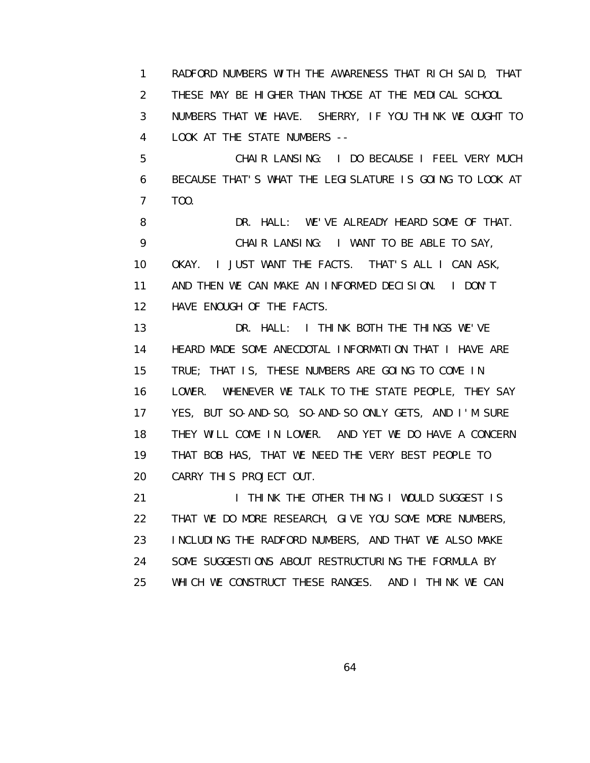1 RADFORD NUMBERS WITH THE AWARENESS THAT RICH SAID, THAT 2 THESE MAY BE HIGHER THAN THOSE AT THE MEDICAL SCHOOL

 3 NUMBERS THAT WE HAVE. SHERRY, IF YOU THINK WE OUGHT TO 4 LOOK AT THE STATE NUMBERS --

 5 CHAIR LANSING: I DO BECAUSE I FEEL VERY MUCH 6 BECAUSE THAT'S WHAT THE LEGISLATURE IS GOING TO LOOK AT 7 TOO.

8 DR. HALL: WE'VE ALREADY HEARD SOME OF THAT. 9 CHAIR LANSING: I WANT TO BE ABLE TO SAY, 10 OKAY. I JUST WANT THE FACTS. THAT'S ALL I CAN ASK, 11 AND THEN WE CAN MAKE AN INFORMED DECISION. I DON'T 12 HAVE ENOUGH OF THE FACTS.

 13 DR. HALL: I THINK BOTH THE THINGS WE'VE 14 HEARD MADE SOME ANECDOTAL INFORMATION THAT I HAVE ARE 15 TRUE; THAT IS, THESE NUMBERS ARE GOING TO COME IN 16 LOWER. WHENEVER WE TALK TO THE STATE PEOPLE, THEY SAY 17 YES, BUT SO-AND-SO, SO-AND-SO ONLY GETS, AND I'M SURE 18 THEY WILL COME IN LOWER. AND YET WE DO HAVE A CONCERN 19 THAT BOB HAS, THAT WE NEED THE VERY BEST PEOPLE TO 20 CARRY THIS PROJECT OUT.

21 **I THINK THE OTHER THING I WOULD SUGGEST IS**  22 THAT WE DO MORE RESEARCH, GIVE YOU SOME MORE NUMBERS, 23 INCLUDING THE RADFORD NUMBERS, AND THAT WE ALSO MAKE 24 SOME SUGGESTIONS ABOUT RESTRUCTURING THE FORMULA BY 25 WHICH WE CONSTRUCT THESE RANGES. AND I THINK WE CAN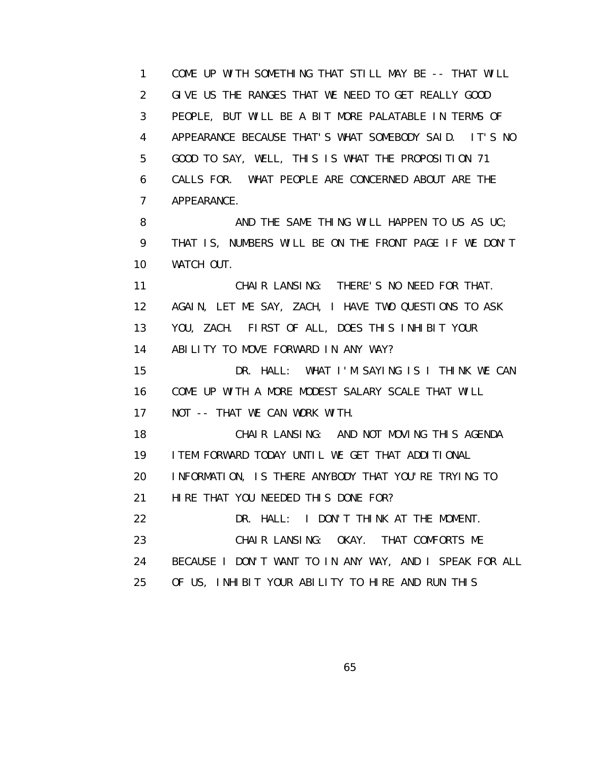1 COME UP WITH SOMETHING THAT STILL MAY BE -- THAT WILL 2 GIVE US THE RANGES THAT WE NEED TO GET REALLY GOOD 3 PEOPLE, BUT WILL BE A BIT MORE PALATABLE IN TERMS OF 4 APPEARANCE BECAUSE THAT'S WHAT SOMEBODY SAID. IT'S NO 5 GOOD TO SAY, WELL, THIS IS WHAT THE PROPOSITION 71 6 CALLS FOR. WHAT PEOPLE ARE CONCERNED ABOUT ARE THE 7 APPEARANCE.

8 AND THE SAME THING WILL HAPPEN TO US AS UC; 9 THAT IS, NUMBERS WILL BE ON THE FRONT PAGE IF WE DON'T 10 WATCH OUT.

 11 CHAIR LANSING: THERE'S NO NEED FOR THAT. 12 AGAIN, LET ME SAY, ZACH, I HAVE TWO QUESTIONS TO ASK 13 YOU, ZACH. FIRST OF ALL, DOES THIS INHIBIT YOUR 14 ABILITY TO MOVE FORWARD IN ANY WAY?

 15 DR. HALL: WHAT I'M SAYING IS I THINK WE CAN 16 COME UP WITH A MORE MODEST SALARY SCALE THAT WILL 17 NOT -- THAT WE CAN WORK WITH.

 18 CHAIR LANSING: AND NOT MOVING THIS AGENDA 19 ITEM FORWARD TODAY UNTIL WE GET THAT ADDITIONAL 20 INFORMATION, IS THERE ANYBODY THAT YOU'RE TRYING TO 21 HIRE THAT YOU NEEDED THIS DONE FOR?

 22 DR. HALL: I DON'T THINK AT THE MOMENT. 23 CHAIR LANSING: OKAY. THAT COMFORTS ME

24 BECAUSE I DON'T WANT TO IN ANY WAY, AND I SPEAK FOR ALL

25 OF US, INHIBIT YOUR ABILITY TO HIRE AND RUN THIS

 $\sim$  65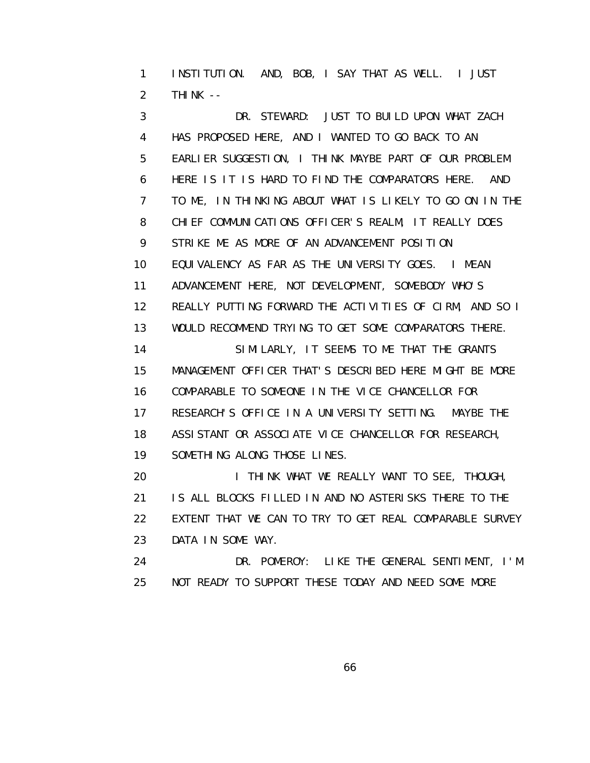1 INSTITUTION. AND, BOB, I SAY THAT AS WELL. I JUST 2 THINK --

 3 DR. STEWARD: JUST TO BUILD UPON WHAT ZACH 4 HAS PROPOSED HERE, AND I WANTED TO GO BACK TO AN 5 EARLIER SUGGESTION, I THINK MAYBE PART OF OUR PROBLEM 6 HERE IS IT IS HARD TO FIND THE COMPARATORS HERE. AND 7 TO ME, IN THINKING ABOUT WHAT IS LIKELY TO GO ON IN THE 8 CHIEF COMMUNICATIONS OFFICER'S REALM, IT REALLY DOES 9 STRIKE ME AS MORE OF AN ADVANCEMENT POSITION 10 EQUIVALENCY AS FAR AS THE UNIVERSITY GOES. I MEAN 11 ADVANCEMENT HERE, NOT DEVELOPMENT, SOMEBODY WHO'S 12 REALLY PUTTING FORWARD THE ACTIVITIES OF CIRM, AND SO I 13 WOULD RECOMMEND TRYING TO GET SOME COMPARATORS THERE. 14 SIMILARLY, IT SEEMS TO ME THAT THE GRANTS 15 MANAGEMENT OFFICER THAT'S DESCRIBED HERE MIGHT BE MORE 16 COMPARABLE TO SOMEONE IN THE VICE CHANCELLOR FOR 17 RESEARCH'S OFFICE IN A UNIVERSITY SETTING. MAYBE THE 18 ASSISTANT OR ASSOCIATE VICE CHANCELLOR FOR RESEARCH, 19 SOMETHING ALONG THOSE LINES. 20 **I THINK WHAT WE REALLY WANT TO SEE, THOUGH,** 

 21 IS ALL BLOCKS FILLED IN AND NO ASTERISKS THERE TO THE 22 EXTENT THAT WE CAN TO TRY TO GET REAL COMPARABLE SURVEY 23 DATA IN SOME WAY.

 24 DR. POMEROY: LIKE THE GENERAL SENTIMENT, I'M 25 NOT READY TO SUPPORT THESE TODAY AND NEED SOME MORE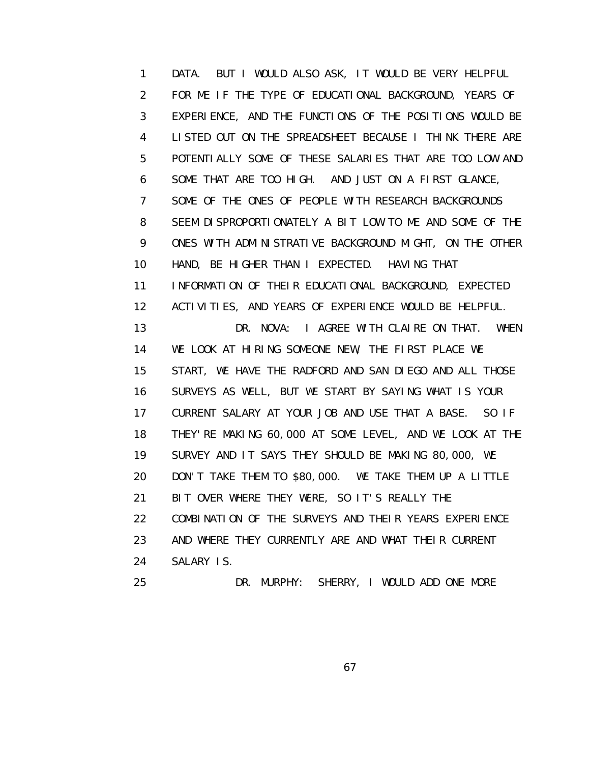1 DATA. BUT I WOULD ALSO ASK, IT WOULD BE VERY HELPFUL 2 FOR ME IF THE TYPE OF EDUCATIONAL BACKGROUND, YEARS OF 3 EXPERIENCE, AND THE FUNCTIONS OF THE POSITIONS WOULD BE 4 LISTED OUT ON THE SPREADSHEET BECAUSE I THINK THERE ARE 5 POTENTIALLY SOME OF THESE SALARIES THAT ARE TOO LOW AND 6 SOME THAT ARE TOO HIGH. AND JUST ON A FIRST GLANCE, 7 SOME OF THE ONES OF PEOPLE WITH RESEARCH BACKGROUNDS 8 SEEM DISPROPORTIONATELY A BIT LOW TO ME AND SOME OF THE 9 ONES WITH ADMINISTRATIVE BACKGROUND MIGHT, ON THE OTHER 10 HAND, BE HIGHER THAN I EXPECTED. HAVING THAT 11 INFORMATION OF THEIR EDUCATIONAL BACKGROUND, EXPECTED 12 ACTIVITIES, AND YEARS OF EXPERIENCE WOULD BE HELPFUL. 13 DR. NOVA: I AGREE WITH CLAIRE ON THAT. WHEN 14 WE LOOK AT HIRING SOMEONE NEW, THE FIRST PLACE WE 15 START, WE HAVE THE RADFORD AND SAN DIEGO AND ALL THOSE 16 SURVEYS AS WELL, BUT WE START BY SAYING WHAT IS YOUR 17 CURRENT SALARY AT YOUR JOB AND USE THAT A BASE. SO IF 18 THEY'RE MAKING 60,000 AT SOME LEVEL, AND WE LOOK AT THE 19 SURVEY AND IT SAYS THEY SHOULD BE MAKING 80,000, WE 20 DON'T TAKE THEM TO \$80,000. WE TAKE THEM UP A LITTLE 21 BIT OVER WHERE THEY WERE, SO IT'S REALLY THE 22 COMBINATION OF THE SURVEYS AND THEIR YEARS EXPERIENCE 23 AND WHERE THEY CURRENTLY ARE AND WHAT THEIR CURRENT 24 SALARY IS. 25 DR. MURPHY: SHERRY, I WOULD ADD ONE MORE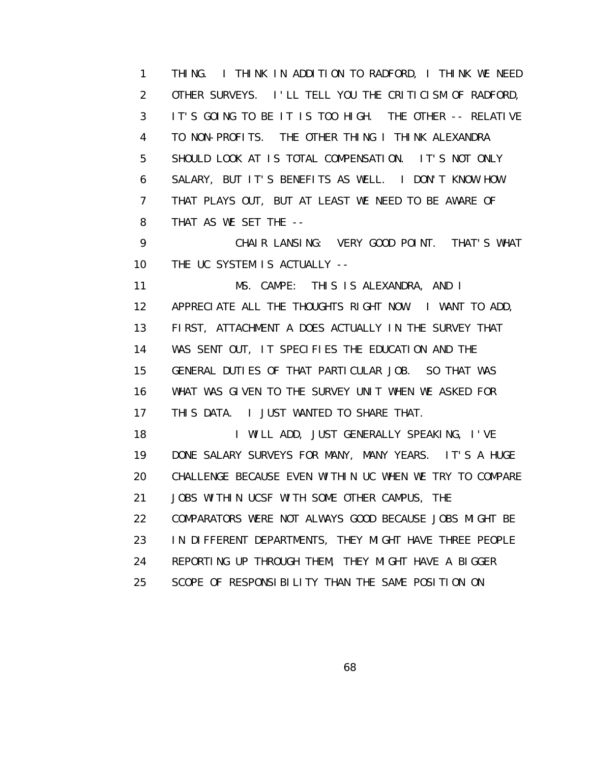1 THING. I THINK IN ADDITION TO RADFORD, I THINK WE NEED 2 OTHER SURVEYS. I'LL TELL YOU THE CRITICISM OF RADFORD, 3 IT'S GOING TO BE IT IS TOO HIGH. THE OTHER -- RELATIVE 4 TO NON-PROFITS. THE OTHER THING I THINK ALEXANDRA 5 SHOULD LOOK AT IS TOTAL COMPENSATION. IT'S NOT ONLY 6 SALARY, BUT IT'S BENEFITS AS WELL. I DON'T KNOW HOW 7 THAT PLAYS OUT, BUT AT LEAST WE NEED TO BE AWARE OF 8 THAT AS WE SET THE --

 9 CHAIR LANSING: VERY GOOD POINT. THAT'S WHAT 10 THE UC SYSTEM IS ACTUALLY --

 11 MS. CAMPE: THIS IS ALEXANDRA, AND I 12 APPRECIATE ALL THE THOUGHTS RIGHT NOW. I WANT TO ADD, 13 FIRST, ATTACHMENT A DOES ACTUALLY IN THE SURVEY THAT 14 WAS SENT OUT, IT SPECIFIES THE EDUCATION AND THE 15 GENERAL DUTIES OF THAT PARTICULAR JOB. SO THAT WAS 16 WHAT WAS GIVEN TO THE SURVEY UNIT WHEN WE ASKED FOR 17 THIS DATA. I JUST WANTED TO SHARE THAT.

18 I WILL ADD, JUST GENERALLY SPEAKING, I'VE 19 DONE SALARY SURVEYS FOR MANY, MANY YEARS. IT'S A HUGE 20 CHALLENGE BECAUSE EVEN WITHIN UC WHEN WE TRY TO COMPARE 21 JOBS WITHIN UCSF WITH SOME OTHER CAMPUS, THE 22 COMPARATORS WERE NOT ALWAYS GOOD BECAUSE JOBS MIGHT BE 23 IN DIFFERENT DEPARTMENTS, THEY MIGHT HAVE THREE PEOPLE 24 REPORTING UP THROUGH THEM, THEY MIGHT HAVE A BIGGER 25 SCOPE OF RESPONSIBILITY THAN THE SAME POSITION ON

 $\sim$  68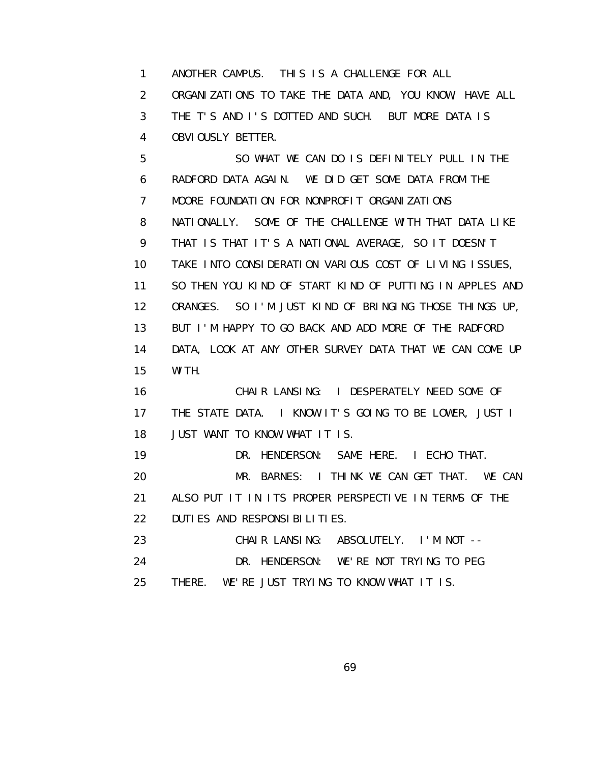1 ANOTHER CAMPUS. THIS IS A CHALLENGE FOR ALL 2 ORGANIZATIONS TO TAKE THE DATA AND, YOU KNOW, HAVE ALL 3 THE T'S AND I'S DOTTED AND SUCH. BUT MORE DATA IS 4 OBVIOUSLY BETTER.

 5 SO WHAT WE CAN DO IS DEFINITELY PULL IN THE 6 RADFORD DATA AGAIN. WE DID GET SOME DATA FROM THE 7 MOORE FOUNDATION FOR NONPROFIT ORGANIZATIONS 8 NATIONALLY. SOME OF THE CHALLENGE WITH THAT DATA LIKE 9 THAT IS THAT IT'S A NATIONAL AVERAGE, SO IT DOESN'T 10 TAKE INTO CONSIDERATION VARIOUS COST OF LIVING ISSUES, 11 SO THEN YOU KIND OF START KIND OF PUTTING IN APPLES AND 12 ORANGES. SO I'M JUST KIND OF BRINGING THOSE THINGS UP, 13 BUT I'M HAPPY TO GO BACK AND ADD MORE OF THE RADFORD 14 DATA, LOOK AT ANY OTHER SURVEY DATA THAT WE CAN COME UP 15 WITH. 16 CHAIR LANSING: I DESPERATELY NEED SOME OF 17 THE STATE DATA. I KNOW IT'S GOING TO BE LOWER, JUST I 18 JUST WANT TO KNOW WHAT IT IS.

 19 DR. HENDERSON: SAME HERE. I ECHO THAT. 20 MR. BARNES: I THINK WE CAN GET THAT. WE CAN 21 ALSO PUT IT IN ITS PROPER PERSPECTIVE IN TERMS OF THE 22 DUTIES AND RESPONSIBILITIES. 23 CHAIR LANSING: ABSOLUTELY. I'M NOT --

 24 DR. HENDERSON: WE'RE NOT TRYING TO PEG 25 THERE. WE'RE JUST TRYING TO KNOW WHAT IT IS.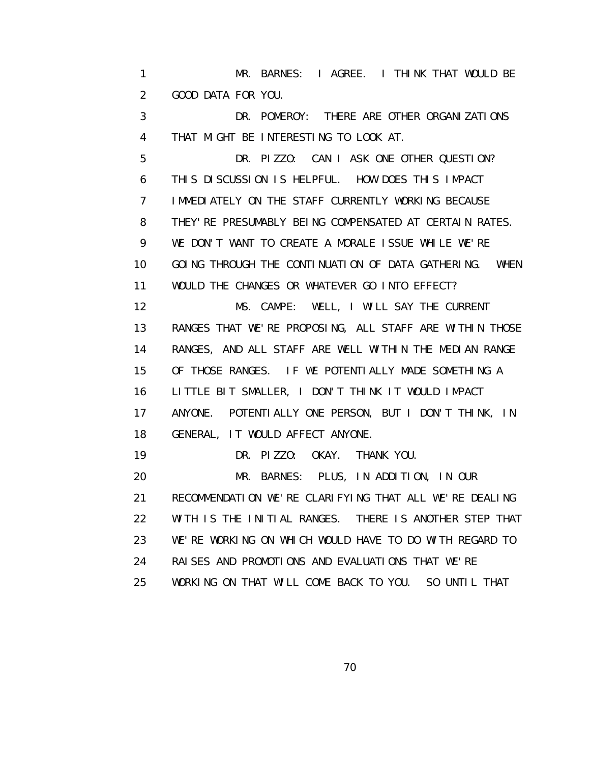1 MR. BARNES: I AGREE. I THINK THAT WOULD BE 2 GOOD DATA FOR YOU.

 3 DR. POMEROY: THERE ARE OTHER ORGANIZATIONS 4 THAT MIGHT BE INTERESTING TO LOOK AT.

 5 DR. PIZZO: CAN I ASK ONE OTHER QUESTION? 6 THIS DISCUSSION IS HELPFUL. HOW DOES THIS IMPACT 7 IMMEDIATELY ON THE STAFF CURRENTLY WORKING BECAUSE 8 THEY'RE PRESUMABLY BEING COMPENSATED AT CERTAIN RATES. 9 WE DON'T WANT TO CREATE A MORALE ISSUE WHILE WE'RE 10 GOING THROUGH THE CONTINUATION OF DATA GATHERING. WHEN 11 WOULD THE CHANGES OR WHATEVER GO INTO EFFECT? 12 MS. CAMPE: WELL, I WILL SAY THE CURRENT 13 RANGES THAT WE'RE PROPOSING, ALL STAFF ARE WITHIN THOSE 14 RANGES, AND ALL STAFF ARE WELL WITHIN THE MEDIAN RANGE 15 OF THOSE RANGES. IF WE POTENTIALLY MADE SOMETHING A 16 LITTLE BIT SMALLER, I DON'T THINK IT WOULD IMPACT 17 ANYONE. POTENTIALLY ONE PERSON, BUT I DON'T THINK, IN 18 GENERAL, IT WOULD AFFECT ANYONE. 19 DR. PIZZO: OKAY. THANK YOU. 20 MR. BARNES: PLUS, IN ADDITION, IN OUR

 21 RECOMMENDATION WE'RE CLARIFYING THAT ALL WE'RE DEALING 22 WITH IS THE INITIAL RANGES. THERE IS ANOTHER STEP THAT 23 WE'RE WORKING ON WHICH WOULD HAVE TO DO WITH REGARD TO 24 RAISES AND PROMOTIONS AND EVALUATIONS THAT WE'RE 25 WORKING ON THAT WILL COME BACK TO YOU. SO UNTIL THAT

<u>70</u>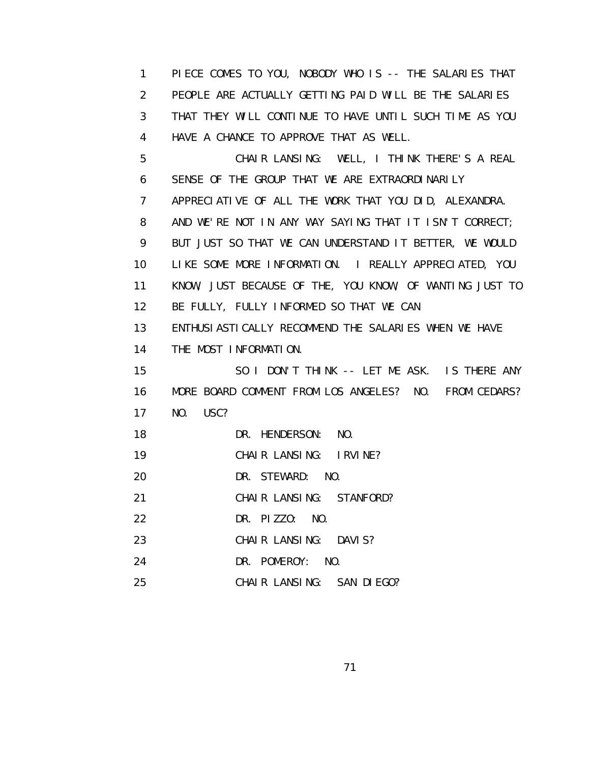1 PIECE COMES TO YOU, NOBODY WHO IS -- THE SALARIES THAT 2 PEOPLE ARE ACTUALLY GETTING PAID WILL BE THE SALARIES 3 THAT THEY WILL CONTINUE TO HAVE UNTIL SUCH TIME AS YOU 4 HAVE A CHANCE TO APPROVE THAT AS WELL. 5 CHAIR LANSING: WELL, I THINK THERE'S A REAL 6 SENSE OF THE GROUP THAT WE ARE EXTRAORDINARILY 7 APPRECIATIVE OF ALL THE WORK THAT YOU DID, ALEXANDRA. 8 AND WE'RE NOT IN ANY WAY SAYING THAT IT ISN'T CORRECT; 9 BUT JUST SO THAT WE CAN UNDERSTAND IT BETTER, WE WOULD 10 LIKE SOME MORE INFORMATION. I REALLY APPRECIATED, YOU 11 KNOW, JUST BECAUSE OF THE, YOU KNOW, OF WANTING JUST TO 12 BE FULLY, FULLY INFORMED SO THAT WE CAN 13 ENTHUSIASTICALLY RECOMMEND THE SALARIES WHEN WE HAVE 14 THE MOST INFORMATION. 15 SO I DON'T THINK -- LET ME ASK. IS THERE ANY 16 MORE BOARD COMMENT FROM LOS ANGELES? NO. FROM CEDARS? 17 NO. USC? 18 DR. HENDERSON: NO. 19 CHAIR LANSING: IRVINE? 20 DR. STEWARD: NO. 21 CHAIR LANSING: STANFORD? 22 DR. PIZZO: NO. 23 CHAIR LANSING: DAVIS? 24 DR. POMEROY: NO. 25 CHAIR LANSING: SAN DIEGO?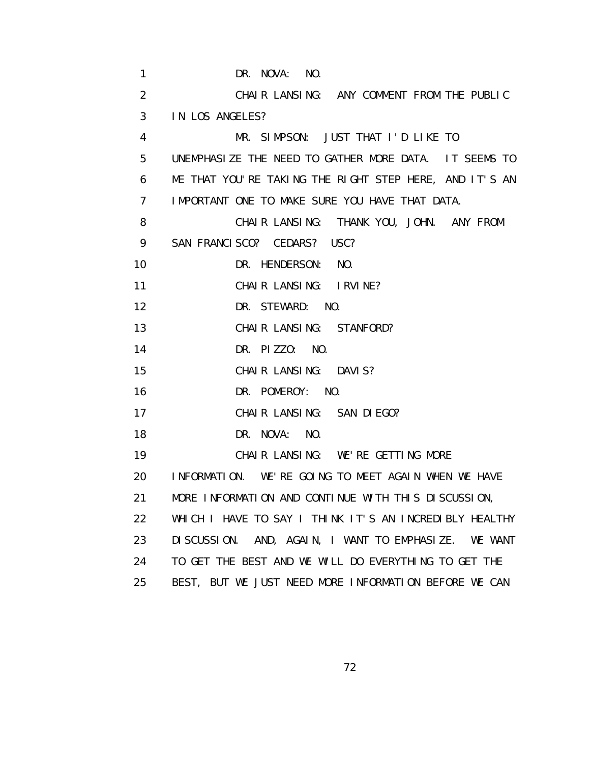| $\mathbf{1}$    | DR. NOVA: NO.                                                   |
|-----------------|-----------------------------------------------------------------|
| $\overline{2}$  | CHAIR LANSING: ANY COMMENT FROM THE PUBLIC                      |
| 3               | IN LOS ANGELES?                                                 |
| 4               | MR. SIMPSON: JUST THAT I'D LIKE TO                              |
| 5               | UNEMPHASIZE THE NEED TO GATHER MORE DATA. IT SEEMS TO           |
| 6               | ME THAT YOU'RE TAKING THE RIGHT STEP HERE, AND IT'S AN          |
| $\overline{7}$  | I MPORTANT ONE TO MAKE SURE YOU HAVE THAT DATA.                 |
| 8               | CHAIR LANSING: THANK YOU, JOHN. ANY FROM                        |
| 9               | SAN FRANCISCO? CEDARS? USC?                                     |
| 10              | DR. HENDERSON: NO.                                              |
| 11              | CHAIR LANSING: IRVINE?                                          |
| 12              | DR. STEWARD: NO.                                                |
| 13              | CHAIR LANSING: STANFORD?                                        |
| 14              | DR. PIZZO: NO.                                                  |
| 15              | CHAIR LANSING: DAVIS?                                           |
| 16              | DR. POMEROY: NO.                                                |
| 17              | CHAIR LANSING: SAN DIEGO?                                       |
| 18              | DR. NOVA: NO.                                                   |
| 19              | CHAIR LANSING: WE'RE GETTING MORE                               |
| 20              | INFORMATION. WE'RE GOING TO MEET AGAIN WHEN WE HAVE             |
| 21 <sup>1</sup> | MORE INFORMATION AND CONTINUE WITH THIS DISCUSSION,             |
| 22              | WHICH I HAVE TO SAY I THINK IT'S AN INCREDIBLY HEALTHY          |
| 23              | DI SCUSSION. AND, AGAIN, I WANT TO EMPHASIZE.<br><b>WE WANT</b> |
| 24              | TO GET THE BEST AND WE WILL DO EVERYTHING TO GET THE            |
| 25              | BEST, BUT WE JUST NEED MORE INFORMATION BEFORE WE CAN           |

<u>72</u>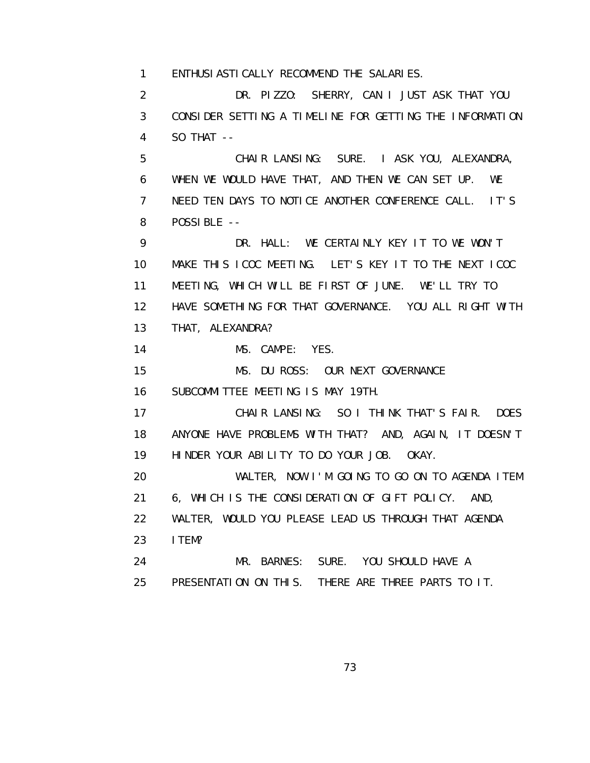1 ENTHUSIASTICALLY RECOMMEND THE SALARIES.

 2 DR. PIZZO: SHERRY, CAN I JUST ASK THAT YOU 3 CONSIDER SETTING A TIMELINE FOR GETTING THE INFORMATION 4 SO THAT --

 5 CHAIR LANSING: SURE. I ASK YOU, ALEXANDRA, 6 WHEN WE WOULD HAVE THAT, AND THEN WE CAN SET UP. WE 7 NEED TEN DAYS TO NOTICE ANOTHER CONFERENCE CALL. IT'S 8 POSSIBLE --

 9 DR. HALL: WE CERTAINLY KEY IT TO WE WON'T 10 MAKE THIS ICOC MEETING. LET'S KEY IT TO THE NEXT ICOC 11 MEETING, WHICH WILL BE FIRST OF JUNE. WE'LL TRY TO 12 HAVE SOMETHING FOR THAT GOVERNANCE. YOU ALL RIGHT WITH 13 THAT, ALEXANDRA?

14 MS. CAMPE: YES.

15 MS. DU ROSS: OUR NEXT GOVERNANCE

16 SUBCOMMITTEE MEETING IS MAY 19TH.

 17 CHAIR LANSING: SO I THINK THAT'S FAIR. DOES 18 ANYONE HAVE PROBLEMS WITH THAT? AND, AGAIN, IT DOESN'T 19 HINDER YOUR ABILITY TO DO YOUR JOB. OKAY.

 20 WALTER, NOW I'M GOING TO GO ON TO AGENDA ITEM 21 6, WHICH IS THE CONSIDERATION OF GIFT POLICY. AND, 22 WALTER, WOULD YOU PLEASE LEAD US THROUGH THAT AGENDA 23 ITEM?

 24 MR. BARNES: SURE. YOU SHOULD HAVE A 25 PRESENTATION ON THIS. THERE ARE THREE PARTS TO IT.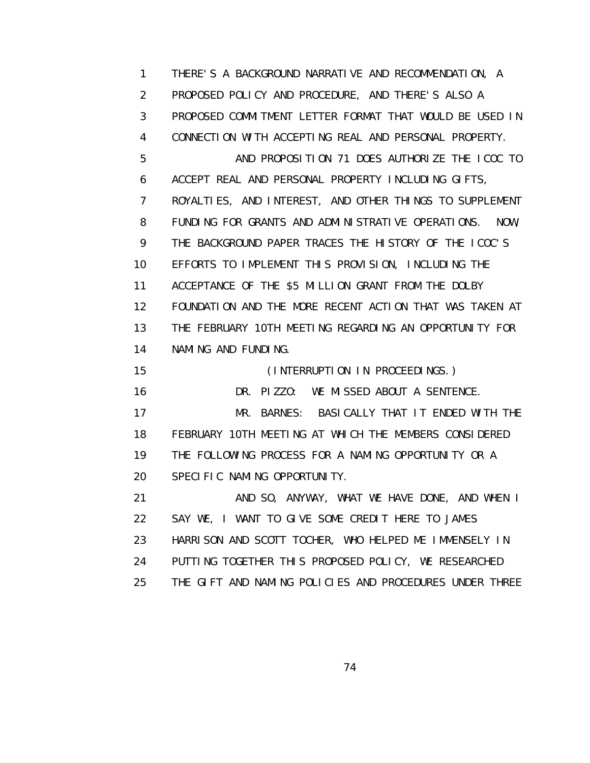1 THERE'S A BACKGROUND NARRATIVE AND RECOMMENDATION, A 2 PROPOSED POLICY AND PROCEDURE, AND THERE'S ALSO A 3 PROPOSED COMMITMENT LETTER FORMAT THAT WOULD BE USED IN 4 CONNECTION WITH ACCEPTING REAL AND PERSONAL PROPERTY. 5 AND PROPOSITION 71 DOES AUTHORIZE THE ICOC TO 6 ACCEPT REAL AND PERSONAL PROPERTY INCLUDING GIFTS, 7 ROYALTIES, AND INTEREST, AND OTHER THINGS TO SUPPLEMENT 8 FUNDING FOR GRANTS AND ADMINISTRATIVE OPERATIONS. NOW, 9 THE BACKGROUND PAPER TRACES THE HISTORY OF THE ICOC'S 10 EFFORTS TO IMPLEMENT THIS PROVISION, INCLUDING THE 11 ACCEPTANCE OF THE \$5 MILLION GRANT FROM THE DOLBY 12 FOUNDATION AND THE MORE RECENT ACTION THAT WAS TAKEN AT 13 THE FEBRUARY 10TH MEETING REGARDING AN OPPORTUNITY FOR 14 NAMING AND FUNDING. 15 (INTERRUPTION IN PROCEEDINGS.) 16 DR. PIZZO: WE MISSED ABOUT A SENTENCE. 17 MR. BARNES: BASICALLY THAT IT ENDED WITH THE 18 FEBRUARY 10TH MEETING AT WHICH THE MEMBERS CONSIDERED 19 THE FOLLOWING PROCESS FOR A NAMING OPPORTUNITY OR A 20 SPECIFIC NAMING OPPORTUNITY. 21 AND SO, ANYWAY, WHAT WE HAVE DONE, AND WHEN I 22 SAY WE, I WANT TO GIVE SOME CREDIT HERE TO JAMES 23 HARRISON AND SCOTT TOCHER, WHO HELPED ME IMMENSELY IN 24 PUTTING TOGETHER THIS PROPOSED POLICY, WE RESEARCHED 25 THE GIFT AND NAMING POLICIES AND PROCEDURES UNDER THREE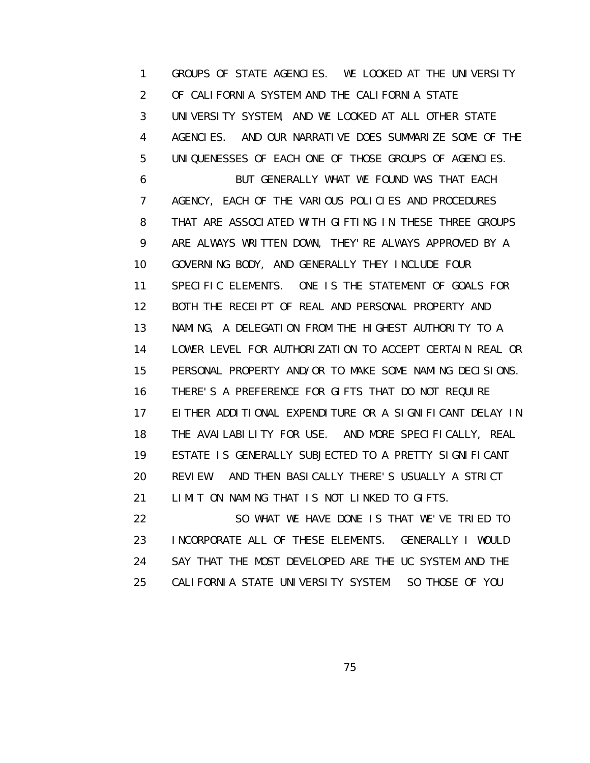1 GROUPS OF STATE AGENCIES. WE LOOKED AT THE UNIVERSITY 2 OF CALIFORNIA SYSTEM AND THE CALIFORNIA STATE 3 UNIVERSITY SYSTEM, AND WE LOOKED AT ALL OTHER STATE 4 AGENCIES. AND OUR NARRATIVE DOES SUMMARIZE SOME OF THE 5 UNIQUENESSES OF EACH ONE OF THOSE GROUPS OF AGENCIES. 6 BUT GENERALLY WHAT WE FOUND WAS THAT EACH 7 AGENCY, EACH OF THE VARIOUS POLICIES AND PROCEDURES 8 THAT ARE ASSOCIATED WITH GIFTING IN THESE THREE GROUPS 9 ARE ALWAYS WRITTEN DOWN, THEY'RE ALWAYS APPROVED BY A 10 GOVERNING BODY, AND GENERALLY THEY INCLUDE FOUR 11 SPECIFIC ELEMENTS. ONE IS THE STATEMENT OF GOALS FOR 12 BOTH THE RECEIPT OF REAL AND PERSONAL PROPERTY AND 13 NAMING, A DELEGATION FROM THE HIGHEST AUTHORITY TO A 14 LOWER LEVEL FOR AUTHORIZATION TO ACCEPT CERTAIN REAL OR 15 PERSONAL PROPERTY AND/OR TO MAKE SOME NAMING DECISIONS. 16 THERE'S A PREFERENCE FOR GIFTS THAT DO NOT REQUIRE 17 EITHER ADDITIONAL EXPENDITURE OR A SIGNIFICANT DELAY IN 18 THE AVAILABILITY FOR USE. AND MORE SPECIFICALLY, REAL 19 ESTATE IS GENERALLY SUBJECTED TO A PRETTY SIGNIFICANT 20 REVIEW. AND THEN BASICALLY THERE'S USUALLY A STRICT 21 LIMIT ON NAMING THAT IS NOT LINKED TO GIFTS. 22 SO WHAT WE HAVE DONE IS THAT WE'VE TRIED TO 23 INCORPORATE ALL OF THESE ELEMENTS. GENERALLY I WOULD

 24 SAY THAT THE MOST DEVELOPED ARE THE UC SYSTEM AND THE 25 CALIFORNIA STATE UNIVERSITY SYSTEM. SO THOSE OF YOU

<u>75 and 2012 and 2013 and 2014 and 2014 and 2014 and 2014 and 2014 and 2014 and 2014 and 2014 and 2014 and 201</u>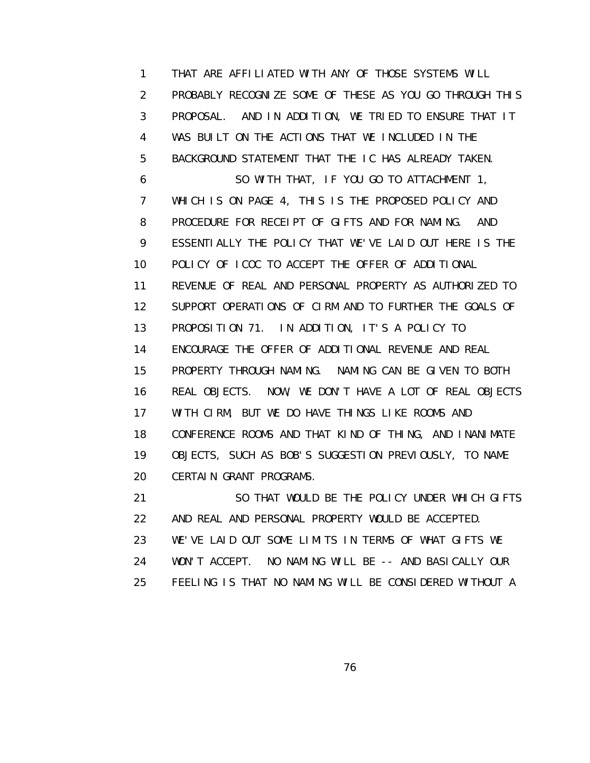1 THAT ARE AFFILIATED WITH ANY OF THOSE SYSTEMS WILL 2 PROBABLY RECOGNIZE SOME OF THESE AS YOU GO THROUGH THIS 3 PROPOSAL. AND IN ADDITION, WE TRIED TO ENSURE THAT IT 4 WAS BUILT ON THE ACTIONS THAT WE INCLUDED IN THE 5 BACKGROUND STATEMENT THAT THE IC HAS ALREADY TAKEN. 6 SO WITH THAT, IF YOU GO TO ATTACHMENT 1, 7 WHICH IS ON PAGE 4, THIS IS THE PROPOSED POLICY AND 8 PROCEDURE FOR RECEIPT OF GIFTS AND FOR NAMING. AND 9 ESSENTIALLY THE POLICY THAT WE'VE LAID OUT HERE IS THE 10 POLICY OF ICOC TO ACCEPT THE OFFER OF ADDITIONAL 11 REVENUE OF REAL AND PERSONAL PROPERTY AS AUTHORIZED TO 12 SUPPORT OPERATIONS OF CIRM AND TO FURTHER THE GOALS OF 13 PROPOSITION 71. IN ADDITION, IT'S A POLICY TO 14 ENCOURAGE THE OFFER OF ADDITIONAL REVENUE AND REAL 15 PROPERTY THROUGH NAMING. NAMING CAN BE GIVEN TO BOTH 16 REAL OBJECTS. NOW, WE DON'T HAVE A LOT OF REAL OBJECTS 17 WITH CIRM, BUT WE DO HAVE THINGS LIKE ROOMS AND 18 CONFERENCE ROOMS AND THAT KIND OF THING, AND INANIMATE 19 OBJECTS, SUCH AS BOB'S SUGGESTION PREVIOUSLY, TO NAME 20 CERTAIN GRANT PROGRAMS. 21 SO THAT WOULD BE THE POLICY UNDER WHICH GIFTS

 22 AND REAL AND PERSONAL PROPERTY WOULD BE ACCEPTED. 23 WE'VE LAID OUT SOME LIMITS IN TERMS OF WHAT GIFTS WE 24 WON'T ACCEPT. NO NAMING WILL BE -- AND BASICALLY OUR 25 FEELING IS THAT NO NAMING WILL BE CONSIDERED WITHOUT A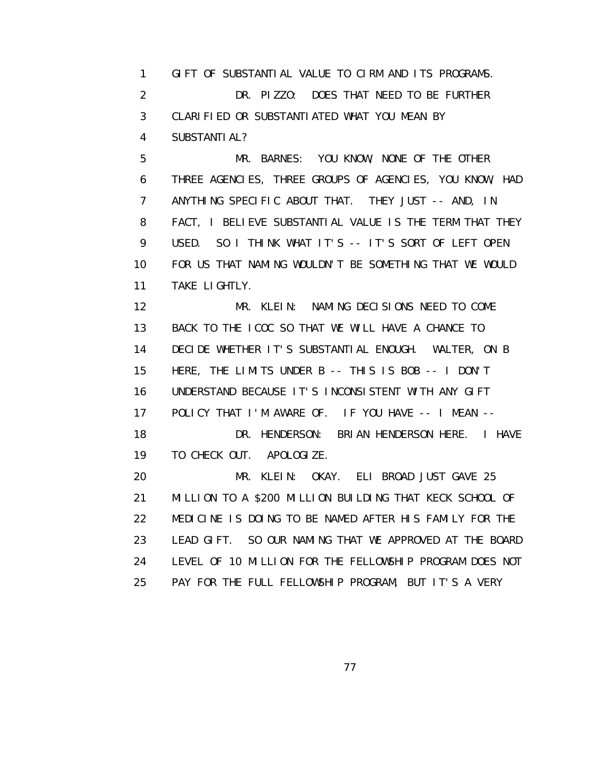1 GIFT OF SUBSTANTIAL VALUE TO CIRM AND ITS PROGRAMS. 2 DR. PIZZO: DOES THAT NEED TO BE FURTHER 3 CLARIFIED OR SUBSTANTIATED WHAT YOU MEAN BY 4 SUBSTANTIAL?

 5 MR. BARNES: YOU KNOW, NONE OF THE OTHER 6 THREE AGENCIES, THREE GROUPS OF AGENCIES, YOU KNOW, HAD 7 ANYTHING SPECIFIC ABOUT THAT. THEY JUST -- AND, IN 8 FACT, I BELIEVE SUBSTANTIAL VALUE IS THE TERM THAT THEY 9 USED. SO I THINK WHAT IT'S -- IT'S SORT OF LEFT OPEN 10 FOR US THAT NAMING WOULDN'T BE SOMETHING THAT WE WOULD 11 TAKE LIGHTLY.

 12 MR. KLEIN: NAMING DECISIONS NEED TO COME 13 BACK TO THE ICOC SO THAT WE WILL HAVE A CHANCE TO 14 DECIDE WHETHER IT'S SUBSTANTIAL ENOUGH. WALTER, ON B 15 HERE, THE LIMITS UNDER B -- THIS IS BOB -- I DON'T 16 UNDERSTAND BECAUSE IT'S INCONSISTENT WITH ANY GIFT 17 POLICY THAT I'M AWARE OF. IF YOU HAVE -- I MEAN -- 18 DR. HENDERSON: BRIAN HENDERSON HERE. I HAVE 19 TO CHECK OUT. APOLOGIZE.

 20 MR. KLEIN: OKAY. ELI BROAD JUST GAVE 25 21 MILLION TO A \$200 MILLION BUILDING THAT KECK SCHOOL OF 22 MEDICINE IS DOING TO BE NAMED AFTER HIS FAMILY FOR THE 23 LEAD GIFT. SO OUR NAMING THAT WE APPROVED AT THE BOARD 24 LEVEL OF 10 MILLION FOR THE FELLOWSHIP PROGRAM DOES NOT 25 PAY FOR THE FULL FELLOWSHIP PROGRAM, BUT IT'S A VERY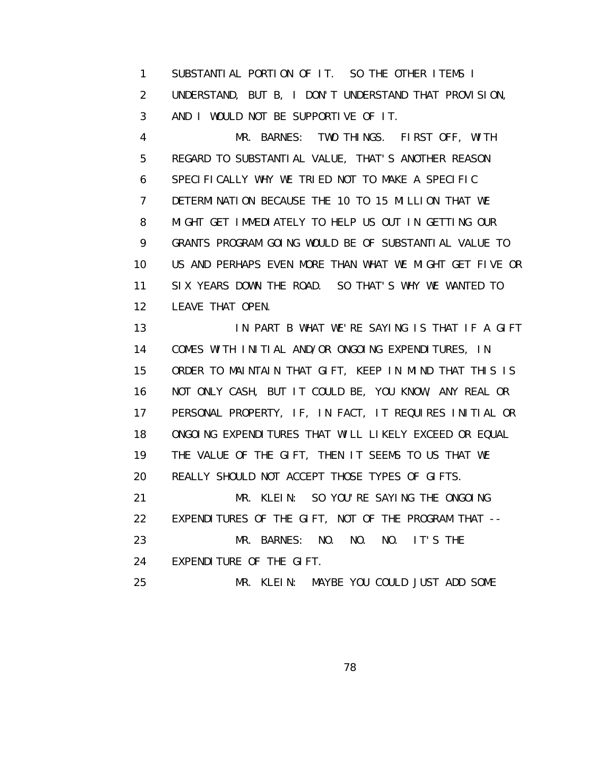1 SUBSTANTIAL PORTION OF IT. SO THE OTHER ITEMS I 2 UNDERSTAND, BUT B, I DON'T UNDERSTAND THAT PROVISION, 3 AND I WOULD NOT BE SUPPORTIVE OF IT.

 4 MR. BARNES: TWO THINGS. FIRST OFF, WITH 5 REGARD TO SUBSTANTIAL VALUE, THAT'S ANOTHER REASON 6 SPECIFICALLY WHY WE TRIED NOT TO MAKE A SPECIFIC 7 DETERMINATION BECAUSE THE 10 TO 15 MILLION THAT WE 8 MIGHT GET IMMEDIATELY TO HELP US OUT IN GETTING OUR 9 GRANTS PROGRAM GOING WOULD BE OF SUBSTANTIAL VALUE TO 10 US AND PERHAPS EVEN MORE THAN WHAT WE MIGHT GET FIVE OR 11 SIX YEARS DOWN THE ROAD. SO THAT'S WHY WE WANTED TO 12 LEAVE THAT OPEN.

 13 IN PART B WHAT WE'RE SAYING IS THAT IF A GIFT 14 COMES WITH INITIAL AND/OR ONGOING EXPENDITURES, IN 15 ORDER TO MAINTAIN THAT GIFT, KEEP IN MIND THAT THIS IS 16 NOT ONLY CASH, BUT IT COULD BE, YOU KNOW, ANY REAL OR 17 PERSONAL PROPERTY, IF, IN FACT, IT REQUIRES INITIAL OR 18 ONGOING EXPENDITURES THAT WILL LIKELY EXCEED OR EQUAL 19 THE VALUE OF THE GIFT, THEN IT SEEMS TO US THAT WE 20 REALLY SHOULD NOT ACCEPT THOSE TYPES OF GIFTS. 21 MR. KLEIN: SO YOU'RE SAYING THE ONGOING 22 EXPENDITURES OF THE GIFT, NOT OF THE PROGRAM THAT -- 23 MR. BARNES: NO. NO. NO. IT'S THE 24 EXPENDITURE OF THE GIFT. 25 MR. KLEIN: MAYBE YOU COULD JUST ADD SOME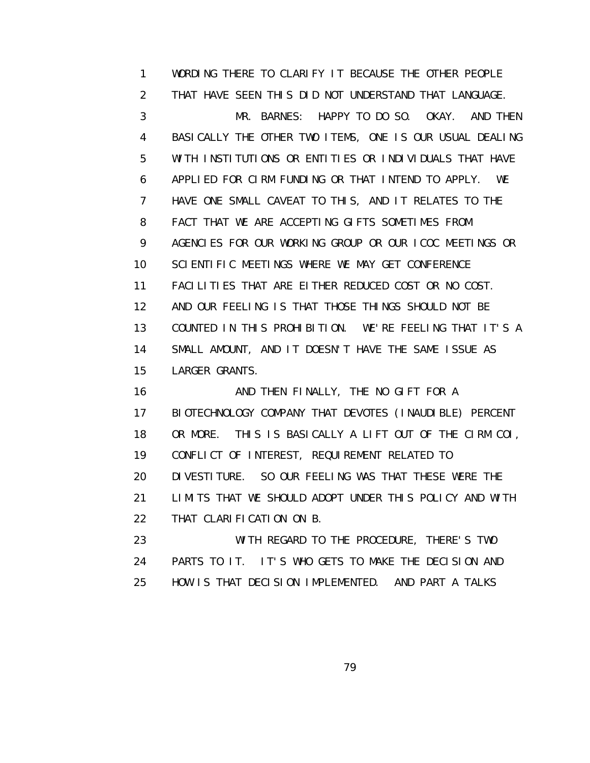1 WORDING THERE TO CLARIFY IT BECAUSE THE OTHER PEOPLE 2 THAT HAVE SEEN THIS DID NOT UNDERSTAND THAT LANGUAGE. 3 MR. BARNES: HAPPY TO DO SO. OKAY. AND THEN 4 BASICALLY THE OTHER TWO ITEMS, ONE IS OUR USUAL DEALING 5 WITH INSTITUTIONS OR ENTITIES OR INDIVIDUALS THAT HAVE 6 APPLIED FOR CIRM FUNDING OR THAT INTEND TO APPLY. WE 7 HAVE ONE SMALL CAVEAT TO THIS, AND IT RELATES TO THE 8 FACT THAT WE ARE ACCEPTING GIFTS SOMETIMES FROM 9 AGENCIES FOR OUR WORKING GROUP OR OUR ICOC MEETINGS OR 10 SCIENTIFIC MEETINGS WHERE WE MAY GET CONFERENCE 11 FACILITIES THAT ARE EITHER REDUCED COST OR NO COST. 12 AND OUR FEELING IS THAT THOSE THINGS SHOULD NOT BE 13 COUNTED IN THIS PROHIBITION. WE'RE FEELING THAT IT'S A 14 SMALL AMOUNT, AND IT DOESN'T HAVE THE SAME ISSUE AS 15 LARGER GRANTS.

16 AND THEN FINALLY, THE NO GIFT FOR A 17 BIOTECHNOLOGY COMPANY THAT DEVOTES (INAUDIBLE) PERCENT 18 OR MORE. THIS IS BASICALLY A LIFT OUT OF THE CIRM COI, 19 CONFLICT OF INTEREST, REQUIREMENT RELATED TO 20 DIVESTITURE. SO OUR FEELING WAS THAT THESE WERE THE 21 LIMITS THAT WE SHOULD ADOPT UNDER THIS POLICY AND WITH 22 THAT CLARIFICATION ON B. 23 WITH REGARD TO THE PROCEDURE, THERE'S TWO

 24 PARTS TO IT. IT'S WHO GETS TO MAKE THE DECISION AND 25 HOW IS THAT DECISION IMPLEMENTED. AND PART A TALKS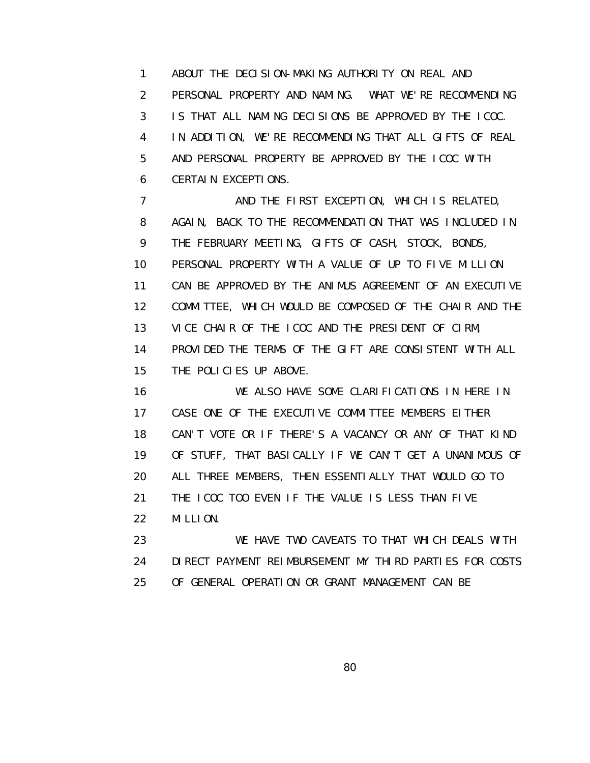1 ABOUT THE DECISION-MAKING AUTHORITY ON REAL AND 2 PERSONAL PROPERTY AND NAMING. WHAT WE'RE RECOMMENDING 3 IS THAT ALL NAMING DECISIONS BE APPROVED BY THE ICOC. 4 IN ADDITION, WE'RE RECOMMENDING THAT ALL GIFTS OF REAL 5 AND PERSONAL PROPERTY BE APPROVED BY THE ICOC WITH 6 CERTAIN EXCEPTIONS.

7 AND THE FIRST EXCEPTION, WHICH IS RELATED, 8 AGAIN, BACK TO THE RECOMMENDATION THAT WAS INCLUDED IN 9 THE FEBRUARY MEETING, GIFTS OF CASH, STOCK, BONDS, 10 PERSONAL PROPERTY WITH A VALUE OF UP TO FIVE MILLION 11 CAN BE APPROVED BY THE ANIMUS AGREEMENT OF AN EXECUTIVE 12 COMMITTEE, WHICH WOULD BE COMPOSED OF THE CHAIR AND THE 13 VICE CHAIR OF THE ICOC AND THE PRESIDENT OF CIRM, 14 PROVIDED THE TERMS OF THE GIFT ARE CONSISTENT WITH ALL 15 THE POLICIES UP ABOVE.

 16 WE ALSO HAVE SOME CLARIFICATIONS IN HERE IN 17 CASE ONE OF THE EXECUTIVE COMMITTEE MEMBERS EITHER 18 CAN'T VOTE OR IF THERE'S A VACANCY OR ANY OF THAT KIND 19 OF STUFF, THAT BASICALLY IF WE CAN'T GET A UNANIMOUS OF 20 ALL THREE MEMBERS, THEN ESSENTIALLY THAT WOULD GO TO 21 THE ICOC TOO EVEN IF THE VALUE IS LESS THAN FIVE 22 MILLION.

 23 WE HAVE TWO CAVEATS TO THAT WHICH DEALS WITH 24 DIRECT PAYMENT REIMBURSEMENT MY THIRD PARTIES FOR COSTS 25 OF GENERAL OPERATION OR GRANT MANAGEMENT CAN BE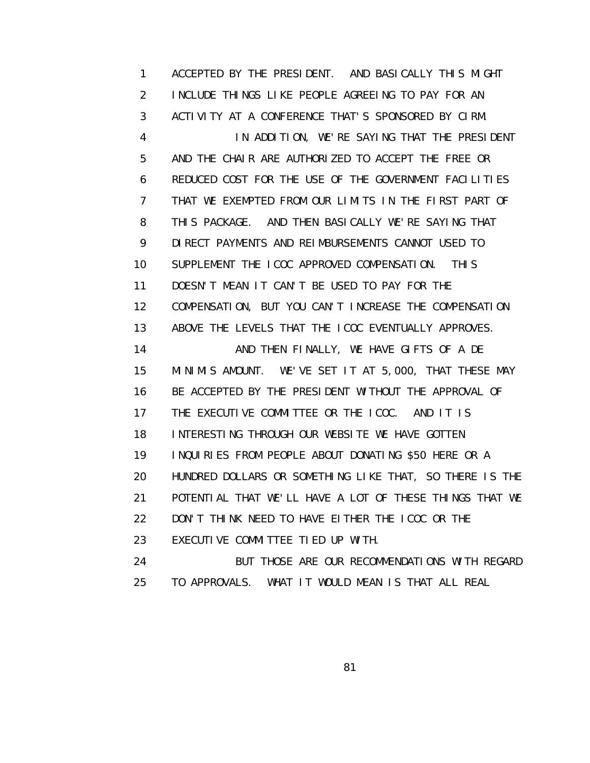1 ACCEPTED BY THE PRESIDENT. AND BASICALLY THIS MIGHT 2 INCLUDE THINGS LIKE PEOPLE AGREEING TO PAY FOR AN 3 ACTIVITY AT A CONFERENCE THAT'S SPONSORED BY CIRM. 4 IN ADDITION, WE'RE SAYING THAT THE PRESIDENT 5 AND THE CHAIR ARE AUTHORIZED TO ACCEPT THE FREE OR 6 REDUCED COST FOR THE USE OF THE GOVERNMENT FACILITIES 7 THAT WE EXEMPTED FROM OUR LIMITS IN THE FIRST PART OF 8 THIS PACKAGE. AND THEN BASICALLY WE'RE SAYING THAT 9 DIRECT PAYMENTS AND REIMBURSEMENTS CANNOT USED TO 10 SUPPLEMENT THE ICOC APPROVED COMPENSATION. THIS 11 DOESN'T MEAN IT CAN'T BE USED TO PAY FOR THE 12 COMPENSATION, BUT YOU CAN'T INCREASE THE COMPENSATION 13 ABOVE THE LEVELS THAT THE ICOC EVENTUALLY APPROVES. 14 AND THEN FINALLY, WE HAVE GIFTS OF A DE 15 MINIMIS AMOUNT. WE'VE SET IT AT 5,000, THAT THESE MAY 16 BE ACCEPTED BY THE PRESIDENT WITHOUT THE APPROVAL OF 17 THE EXECUTIVE COMMITTEE OR THE ICOC. AND IT IS 18 INTERESTING THROUGH OUR WEBSITE WE HAVE GOTTEN 19 INQUIRIES FROM PEOPLE ABOUT DONATING \$50 HERE OR A 20 HUNDRED DOLLARS OR SOMETHING LIKE THAT, SO THERE IS THE 21 POTENTIAL THAT WE'LL HAVE A LOT OF THESE THINGS THAT WE 22 DON'T THINK NEED TO HAVE EITHER THE ICOC OR THE 23 EXECUTIVE COMMITTEE TIED UP WITH. 24 BUT THOSE ARE OUR RECOMMENDATIONS WITH REGARD 25 TO APPROVALS. WHAT IT WOULD MEAN IS THAT ALL REAL

en and the state of the state of the State of the State of the State of the State of the State of the State of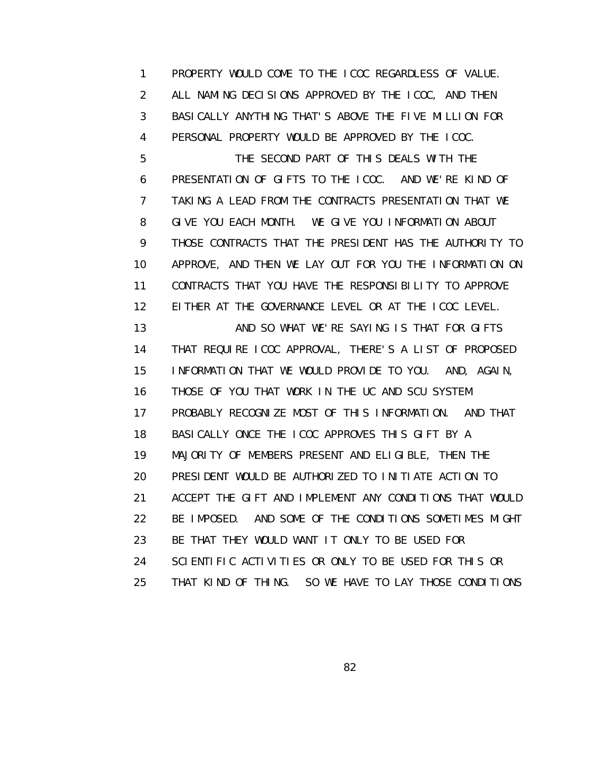1 PROPERTY WOULD COME TO THE ICOC REGARDLESS OF VALUE. 2 ALL NAMING DECISIONS APPROVED BY THE ICOC, AND THEN 3 BASICALLY ANYTHING THAT'S ABOVE THE FIVE MILLION FOR 4 PERSONAL PROPERTY WOULD BE APPROVED BY THE ICOC. 5 THE SECOND PART OF THIS DEALS WITH THE 6 PRESENTATION OF GIFTS TO THE ICOC. AND WE'RE KIND OF 7 TAKING A LEAD FROM THE CONTRACTS PRESENTATION THAT WE 8 GIVE YOU EACH MONTH. WE GIVE YOU INFORMATION ABOUT 9 THOSE CONTRACTS THAT THE PRESIDENT HAS THE AUTHORITY TO 10 APPROVE, AND THEN WE LAY OUT FOR YOU THE INFORMATION ON 11 CONTRACTS THAT YOU HAVE THE RESPONSIBILITY TO APPROVE 12 EITHER AT THE GOVERNANCE LEVEL OR AT THE ICOC LEVEL. 13 **AND SO WHAT WE'RE SAYING IS THAT FOR GIFTS**  14 THAT REQUIRE ICOC APPROVAL, THERE'S A LIST OF PROPOSED 15 INFORMATION THAT WE WOULD PROVIDE TO YOU. AND, AGAIN, 16 THOSE OF YOU THAT WORK IN THE UC AND SCU SYSTEM 17 PROBABLY RECOGNIZE MOST OF THIS INFORMATION. AND THAT 18 BASICALLY ONCE THE ICOC APPROVES THIS GIFT BY A 19 MAJORITY OF MEMBERS PRESENT AND ELIGIBLE, THEN THE 20 PRESIDENT WOULD BE AUTHORIZED TO INITIATE ACTION TO 21 ACCEPT THE GIFT AND IMPLEMENT ANY CONDITIONS THAT WOULD 22 BE IMPOSED. AND SOME OF THE CONDITIONS SOMETIMES MIGHT 23 BE THAT THEY WOULD WANT IT ONLY TO BE USED FOR 24 SCIENTIFIC ACTIVITIES OR ONLY TO BE USED FOR THIS OR 25 THAT KIND OF THING. SO WE HAVE TO LAY THOSE CONDITIONS

<u>82 and 2014 and 2014 and 2014 and 2014 and 2014 and 2014 and 2014 and 2014 and 2014 and 2014 and 2014 and 201</u>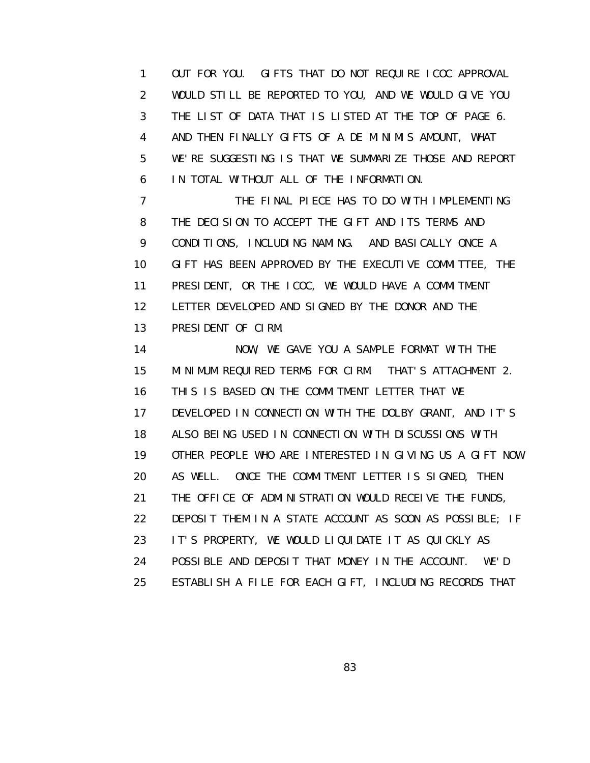1 OUT FOR YOU. GIFTS THAT DO NOT REQUIRE ICOC APPROVAL 2 WOULD STILL BE REPORTED TO YOU, AND WE WOULD GIVE YOU 3 THE LIST OF DATA THAT IS LISTED AT THE TOP OF PAGE 6. 4 AND THEN FINALLY GIFTS OF A DE MINIMIS AMOUNT, WHAT 5 WE'RE SUGGESTING IS THAT WE SUMMARIZE THOSE AND REPORT 6 IN TOTAL WITHOUT ALL OF THE INFORMATION.

 7 THE FINAL PIECE HAS TO DO WITH IMPLEMENTING 8 THE DECISION TO ACCEPT THE GIFT AND ITS TERMS AND 9 CONDITIONS, INCLUDING NAMING. AND BASICALLY ONCE A 10 GIFT HAS BEEN APPROVED BY THE EXECUTIVE COMMITTEE, THE 11 PRESIDENT, OR THE ICOC, WE WOULD HAVE A COMMITMENT 12 LETTER DEVELOPED AND SIGNED BY THE DONOR AND THE 13 PRESIDENT OF CIRM.

 14 NOW, WE GAVE YOU A SAMPLE FORMAT WITH THE 15 MINIMUM REQUIRED TERMS FOR CIRM. THAT'S ATTACHMENT 2. 16 THIS IS BASED ON THE COMMITMENT LETTER THAT WE 17 DEVELOPED IN CONNECTION WITH THE DOLBY GRANT, AND IT'S 18 ALSO BEING USED IN CONNECTION WITH DISCUSSIONS WITH 19 OTHER PEOPLE WHO ARE INTERESTED IN GIVING US A GIFT NOW 20 AS WELL. ONCE THE COMMITMENT LETTER IS SIGNED, THEN 21 THE OFFICE OF ADMINISTRATION WOULD RECEIVE THE FUNDS, 22 DEPOSIT THEM IN A STATE ACCOUNT AS SOON AS POSSIBLE; IF 23 IT'S PROPERTY, WE WOULD LIQUIDATE IT AS QUICKLY AS 24 POSSIBLE AND DEPOSIT THAT MONEY IN THE ACCOUNT. WE'D 25 ESTABLISH A FILE FOR EACH GIFT, INCLUDING RECORDS THAT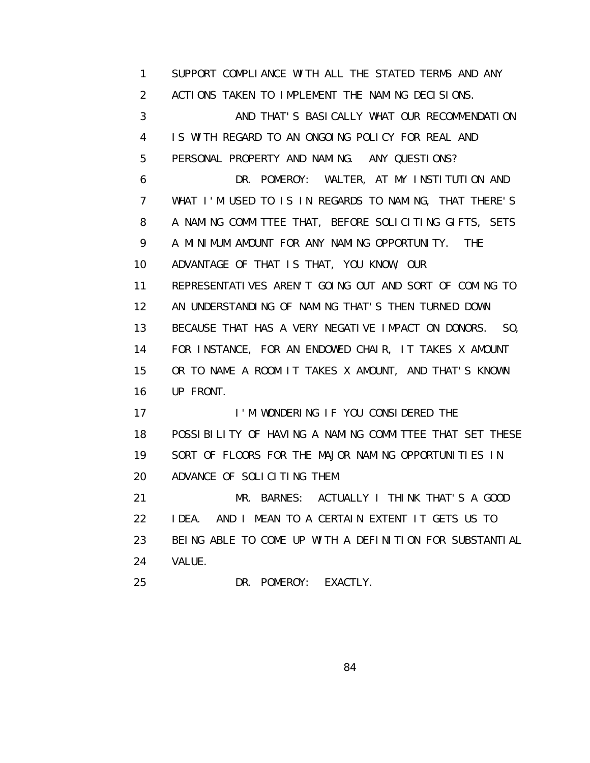1 SUPPORT COMPLIANCE WITH ALL THE STATED TERMS AND ANY 2 ACTIONS TAKEN TO IMPLEMENT THE NAMING DECISIONS. 3 AND THAT'S BASICALLY WHAT OUR RECOMMENDATION 4 IS WITH REGARD TO AN ONGOING POLICY FOR REAL AND 5 PERSONAL PROPERTY AND NAMING. ANY QUESTIONS? 6 DR. POMEROY: WALTER, AT MY INSTITUTION AND 7 WHAT I'M USED TO IS IN REGARDS TO NAMING, THAT THERE'S 8 A NAMING COMMITTEE THAT, BEFORE SOLICITING GIFTS, SETS 9 A MINIMUM AMOUNT FOR ANY NAMING OPPORTUNITY. THE 10 ADVANTAGE OF THAT IS THAT, YOU KNOW, OUR 11 REPRESENTATIVES AREN'T GOING OUT AND SORT OF COMING TO 12 AN UNDERSTANDING OF NAMING THAT'S THEN TURNED DOWN 13 BECAUSE THAT HAS A VERY NEGATIVE IMPACT ON DONORS. SO, 14 FOR INSTANCE, FOR AN ENDOWED CHAIR, IT TAKES X AMOUNT 15 OR TO NAME A ROOM IT TAKES X AMOUNT, AND THAT'S KNOWN 16 UP FRONT. 17 I'M WONDERING IF YOU CONSIDERED THE 18 POSSIBILITY OF HAVING A NAMING COMMITTEE THAT SET THESE 19 SORT OF FLOORS FOR THE MAJOR NAMING OPPORTUNITIES IN 20 ADVANCE OF SOLICITING THEM. 21 MR. BARNES: ACTUALLY I THINK THAT'S A GOOD 22 IDEA. AND I MEAN TO A CERTAIN EXTENT IT GETS US TO 23 BEING ABLE TO COME UP WITH A DEFINITION FOR SUBSTANTIAL 24 VALUE. 25 DR. POMEROY: EXACTLY.

<u>84 and 2012 and 2013</u>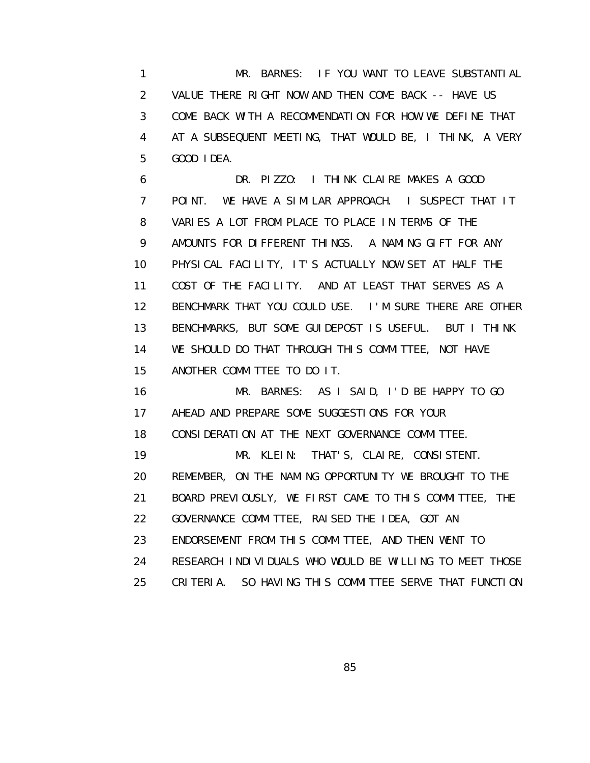1 MR. BARNES: IF YOU WANT TO LEAVE SUBSTANTIAL 2 VALUE THERE RIGHT NOW AND THEN COME BACK -- HAVE US 3 COME BACK WITH A RECOMMENDATION FOR HOW WE DEFINE THAT 4 AT A SUBSEQUENT MEETING, THAT WOULD BE, I THINK, A VERY 5 GOOD IDEA.

 6 DR. PIZZO: I THINK CLAIRE MAKES A GOOD 7 POINT. WE HAVE A SIMILAR APPROACH. I SUSPECT THAT IT 8 VARIES A LOT FROM PLACE TO PLACE IN TERMS OF THE 9 AMOUNTS FOR DIFFERENT THINGS. A NAMING GIFT FOR ANY 10 PHYSICAL FACILITY, IT'S ACTUALLY NOW SET AT HALF THE 11 COST OF THE FACILITY. AND AT LEAST THAT SERVES AS A 12 BENCHMARK THAT YOU COULD USE. I'M SURE THERE ARE OTHER 13 BENCHMARKS, BUT SOME GUIDEPOST IS USEFUL. BUT I THINK 14 WE SHOULD DO THAT THROUGH THIS COMMITTEE, NOT HAVE 15 ANOTHER COMMITTEE TO DO IT.

 16 MR. BARNES: AS I SAID, I'D BE HAPPY TO GO 17 AHEAD AND PREPARE SOME SUGGESTIONS FOR YOUR 18 CONSIDERATION AT THE NEXT GOVERNANCE COMMITTEE. 19 MR. KLEIN: THAT'S, CLAIRE, CONSISTENT. 20 REMEMBER, ON THE NAMING OPPORTUNITY WE BROUGHT TO THE 21 BOARD PREVIOUSLY, WE FIRST CAME TO THIS COMMITTEE, THE 22 GOVERNANCE COMMITTEE, RAISED THE IDEA, GOT AN 23 ENDORSEMENT FROM THIS COMMITTEE, AND THEN WENT TO 24 RESEARCH INDIVIDUALS WHO WOULD BE WILLING TO MEET THOSE 25 CRITERIA. SO HAVING THIS COMMITTEE SERVE THAT FUNCTION

<u>85 and 2008 and 2008 and 2008 and 2008 and 2008 and 2008 and 2008 and 2008 and 2008 and 2008 and 2008 and 200</u>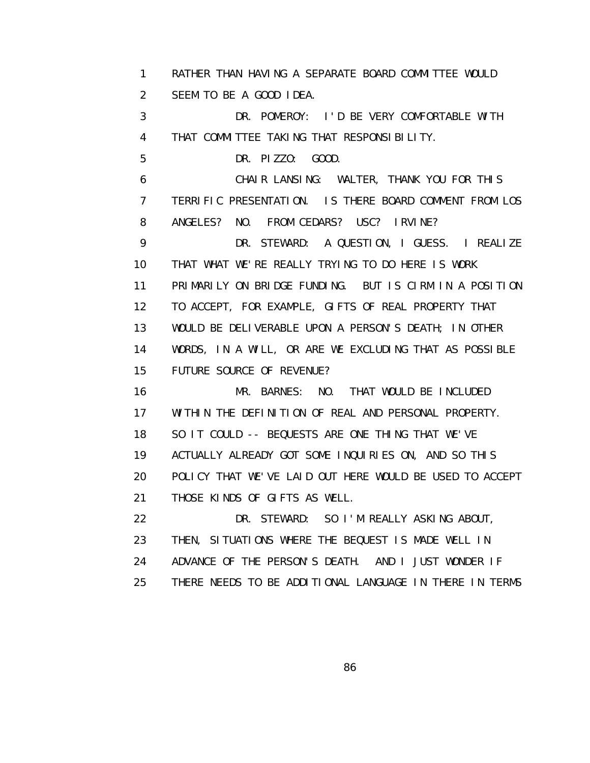1 RATHER THAN HAVING A SEPARATE BOARD COMMITTEE WOULD 2 SEEM TO BE A GOOD IDEA. 3 DR. POMEROY: I'D BE VERY COMFORTABLE WITH 4 THAT COMMITTEE TAKING THAT RESPONSIBILITY. 5 DR. PIZZO: GOOD. 6 CHAIR LANSING: WALTER, THANK YOU FOR THIS 7 TERRIFIC PRESENTATION. IS THERE BOARD COMMENT FROM LOS 8 ANGELES? NO. FROM CEDARS? USC? IRVINE? 9 DR. STEWARD: A QUESTION, I GUESS. I REALIZE 10 THAT WHAT WE'RE REALLY TRYING TO DO HERE IS WORK 11 PRIMARILY ON BRIDGE FUNDING. BUT IS CIRM IN A POSITION 12 TO ACCEPT, FOR EXAMPLE, GIFTS OF REAL PROPERTY THAT 13 WOULD BE DELIVERABLE UPON A PERSON'S DEATH; IN OTHER 14 WORDS, IN A WILL, OR ARE WE EXCLUDING THAT AS POSSIBLE 15 FUTURE SOURCE OF REVENUE? 16 MR. BARNES: NO. THAT WOULD BE INCLUDED 17 WITHIN THE DEFINITION OF REAL AND PERSONAL PROPERTY. 18 SO IT COULD -- BEQUESTS ARE ONE THING THAT WE'VE 19 ACTUALLY ALREADY GOT SOME INQUIRIES ON, AND SO THIS 20 POLICY THAT WE'VE LAID OUT HERE WOULD BE USED TO ACCEPT 21 THOSE KINDS OF GIFTS AS WELL. 22 DR. STEWARD: SO I'M REALLY ASKING ABOUT, 23 THEN, SITUATIONS WHERE THE BEQUEST IS MADE WELL IN 24 ADVANCE OF THE PERSON'S DEATH. AND I JUST WONDER IF

25 THERE NEEDS TO BE ADDITIONAL LANGUAGE IN THERE IN TERMS

<u>86 and 2008 and 2008 and 2008 and 2008 and 2008 and 2008 and 2008 and 2008 and 2008 and 2008 and 2008 and 200</u>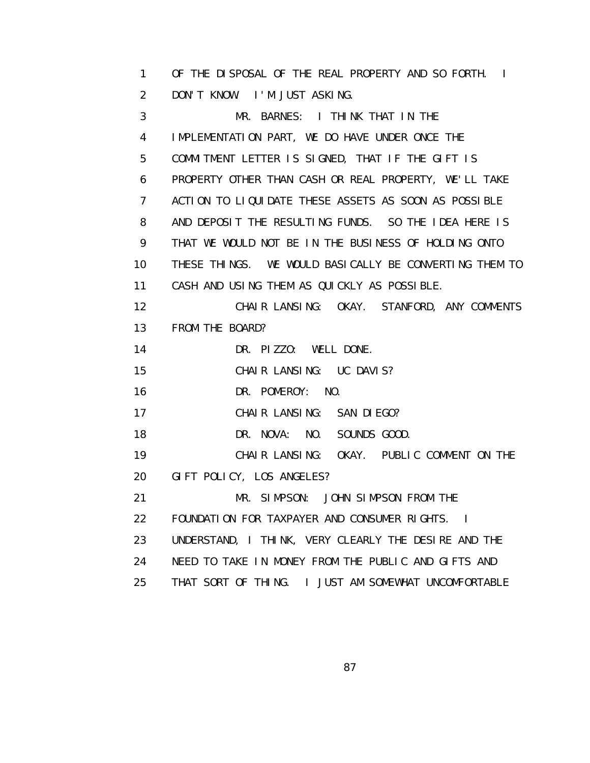1 OF THE DISPOSAL OF THE REAL PROPERTY AND SO FORTH. I 2 DON'T KNOW. I'M JUST ASKING.

 3 MR. BARNES: I THINK THAT IN THE 4 IMPLEMENTATION PART, WE DO HAVE UNDER ONCE THE 5 COMMITMENT LETTER IS SIGNED, THAT IF THE GIFT IS 6 PROPERTY OTHER THAN CASH OR REAL PROPERTY, WE'LL TAKE 7 ACTION TO LIQUIDATE THESE ASSETS AS SOON AS POSSIBLE 8 AND DEPOSIT THE RESULTING FUNDS. SO THE IDEA HERE IS 9 THAT WE WOULD NOT BE IN THE BUSINESS OF HOLDING ONTO 10 THESE THINGS. WE WOULD BASICALLY BE CONVERTING THEM TO 11 CASH AND USING THEM AS QUICKLY AS POSSIBLE. 12 CHAIR LANSING: OKAY. STANFORD, ANY COMMENTS 13 FROM THE BOARD? 14 DR. PIZZO: WELL DONE. 15 CHAIR LANSING: UC DAVIS? 16 DR. POMEROY: NO. 17 CHAIR LANSING: SAN DIEGO? 18 DR. NOVA: NO. SOUNDS GOOD. 19 CHAIR LANSING: OKAY. PUBLIC COMMENT ON THE 20 GIFT POLICY, LOS ANGELES? 21 MR. SIMPSON: JOHN SIMPSON FROM THE 22 FOUNDATION FOR TAXPAYER AND CONSUMER RIGHTS. I 23 UNDERSTAND, I THINK, VERY CLEARLY THE DESIRE AND THE 24 NEED TO TAKE IN MONEY FROM THE PUBLIC AND GIFTS AND 25 THAT SORT OF THING. I JUST AM SOMEWHAT UNCOMFORTABLE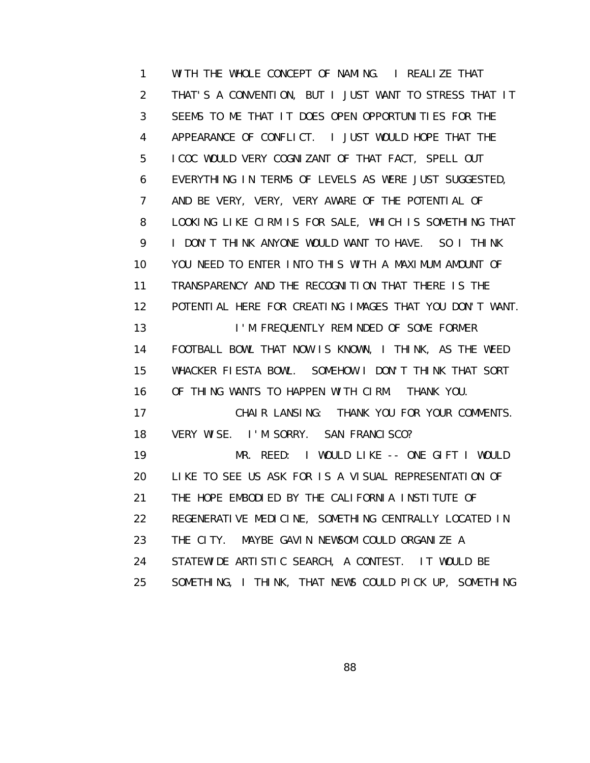1 WITH THE WHOLE CONCEPT OF NAMING. I REALIZE THAT 2 THAT'S A CONVENTION, BUT I JUST WANT TO STRESS THAT IT 3 SEEMS TO ME THAT IT DOES OPEN OPPORTUNITIES FOR THE 4 APPEARANCE OF CONFLICT. I JUST WOULD HOPE THAT THE 5 ICOC WOULD VERY COGNIZANT OF THAT FACT, SPELL OUT 6 EVERYTHING IN TERMS OF LEVELS AS WERE JUST SUGGESTED, 7 AND BE VERY, VERY, VERY AWARE OF THE POTENTIAL OF 8 LOOKING LIKE CIRM IS FOR SALE, WHICH IS SOMETHING THAT 9 I DON'T THINK ANYONE WOULD WANT TO HAVE. SO I THINK 10 YOU NEED TO ENTER INTO THIS WITH A MAXIMUM AMOUNT OF 11 TRANSPARENCY AND THE RECOGNITION THAT THERE IS THE 12 POTENTIAL HERE FOR CREATING IMAGES THAT YOU DON'T WANT. 13 I'M FREQUENTLY REMINDED OF SOME FORMER 14 FOOTBALL BOWL THAT NOW IS KNOWN, I THINK, AS THE WEED 15 WHACKER FIESTA BOWL. SOMEHOW I DON'T THINK THAT SORT 16 OF THING WANTS TO HAPPEN WITH CIRM. THANK YOU. 17 CHAIR LANSING: THANK YOU FOR YOUR COMMENTS. 18 VERY WISE. I'M SORRY. SAN FRANCISCO? 19 MR. REED: I WOULD LIKE -- ONE GIFT I WOULD 20 LIKE TO SEE US ASK FOR IS A VISUAL REPRESENTATION OF 21 THE HOPE EMBODIED BY THE CALIFORNIA INSTITUTE OF 22 REGENERATIVE MEDICINE, SOMETHING CENTRALLY LOCATED IN 23 THE CITY. MAYBE GAVIN NEWSOM COULD ORGANIZE A 24 STATEWIDE ARTISTIC SEARCH, A CONTEST. IT WOULD BE 25 SOMETHING, I THINK, THAT NEWS COULD PICK UP, SOMETHING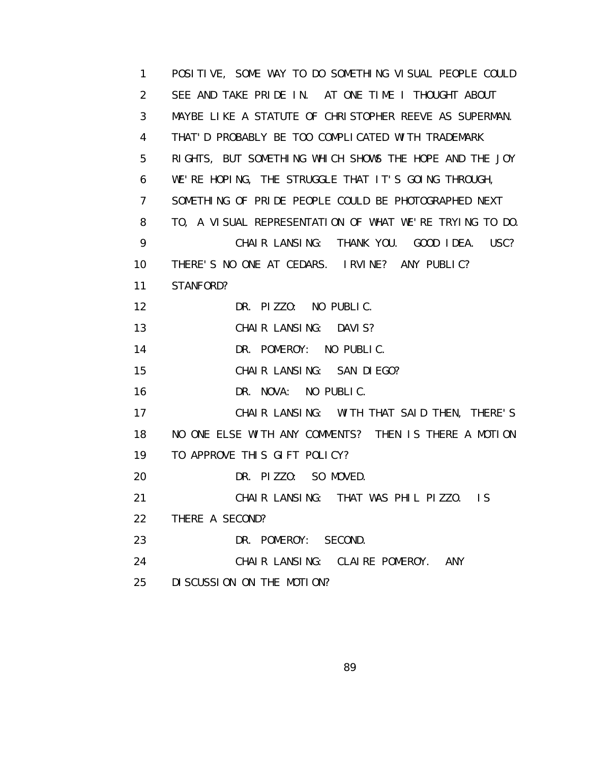1 POSITIVE, SOME WAY TO DO SOMETHING VISUAL PEOPLE COULD 2 SEE AND TAKE PRIDE IN. AT ONE TIME I THOUGHT ABOUT 3 MAYBE LIKE A STATUTE OF CHRISTOPHER REEVE AS SUPERMAN. 4 THAT'D PROBABLY BE TOO COMPLICATED WITH TRADEMARK 5 RIGHTS, BUT SOMETHING WHICH SHOWS THE HOPE AND THE JOY 6 WE'RE HOPING, THE STRUGGLE THAT IT'S GOING THROUGH, 7 SOMETHING OF PRIDE PEOPLE COULD BE PHOTOGRAPHED NEXT 8 TO, A VISUAL REPRESENTATION OF WHAT WE'RE TRYING TO DO. 9 CHAIR LANSING: THANK YOU. GOOD IDEA. USC? 10 THERE'S NO ONE AT CEDARS. IRVINE? ANY PUBLIC? 11 STANFORD? 12 DR. PIZZO: NO PUBLIC. 13 **CHAIR LANSING: DAVIS?**  14 DR. POMEROY: NO PUBLIC. 15 CHAIR LANSING: SAN DIEGO? 16 DR. NOVA: NO PUBLIC. 17 CHAIR LANSING: WITH THAT SAID THEN, THERE'S 18 NO ONE ELSE WITH ANY COMMENTS? THEN IS THERE A MOTION 19 TO APPROVE THIS GIFT POLICY? 20 DR. PIZZO: SO MOVED. 21 CHAIR LANSING: THAT WAS PHIL PIZZO. IS 22 THERE A SECOND? 23 DR. POMEROY: SECOND. 24 CHAIR LANSING: CLAIRE POMEROY. ANY 25 DISCUSSION ON THE MOTION?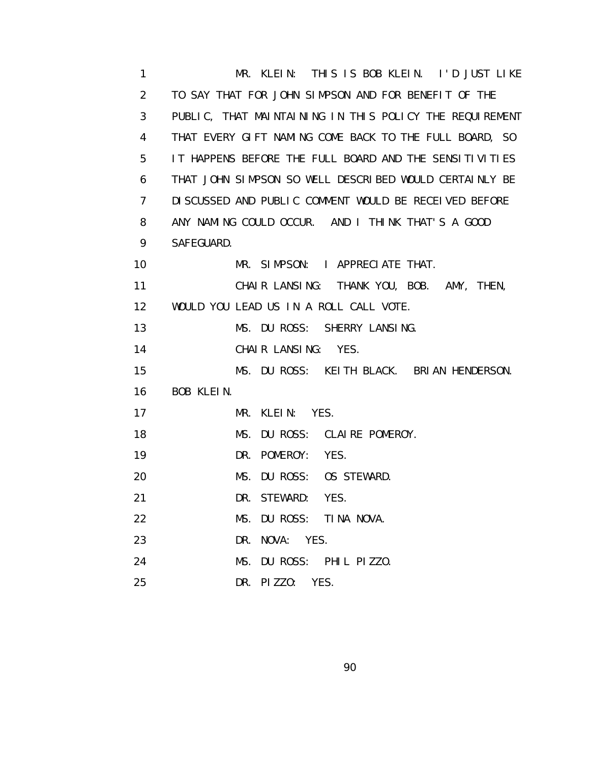1 MR. KLEIN: THIS IS BOB KLEIN. I'D JUST LIKE 2 TO SAY THAT FOR JOHN SIMPSON AND FOR BENEFIT OF THE 3 PUBLIC, THAT MAINTAINING IN THIS POLICY THE REQUIREMENT 4 THAT EVERY GIFT NAMING COME BACK TO THE FULL BOARD, SO 5 IT HAPPENS BEFORE THE FULL BOARD AND THE SENSITIVITIES 6 THAT JOHN SIMPSON SO WELL DESCRIBED WOULD CERTAINLY BE 7 DISCUSSED AND PUBLIC COMMENT WOULD BE RECEIVED BEFORE 8 ANY NAMING COULD OCCUR. AND I THINK THAT'S A GOOD 9 SAFEGUARD. 10 MR. SIMPSON: I APPRECIATE THAT. 11 CHAIR LANSING: THANK YOU, BOB. AMY, THEN, 12 WOULD YOU LEAD US IN A ROLL CALL VOTE. 13 MS. DU ROSS: SHERRY LANSING. 14 CHAIR LANSING: YES. 15 MS. DU ROSS: KEITH BLACK. BRIAN HENDERSON. 16 BOB KLEIN. 17 MR. KLEIN: YES. 18 MS. DU ROSS: CLAIRE POMEROY. 19 DR. POMEROY: YES. 20 MS. DU ROSS: OS STEWARD. 21 DR. STEWARD: YES. 22 MS. DU ROSS: TINA NOVA. 23 DR. NOVA: YES. 24 MS. DU ROSS: PHIL PIZZO. 25 DR. PIZZO: YES.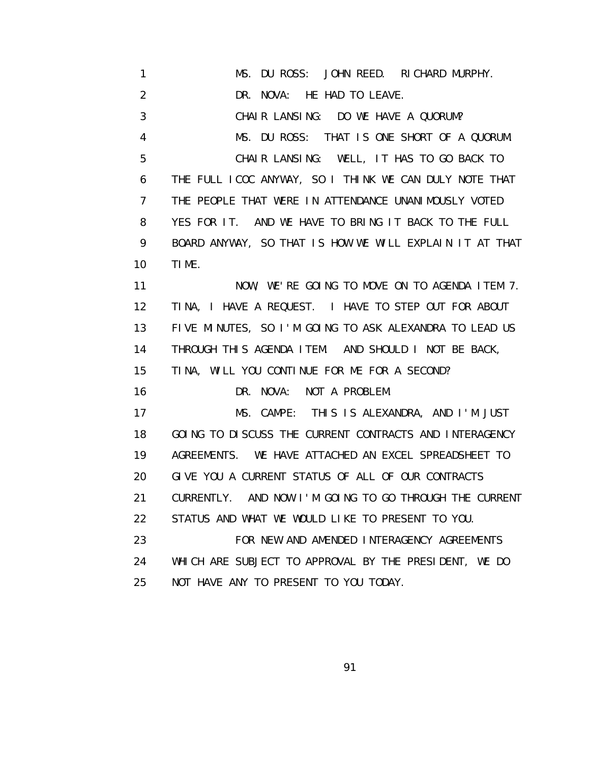1 MS. DU ROSS: JOHN REED. RICHARD MURPHY. 2 DR. NOVA: HE HAD TO LEAVE. 3 CHAIR LANSING: DO WE HAVE A QUORUM? 4 MS. DU ROSS: THAT IS ONE SHORT OF A QUORUM. 5 CHAIR LANSING: WELL, IT HAS TO GO BACK TO 6 THE FULL ICOC ANYWAY, SO I THINK WE CAN DULY NOTE THAT 7 THE PEOPLE THAT WERE IN ATTENDANCE UNANIMOUSLY VOTED 8 YES FOR IT. AND WE HAVE TO BRING IT BACK TO THE FULL 9 BOARD ANYWAY, SO THAT IS HOW WE WILL EXPLAIN IT AT THAT 10 TIME. 11 NOW, WE'RE GOING TO MOVE ON TO AGENDA ITEM 7. 12 TINA, I HAVE A REQUEST. I HAVE TO STEP OUT FOR ABOUT 13 FIVE MINUTES, SO I'M GOING TO ASK ALEXANDRA TO LEAD US 14 THROUGH THIS AGENDA ITEM. AND SHOULD I NOT BE BACK, 15 TINA, WILL YOU CONTINUE FOR ME FOR A SECOND? 16 DR. NOVA: NOT A PROBLEM. 17 MS. CAMPE: THIS IS ALEXANDRA, AND I'M JUST 18 GOING TO DISCUSS THE CURRENT CONTRACTS AND INTERAGENCY 19 AGREEMENTS. WE HAVE ATTACHED AN EXCEL SPREADSHEET TO 20 GIVE YOU A CURRENT STATUS OF ALL OF OUR CONTRACTS 21 CURRENTLY. AND NOW I'M GOING TO GO THROUGH THE CURRENT 22 STATUS AND WHAT WE WOULD LIKE TO PRESENT TO YOU. 23 FOR NEW AND AMENDED INTERAGENCY AGREEMENTS 24 WHICH ARE SUBJECT TO APPROVAL BY THE PRESIDENT, WE DO 25 NOT HAVE ANY TO PRESENT TO YOU TODAY.

<u>91 - Johann Stein, amerikan pengaran pengaran pengaran pengaran pengaran pengaran pengaran pengaran pengaran</u>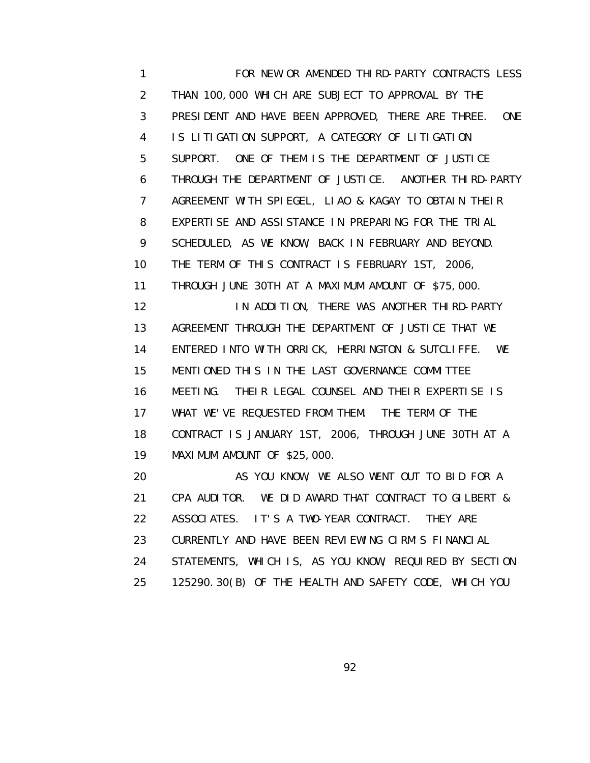1 FOR NEW OR AMENDED THIRD-PARTY CONTRACTS LESS 2 THAN 100,000 WHICH ARE SUBJECT TO APPROVAL BY THE 3 PRESIDENT AND HAVE BEEN APPROVED, THERE ARE THREE. ONE 4 IS LITIGATION SUPPORT, A CATEGORY OF LITIGATION 5 SUPPORT. ONE OF THEM IS THE DEPARTMENT OF JUSTICE 6 THROUGH THE DEPARTMENT OF JUSTICE. ANOTHER THIRD-PARTY 7 AGREEMENT WITH SPIEGEL, LIAO & KAGAY TO OBTAIN THEIR 8 EXPERTISE AND ASSISTANCE IN PREPARING FOR THE TRIAL 9 SCHEDULED, AS WE KNOW, BACK IN FEBRUARY AND BEYOND. 10 THE TERM OF THIS CONTRACT IS FEBRUARY 1ST, 2006, 11 THROUGH JUNE 30TH AT A MAXIMUM AMOUNT OF \$75,000. 12 IN ADDITION, THERE WAS ANOTHER THIRD-PARTY 13 AGREEMENT THROUGH THE DEPARTMENT OF JUSTICE THAT WE 14 ENTERED INTO WITH ORRICK, HERRINGTON & SUTCLIFFE. WE 15 MENTIONED THIS IN THE LAST GOVERNANCE COMMITTEE 16 MEETING. THEIR LEGAL COUNSEL AND THEIR EXPERTISE IS 17 WHAT WE'VE REQUESTED FROM THEM. THE TERM OF THE 18 CONTRACT IS JANUARY 1ST, 2006, THROUGH JUNE 30TH AT A 19 MAXIMUM AMOUNT OF \$25,000. 20 AS YOU KNOW, WE ALSO WENT OUT TO BID FOR A 21 CPA AUDITOR. WE DID AWARD THAT CONTRACT TO GILBERT &

22 ASSOCIATES. IT'S A TWO-YEAR CONTRACT. THEY ARE

23 CURRENTLY AND HAVE BEEN REVIEWING CIRM'S FINANCIAL

24 STATEMENTS, WHICH IS, AS YOU KNOW, REQUIRED BY SECTION

25 125290.30(B) OF THE HEALTH AND SAFETY CODE, WHICH YOU

<u>92 and 2011 and 2012 and 2014 and 2014 and 2014 and 2014 and 2014 and 2014 and 2014 and 2014 and 2014 and 201</u>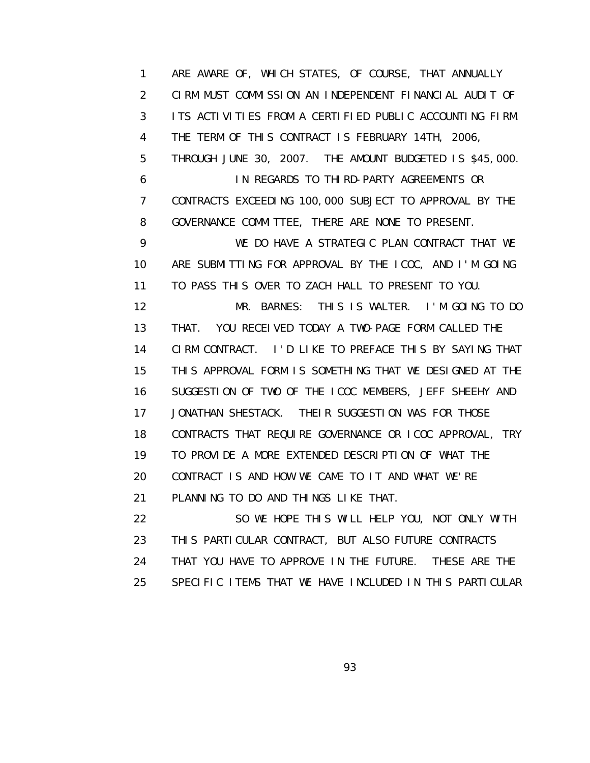1 ARE AWARE OF, WHICH STATES, OF COURSE, THAT ANNUALLY 2 CIRM MUST COMMISSION AN INDEPENDENT FINANCIAL AUDIT OF 3 ITS ACTIVITIES FROM A CERTIFIED PUBLIC ACCOUNTING FIRM. 4 THE TERM OF THIS CONTRACT IS FEBRUARY 14TH, 2006, 5 THROUGH JUNE 30, 2007. THE AMOUNT BUDGETED IS \$45,000. 6 IN REGARDS TO THIRD-PARTY AGREEMENTS OR 7 CONTRACTS EXCEEDING 100,000 SUBJECT TO APPROVAL BY THE 8 GOVERNANCE COMMITTEE, THERE ARE NONE TO PRESENT. 9 WE DO HAVE A STRATEGIC PLAN CONTRACT THAT WE 10 ARE SUBMITTING FOR APPROVAL BY THE ICOC, AND I'M GOING 11 TO PASS THIS OVER TO ZACH HALL TO PRESENT TO YOU. 12 MR. BARNES: THIS IS WALTER. I'M GOING TO DO 13 THAT. YOU RECEIVED TODAY A TWO-PAGE FORM CALLED THE 14 CIRM CONTRACT. I'D LIKE TO PREFACE THIS BY SAYING THAT 15 THIS APPROVAL FORM IS SOMETHING THAT WE DESIGNED AT THE 16 SUGGESTION OF TWO OF THE ICOC MEMBERS, JEFF SHEEHY AND 17 JONATHAN SHESTACK. THEIR SUGGESTION WAS FOR THOSE 18 CONTRACTS THAT REQUIRE GOVERNANCE OR ICOC APPROVAL, TRY 19 TO PROVIDE A MORE EXTENDED DESCRIPTION OF WHAT THE 20 CONTRACT IS AND HOW WE CAME TO IT AND WHAT WE'RE 21 PLANNING TO DO AND THINGS LIKE THAT. 22 SO WE HOPE THIS WILL HELP YOU, NOT ONLY WITH

 23 THIS PARTICULAR CONTRACT, BUT ALSO FUTURE CONTRACTS 24 THAT YOU HAVE TO APPROVE IN THE FUTURE. THESE ARE THE 25 SPECIFIC ITEMS THAT WE HAVE INCLUDED IN THIS PARTICULAR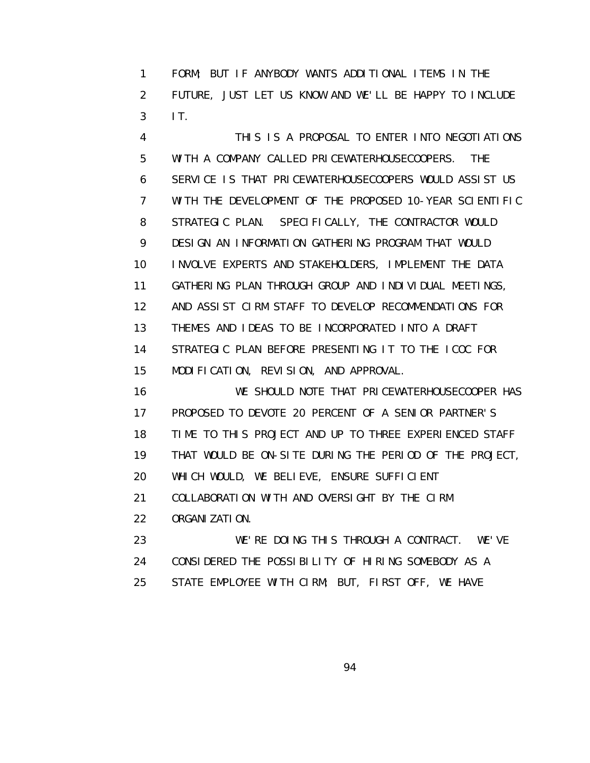1 FORM; BUT IF ANYBODY WANTS ADDITIONAL ITEMS IN THE 2 FUTURE, JUST LET US KNOW AND WE'LL BE HAPPY TO INCLUDE 3 IT.

 4 THIS IS A PROPOSAL TO ENTER INTO NEGOTIATIONS 5 WITH A COMPANY CALLED PRICEWATERHOUSECOOPERS. THE 6 SERVICE IS THAT PRICEWATERHOUSECOOPERS WOULD ASSIST US 7 WITH THE DEVELOPMENT OF THE PROPOSED 10-YEAR SCIENTIFIC 8 STRATEGIC PLAN. SPECIFICALLY, THE CONTRACTOR WOULD 9 DESIGN AN INFORMATION GATHERING PROGRAM THAT WOULD 10 INVOLVE EXPERTS AND STAKEHOLDERS, IMPLEMENT THE DATA 11 GATHERING PLAN THROUGH GROUP AND INDIVIDUAL MEETINGS, 12 AND ASSIST CIRM STAFF TO DEVELOP RECOMMENDATIONS FOR 13 THEMES AND IDEAS TO BE INCORPORATED INTO A DRAFT 14 STRATEGIC PLAN BEFORE PRESENTING IT TO THE ICOC FOR 15 MODIFICATION, REVISION, AND APPROVAL.

 16 WE SHOULD NOTE THAT PRICEWATERHOUSECOOPER HAS 17 PROPOSED TO DEVOTE 20 PERCENT OF A SENIOR PARTNER'S 18 TIME TO THIS PROJECT AND UP TO THREE EXPERIENCED STAFF 19 THAT WOULD BE ON-SITE DURING THE PERIOD OF THE PROJECT, 20 WHICH WOULD, WE BELIEVE, ENSURE SUFFICIENT 21 COLLABORATION WITH AND OVERSIGHT BY THE CIRM 22 ORGANIZATION. 23 WE'RE DOING THIS THROUGH A CONTRACT. WE'VE

24 CONSIDERED THE POSSIBILITY OF HIRING SOMEBODY AS A

25 STATE EMPLOYEE WITH CIRM; BUT, FIRST OFF, WE HAVE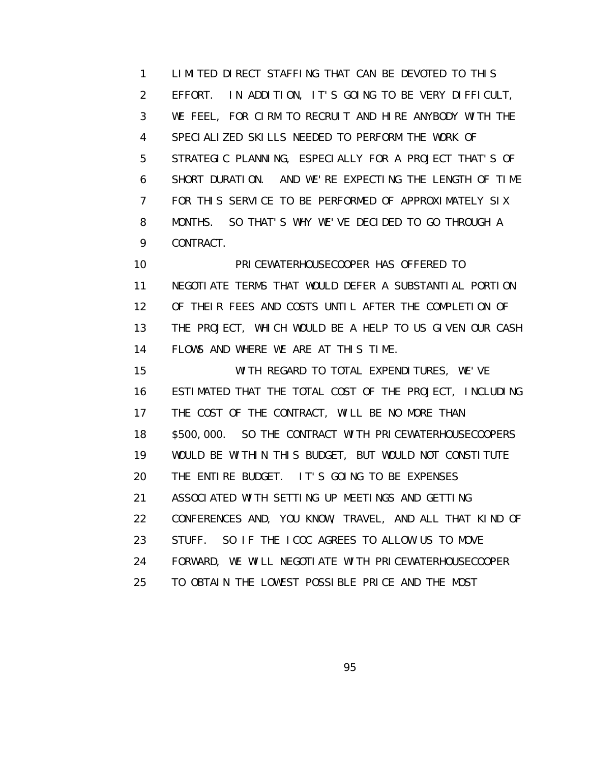1 LIMITED DIRECT STAFFING THAT CAN BE DEVOTED TO THIS 2 EFFORT. IN ADDITION, IT'S GOING TO BE VERY DIFFICULT, 3 WE FEEL, FOR CIRM TO RECRUIT AND HIRE ANYBODY WITH THE 4 SPECIALIZED SKILLS NEEDED TO PERFORM THE WORK OF 5 STRATEGIC PLANNING, ESPECIALLY FOR A PROJECT THAT'S OF 6 SHORT DURATION. AND WE'RE EXPECTING THE LENGTH OF TIME 7 FOR THIS SERVICE TO BE PERFORMED OF APPROXIMATELY SIX 8 MONTHS. SO THAT'S WHY WE'VE DECIDED TO GO THROUGH A 9 CONTRACT.

 10 PRICEWATERHOUSECOOPER HAS OFFERED TO 11 NEGOTIATE TERMS THAT WOULD DEFER A SUBSTANTIAL PORTION 12 OF THEIR FEES AND COSTS UNTIL AFTER THE COMPLETION OF 13 THE PROJECT, WHICH WOULD BE A HELP TO US GIVEN OUR CASH 14 FLOWS AND WHERE WE ARE AT THIS TIME.

 15 WITH REGARD TO TOTAL EXPENDITURES, WE'VE 16 ESTIMATED THAT THE TOTAL COST OF THE PROJECT, INCLUDING 17 THE COST OF THE CONTRACT, WILL BE NO MORE THAN 18 \$500,000. SO THE CONTRACT WITH PRICEWATERHOUSECOOPERS 19 WOULD BE WITHIN THIS BUDGET, BUT WOULD NOT CONSTITUTE 20 THE ENTIRE BUDGET. IT'S GOING TO BE EXPENSES 21 ASSOCIATED WITH SETTING UP MEETINGS AND GETTING 22 CONFERENCES AND, YOU KNOW, TRAVEL, AND ALL THAT KIND OF 23 STUFF. SO IF THE ICOC AGREES TO ALLOW US TO MOVE 24 FORWARD, WE WILL NEGOTIATE WITH PRICEWATERHOUSECOOPER 25 TO OBTAIN THE LOWEST POSSIBLE PRICE AND THE MOST

<u>95 and the state of the state of the state of the state of the state of the state of the state of the state of the state of the state of the state of the state of the state of the state of the state of the state of the st</u>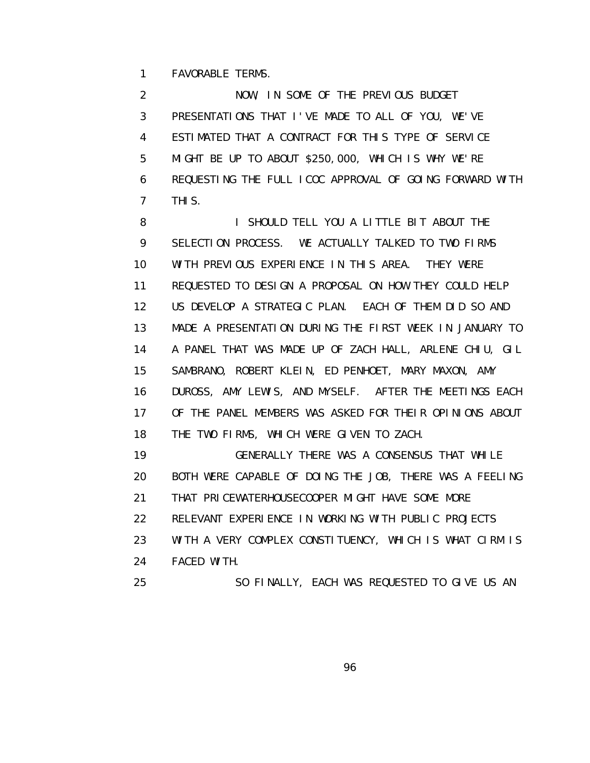1 FAVORABLE TERMS.

 2 NOW, IN SOME OF THE PREVIOUS BUDGET 3 PRESENTATIONS THAT I'VE MADE TO ALL OF YOU, WE'VE 4 ESTIMATED THAT A CONTRACT FOR THIS TYPE OF SERVICE 5 MIGHT BE UP TO ABOUT \$250,000, WHICH IS WHY WE'RE 6 REQUESTING THE FULL ICOC APPROVAL OF GOING FORWARD WITH 7 THIS.

8 **I SHOULD TELL YOU A LITTLE BIT ABOUT THE**  9 SELECTION PROCESS. WE ACTUALLY TALKED TO TWO FIRMS 10 WITH PREVIOUS EXPERIENCE IN THIS AREA. THEY WERE 11 REQUESTED TO DESIGN A PROPOSAL ON HOW THEY COULD HELP 12 US DEVELOP A STRATEGIC PLAN. EACH OF THEM DID SO AND 13 MADE A PRESENTATION DURING THE FIRST WEEK IN JANUARY TO 14 A PANEL THAT WAS MADE UP OF ZACH HALL, ARLENE CHIU, GIL 15 SAMBRANO, ROBERT KLEIN, ED PENHOET, MARY MAXON, AMY 16 DUROSS, AMY LEWIS, AND MYSELF. AFTER THE MEETINGS EACH 17 OF THE PANEL MEMBERS WAS ASKED FOR THEIR OPINIONS ABOUT 18 THE TWO FIRMS, WHICH WERE GIVEN TO ZACH.

 19 GENERALLY THERE WAS A CONSENSUS THAT WHILE 20 BOTH WERE CAPABLE OF DOING THE JOB, THERE WAS A FEELING 21 THAT PRICEWATERHOUSECOOPER MIGHT HAVE SOME MORE 22 RELEVANT EXPERIENCE IN WORKING WITH PUBLIC PROJECTS 23 WITH A VERY COMPLEX CONSTITUENCY, WHICH IS WHAT CIRM IS 24 FACED WITH.

25 SO FINALLY, EACH WAS REQUESTED TO GIVE US AN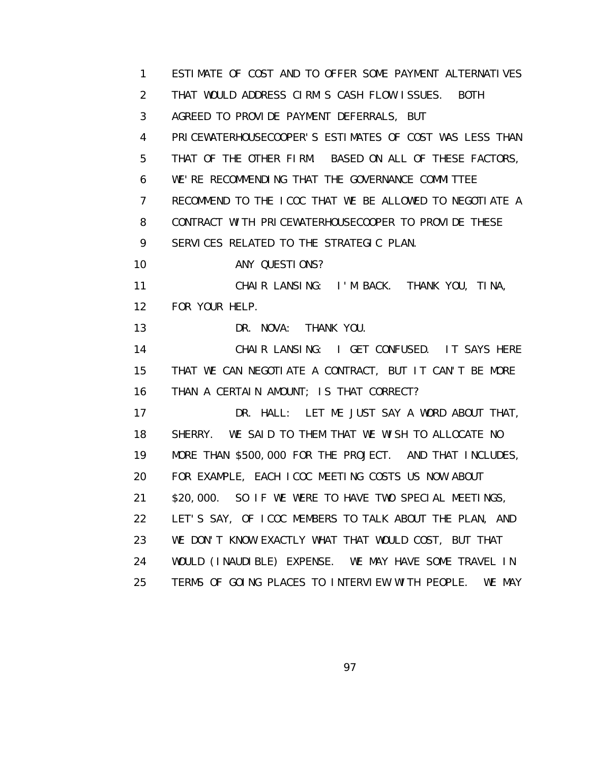| 1               | ESTIMATE OF COST AND TO OFFER SOME PAYMENT ALTERNATIVES   |
|-----------------|-----------------------------------------------------------|
| 2               | THAT WOULD ADDRESS CIRM'S CASH FLOW ISSUES. BOTH          |
| 3               | AGREED TO PROVIDE PAYMENT DEFERRALS, BUT                  |
| 4               | PRICEWATERHOUSECOOPER'S ESTIMATES OF COST WAS LESS THAN   |
| 5               | THAT OF THE OTHER FIRM. BASED ON ALL OF THESE FACTORS,    |
| 6               | WE'RE RECOMMENDING THAT THE GOVERNANCE COMMITTEE          |
| $\overline{7}$  | RECOMMEND TO THE ICOC THAT WE BE ALLOWED TO NEGOTIATE A   |
| 8               | CONTRACT WITH PRICEWATERHOUSECOOPER TO PROVIDE THESE      |
| 9               | SERVICES RELATED TO THE STRATEGIC PLAN.                   |
| 10              | ANY QUESTIONS?                                            |
| 11              | CHAIR LANSING: I'M BACK. THANK YOU, TINA,                 |
| 12 <sup>2</sup> | FOR YOUR HELP.                                            |
| 13              | DR. NOVA: THANK YOU.                                      |
| 14              | CHAIR LANSING: I GET CONFUSED. IT SAYS HERE               |
| 15              | THAT WE CAN NEGOTIATE A CONTRACT, BUT IT CAN'T BE MORE    |
| 16              | THAN A CERTAIN AMOUNT; IS THAT CORRECT?                   |
| 17              | DR. HALL: LET ME JUST SAY A WORD ABOUT THAT,              |
| 18              | SHERRY. WE SAID TO THEM THAT WE WISH TO ALLOCATE NO       |
| 19              | MORE THAN \$500,000 FOR THE PROJECT. AND THAT INCLUDES,   |
| 20              | FOR EXAMPLE, EACH ICOC MEETING COSTS US NOW ABOUT         |
| 21              | \$20,000. SO IF WE WERE TO HAVE TWO SPECIAL MEETINGS,     |
| 22              | LET'S SAY, OF ICOC MEMBERS TO TALK ABOUT THE PLAN, AND    |
| 23              | WE DON'T KNOW EXACTLY WHAT THAT WOULD COST, BUT THAT      |
| 24              | WOULD (INAUDIBLE) EXPENSE. WE MAY HAVE SOME TRAVEL IN     |
| 25              | TERMS OF GOING PLACES TO INTERVIEW WITH PEOPLE.<br>WE MAY |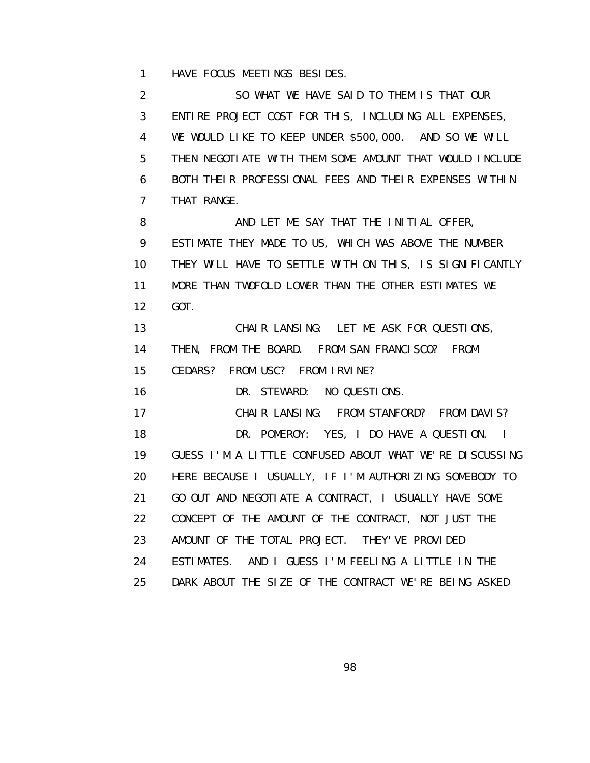1 HAVE FOCUS MEETINGS BESIDES.

 2 SO WHAT WE HAVE SAID TO THEM IS THAT OUR 3 ENTIRE PROJECT COST FOR THIS, INCLUDING ALL EXPENSES, 4 WE WOULD LIKE TO KEEP UNDER \$500,000. AND SO WE WILL 5 THEN NEGOTIATE WITH THEM SOME AMOUNT THAT WOULD INCLUDE 6 BOTH THEIR PROFESSIONAL FEES AND THEIR EXPENSES WITHIN 7 THAT RANGE. 8 AND LET ME SAY THAT THE INITIAL OFFER, 9 ESTIMATE THEY MADE TO US, WHICH WAS ABOVE THE NUMBER 10 THEY WILL HAVE TO SETTLE WITH ON THIS, IS SIGNIFICANTLY 11 MORE THAN TWOFOLD LOWER THAN THE OTHER ESTIMATES WE 12 GOT. 13 CHAIR LANSING: LET ME ASK FOR QUESTIONS, 14 THEN, FROM THE BOARD. FROM SAN FRANCISCO? FROM 15 CEDARS? FROM USC? FROM IRVINE? 16 DR. STEWARD: NO QUESTIONS. 17 CHAIR LANSING: FROM STANFORD? FROM DAVIS? 18 DR. POMEROY: YES, I DO HAVE A QUESTION. I 19 GUESS I'M A LITTLE CONFUSED ABOUT WHAT WE'RE DISCUSSING 20 HERE BECAUSE I USUALLY, IF I'M AUTHORIZING SOMEBODY TO 21 GO OUT AND NEGOTIATE A CONTRACT, I USUALLY HAVE SOME 22 CONCEPT OF THE AMOUNT OF THE CONTRACT, NOT JUST THE 23 AMOUNT OF THE TOTAL PROJECT. THEY' VE PROVIDED 24 ESTIMATES. AND I GUESS I'M FEELING A LITTLE IN THE 25 DARK ABOUT THE SIZE OF THE CONTRACT WE'RE BEING ASKED

e de la construction de la construction de la construction de la construction de la construction de la constru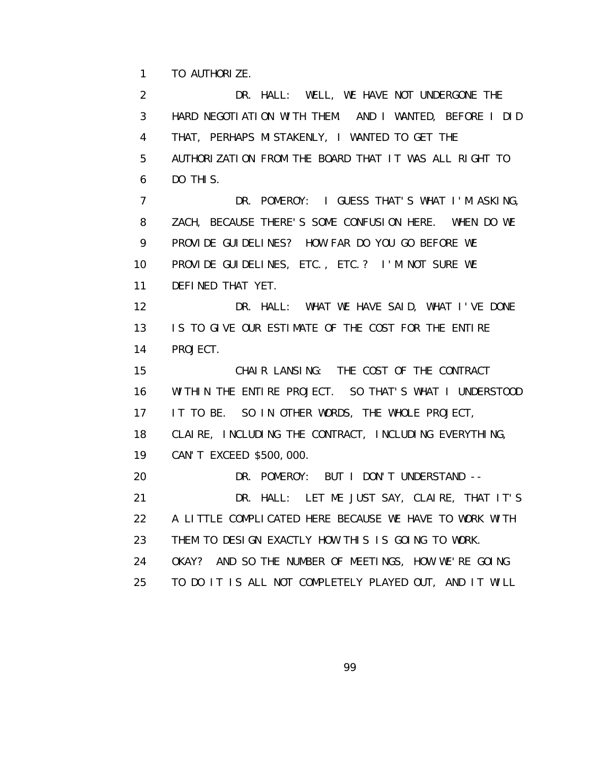1 TO AUTHORIZE.

 2 DR. HALL: WELL, WE HAVE NOT UNDERGONE THE 3 HARD NEGOTIATION WITH THEM. AND I WANTED, BEFORE I DID 4 THAT, PERHAPS MISTAKENLY, I WANTED TO GET THE 5 AUTHORIZATION FROM THE BOARD THAT IT WAS ALL RIGHT TO 6 DO THIS. 7 DR. POMEROY: I GUESS THAT'S WHAT I'M ASKING, 8 ZACH, BECAUSE THERE'S SOME CONFUSION HERE. WHEN DO WE 9 PROVIDE GUIDELINES? HOW FAR DO YOU GO BEFORE WE 10 PROVIDE GUIDELINES, ETC., ETC.? I'M NOT SURE WE 11 DEFINED THAT YET. 12 DR. HALL: WHAT WE HAVE SAID, WHAT I'VE DONE 13 IS TO GIVE OUR ESTIMATE OF THE COST FOR THE ENTIRE 14 PROJECT. 15 CHAIR LANSING: THE COST OF THE CONTRACT 16 WITHIN THE ENTIRE PROJECT. SO THAT'S WHAT I UNDERSTOOD 17 IT TO BE. SO IN OTHER WORDS, THE WHOLE PROJECT, 18 CLAIRE, INCLUDING THE CONTRACT, INCLUDING EVERYTHING, 19 CAN'T EXCEED \$500,000. 20 DR. POMEROY: BUT I DON'T UNDERSTAND -- 21 DR. HALL: LET ME JUST SAY, CLAIRE, THAT IT'S 22 A LITTLE COMPLICATED HERE BECAUSE WE HAVE TO WORK WITH 23 THEM TO DESIGN EXACTLY HOW THIS IS GOING TO WORK. 24 OKAY? AND SO THE NUMBER OF MEETINGS, HOW WE'RE GOING 25 TO DO IT IS ALL NOT COMPLETELY PLAYED OUT, AND IT WILL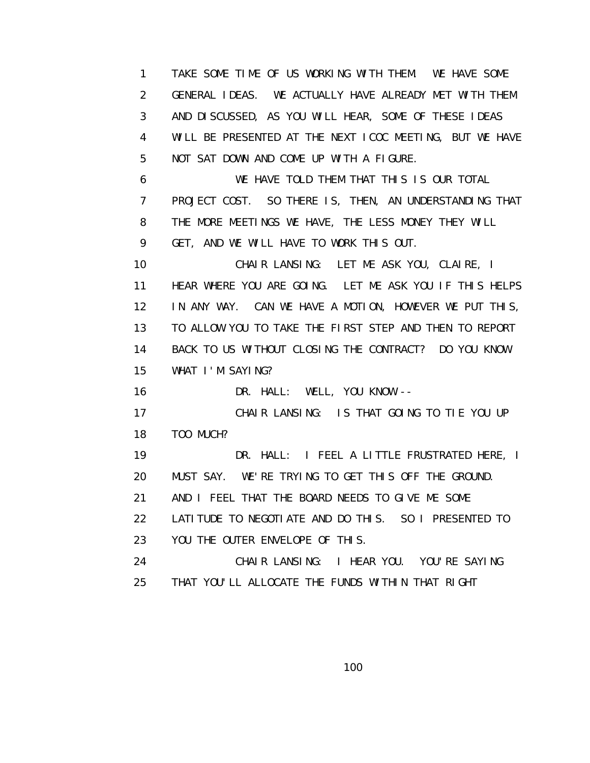1 TAKE SOME TIME OF US WORKING WITH THEM. WE HAVE SOME 2 GENERAL IDEAS. WE ACTUALLY HAVE ALREADY MET WITH THEM 3 AND DISCUSSED, AS YOU WILL HEAR, SOME OF THESE IDEAS 4 WILL BE PRESENTED AT THE NEXT ICOC MEETING, BUT WE HAVE 5 NOT SAT DOWN AND COME UP WITH A FIGURE. 6 WE HAVE TOLD THEM THAT THIS IS OUR TOTAL 7 PROJECT COST. SO THERE IS, THEN, AN UNDERSTANDING THAT 8 THE MORE MEETINGS WE HAVE, THE LESS MONEY THEY WILL 9 GET, AND WE WILL HAVE TO WORK THIS OUT. 10 CHAIR LANSING: LET ME ASK YOU, CLAIRE, I 11 HEAR WHERE YOU ARE GOING. LET ME ASK YOU IF THIS HELPS 12 IN ANY WAY. CAN WE HAVE A MOTION, HOWEVER WE PUT THIS, 13 TO ALLOW YOU TO TAKE THE FIRST STEP AND THEN TO REPORT 14 BACK TO US WITHOUT CLOSING THE CONTRACT? DO YOU KNOW 15 WHAT I'M SAYING? 16 DR. HALL: WELL, YOU KNOW -- 17 CHAIR LANSING: IS THAT GOING TO TIE YOU UP 18 TOO MUCH? 19 DR. HALL: I FEEL A LITTLE FRUSTRATED HERE, I 20 MUST SAY. WE'RE TRYING TO GET THIS OFF THE GROUND. 21 AND I FEEL THAT THE BOARD NEEDS TO GIVE ME SOME 22 LATITUDE TO NEGOTIATE AND DO THIS. SO I PRESENTED TO 23 YOU THE OUTER ENVELOPE OF THIS. 24 CHAIR LANSING: I HEAR YOU. YOU'RE SAYING 25 THAT YOU'LL ALLOCATE THE FUNDS WITHIN THAT RIGHT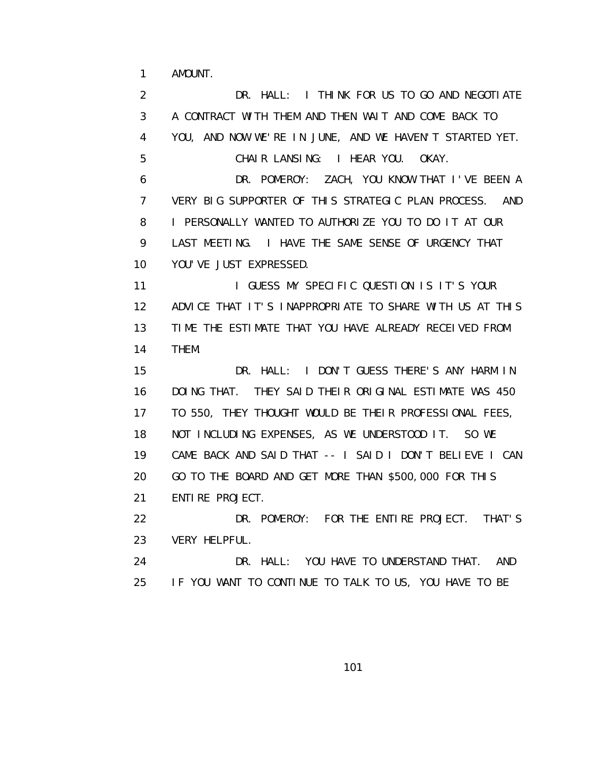1 AMOUNT.

 2 DR. HALL: I THINK FOR US TO GO AND NEGOTIATE 3 A CONTRACT WITH THEM AND THEN WAIT AND COME BACK TO 4 YOU, AND NOW WE'RE IN JUNE, AND WE HAVEN'T STARTED YET. 5 CHAIR LANSING: I HEAR YOU. OKAY. 6 DR. POMEROY: ZACH, YOU KNOW THAT I'VE BEEN A 7 VERY BIG SUPPORTER OF THIS STRATEGIC PLAN PROCESS. AND 8 I PERSONALLY WANTED TO AUTHORIZE YOU TO DO IT AT OUR 9 LAST MEETING. I HAVE THE SAME SENSE OF URGENCY THAT 10 YOU'VE JUST EXPRESSED. 11 **I GUESS MY SPECIFIC QUESTION IS IT'S YOUR**  12 ADVICE THAT IT'S INAPPROPRIATE TO SHARE WITH US AT THIS 13 TIME THE ESTIMATE THAT YOU HAVE ALREADY RECEIVED FROM 14 THEM. 15 DR. HALL: I DON'T GUESS THERE'S ANY HARM IN 16 DOING THAT. THEY SAID THEIR ORIGINAL ESTIMATE WAS 450 17 TO 550, THEY THOUGHT WOULD BE THEIR PROFESSIONAL FEES, 18 NOT INCLUDING EXPENSES, AS WE UNDERSTOOD IT. SO WE 19 CAME BACK AND SAID THAT -- I SAID I DON'T BELIEVE I CAN 20 GO TO THE BOARD AND GET MORE THAN \$500,000 FOR THIS 21 ENTIRE PROJECT. 22 DR. POMEROY: FOR THE ENTIRE PROJECT. THAT'S 23 VERY HELPFUL. 24 DR. HALL: YOU HAVE TO UNDERSTAND THAT. AND 25 IF YOU WANT TO CONTINUE TO TALK TO US, YOU HAVE TO BE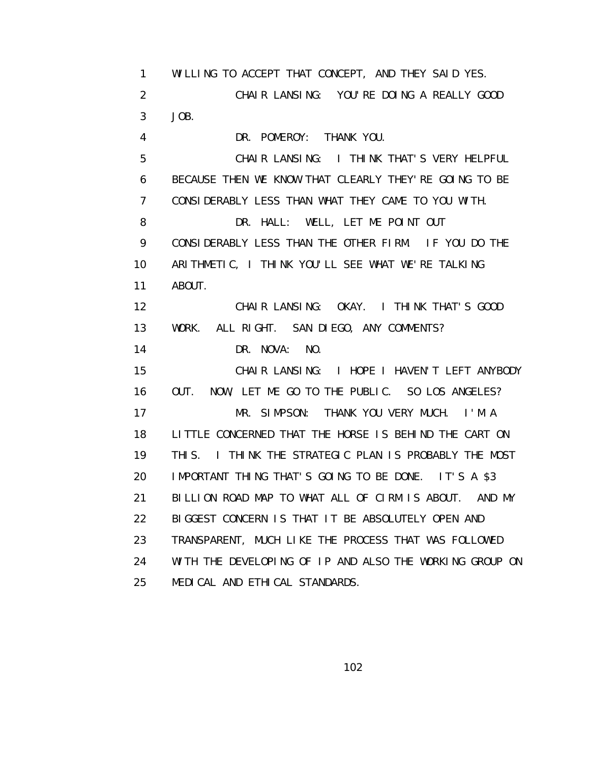1 WILLING TO ACCEPT THAT CONCEPT, AND THEY SAID YES. 2 CHAIR LANSING: YOU'RE DOING A REALLY GOOD 3 JOB. 4 DR. POMEROY: THANK YOU. 5 CHAIR LANSING: I THINK THAT'S VERY HELPFUL 6 BECAUSE THEN WE KNOW THAT CLEARLY THEY'RE GOING TO BE 7 CONSIDERABLY LESS THAN WHAT THEY CAME TO YOU WITH. 8 DR. HALL: WELL, LET ME POINT OUT 9 CONSIDERABLY LESS THAN THE OTHER FIRM. IF YOU DO THE 10 ARITHMETIC, I THINK YOU'LL SEE WHAT WE'RE TALKING 11 ABOUT. 12 CHAIR LANSING: OKAY. I THINK THAT'S GOOD 13 WORK. ALL RIGHT. SAN DIEGO, ANY COMMENTS? 14 DR. NOVA: NO. 15 CHAIR LANSING: I HOPE I HAVEN'T LEFT ANYBODY 16 OUT. NOW, LET ME GO TO THE PUBLIC. SO LOS ANGELES? 17 MR. SIMPSON: THANK YOU VERY MUCH. I'M A 18 LITTLE CONCERNED THAT THE HORSE IS BEHIND THE CART ON 19 THIS. I THINK THE STRATEGIC PLAN IS PROBABLY THE MOST 20 IMPORTANT THING THAT'S GOING TO BE DONE. IT'S A \$3 21 BILLION ROAD MAP TO WHAT ALL OF CIRM IS ABOUT. AND MY 22 BIGGEST CONCERN IS THAT IT BE ABSOLUTELY OPEN AND 23 TRANSPARENT, MUCH LIKE THE PROCESS THAT WAS FOLLOWED 24 WITH THE DEVELOPING OF IP AND ALSO THE WORKING GROUP ON 25 MEDICAL AND ETHICAL STANDARDS.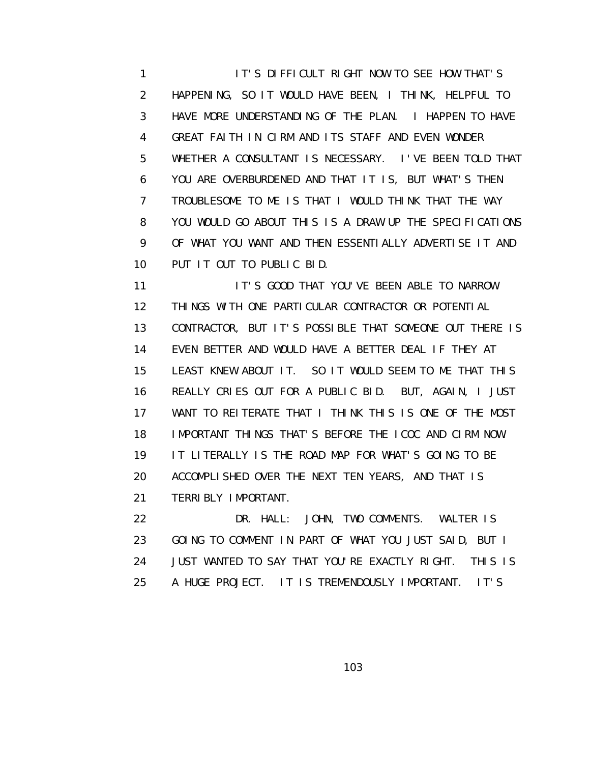1 **IT'S DIFFICULT RIGHT NOW TO SEE HOW THAT'S**  2 HAPPENING, SO IT WOULD HAVE BEEN, I THINK, HELPFUL TO 3 HAVE MORE UNDERSTANDING OF THE PLAN. I HAPPEN TO HAVE 4 GREAT FAITH IN CIRM AND ITS STAFF AND EVEN WONDER 5 WHETHER A CONSULTANT IS NECESSARY. I'VE BEEN TOLD THAT 6 YOU ARE OVERBURDENED AND THAT IT IS, BUT WHAT'S THEN 7 TROUBLESOME TO ME IS THAT I WOULD THINK THAT THE WAY 8 YOU WOULD GO ABOUT THIS IS A DRAW UP THE SPECIFICATIONS 9 OF WHAT YOU WANT AND THEN ESSENTIALLY ADVERTISE IT AND 10 PUT IT OUT TO PUBLIC BID.

11 **IT'S GOOD THAT YOU'VE BEEN ABLE TO NARROW**  12 THINGS WITH ONE PARTICULAR CONTRACTOR OR POTENTIAL 13 CONTRACTOR, BUT IT'S POSSIBLE THAT SOMEONE OUT THERE IS 14 EVEN BETTER AND WOULD HAVE A BETTER DEAL IF THEY AT 15 LEAST KNEW ABOUT IT. SO IT WOULD SEEM TO ME THAT THIS 16 REALLY CRIES OUT FOR A PUBLIC BID. BUT, AGAIN, I JUST 17 WANT TO REITERATE THAT I THINK THIS IS ONE OF THE MOST 18 IMPORTANT THINGS THAT'S BEFORE THE ICOC AND CIRM NOW. 19 IT LITERALLY IS THE ROAD MAP FOR WHAT'S GOING TO BE 20 ACCOMPLISHED OVER THE NEXT TEN YEARS, AND THAT IS 21 TERRIBLY IMPORTANT.

 22 DR. HALL: JOHN, TWO COMMENTS. WALTER IS 23 GOING TO COMMENT IN PART OF WHAT YOU JUST SAID, BUT I 24 JUST WANTED TO SAY THAT YOU'RE EXACTLY RIGHT. THIS IS 25 A HUGE PROJECT. IT IS TREMENDOUSLY IMPORTANT. IT'S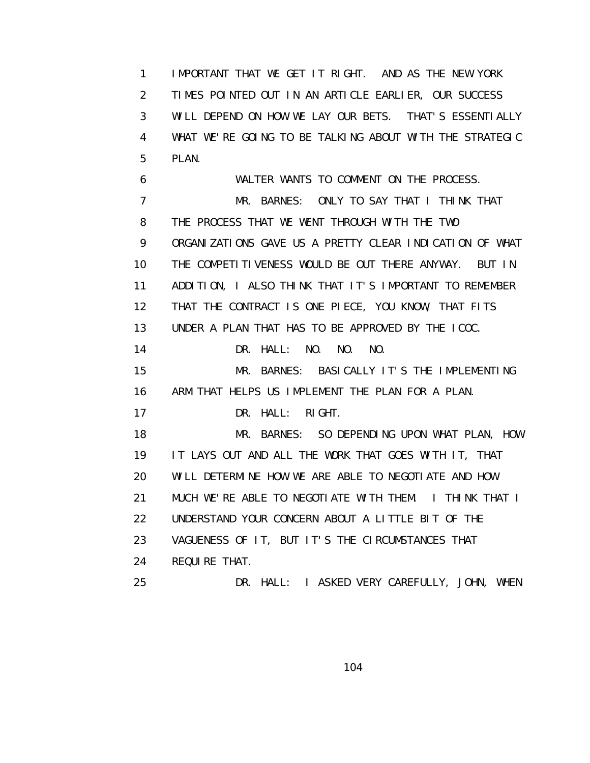1 IMPORTANT THAT WE GET IT RIGHT. AND AS THE NEW YORK 2 TIMES POINTED OUT IN AN ARTICLE EARLIER, OUR SUCCESS 3 WILL DEPEND ON HOW WE LAY OUR BETS. THAT'S ESSENTIALLY 4 WHAT WE'RE GOING TO BE TALKING ABOUT WITH THE STRATEGIC 5 PLAN.

 6 WALTER WANTS TO COMMENT ON THE PROCESS. 7 MR. BARNES: ONLY TO SAY THAT I THINK THAT 8 THE PROCESS THAT WE WENT THROUGH WITH THE TWO 9 ORGANIZATIONS GAVE US A PRETTY CLEAR INDICATION OF WHAT 10 THE COMPETITIVENESS WOULD BE OUT THERE ANYWAY. BUT IN 11 ADDITION, I ALSO THINK THAT IT'S IMPORTANT TO REMEMBER 12 THAT THE CONTRACT IS ONE PIECE, YOU KNOW, THAT FITS 13 UNDER A PLAN THAT HAS TO BE APPROVED BY THE ICOC. 14 DR. HALL: NO. NO. NO. 15 MR. BARNES: BASICALLY IT'S THE IMPLEMENTING 16 ARM THAT HELPS US IMPLEMENT THE PLAN FOR A PLAN. 17 DR. HALL: RIGHT. 18 MR. BARNES: SO DEPENDING UPON WHAT PLAN, HOW 19 IT LAYS OUT AND ALL THE WORK THAT GOES WITH IT, THAT 20 WILL DETERMINE HOW WE ARE ABLE TO NEGOTIATE AND HOW 21 MUCH WE'RE ABLE TO NEGOTIATE WITH THEM. I THINK THAT I 22 UNDERSTAND YOUR CONCERN ABOUT A LITTLE BIT OF THE 23 VAGUENESS OF IT, BUT IT'S THE CIRCUMSTANCES THAT 24 REQUIRE THAT. 25 DR. HALL: I ASKED VERY CAREFULLY, JOHN, WHEN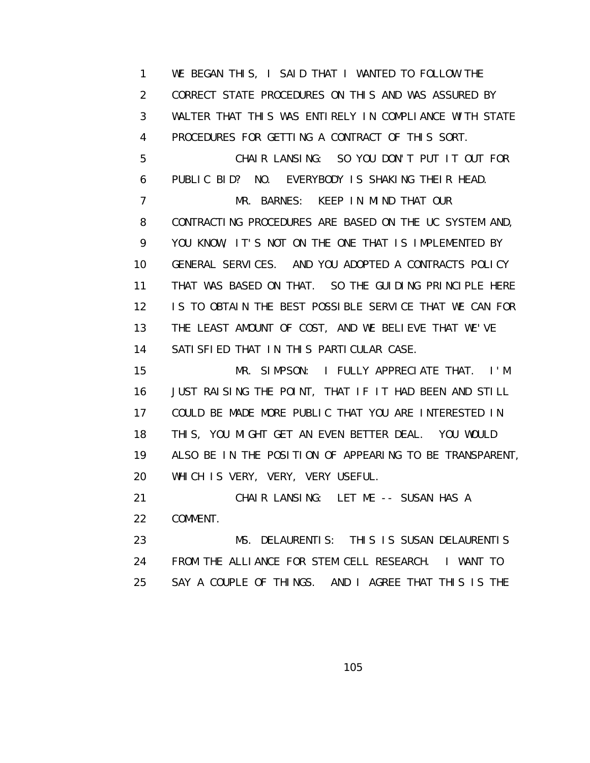1 WE BEGAN THIS, I SAID THAT I WANTED TO FOLLOW THE 2 CORRECT STATE PROCEDURES ON THIS AND WAS ASSURED BY 3 WALTER THAT THIS WAS ENTIRELY IN COMPLIANCE WITH STATE 4 PROCEDURES FOR GETTING A CONTRACT OF THIS SORT. 5 CHAIR LANSING: SO YOU DON'T PUT IT OUT FOR 6 PUBLIC BID? NO. EVERYBODY IS SHAKING THEIR HEAD. 7 MR. BARNES: KEEP IN MIND THAT OUR 8 CONTRACTING PROCEDURES ARE BASED ON THE UC SYSTEM AND, 9 YOU KNOW, IT'S NOT ON THE ONE THAT IS IMPLEMENTED BY 10 GENERAL SERVICES. AND YOU ADOPTED A CONTRACTS POLICY 11 THAT WAS BASED ON THAT. SO THE GUIDING PRINCIPLE HERE 12 IS TO OBTAIN THE BEST POSSIBLE SERVICE THAT WE CAN FOR 13 THE LEAST AMOUNT OF COST, AND WE BELIEVE THAT WE'VE 14 SATISFIED THAT IN THIS PARTICULAR CASE.

 15 MR. SIMPSON: I FULLY APPRECIATE THAT. I'M 16 JUST RAISING THE POINT, THAT IF IT HAD BEEN AND STILL 17 COULD BE MADE MORE PUBLIC THAT YOU ARE INTERESTED IN 18 THIS, YOU MIGHT GET AN EVEN BETTER DEAL. YOU WOULD 19 ALSO BE IN THE POSITION OF APPEARING TO BE TRANSPARENT, 20 WHICH IS VERY, VERY, VERY USEFUL.

 21 CHAIR LANSING: LET ME -- SUSAN HAS A 22 COMMENT.

 23 MS. DELAURENTIS: THIS IS SUSAN DELAURENTIS 24 FROM THE ALLIANCE FOR STEM CELL RESEARCH. I WANT TO 25 SAY A COUPLE OF THINGS. AND I AGREE THAT THIS IS THE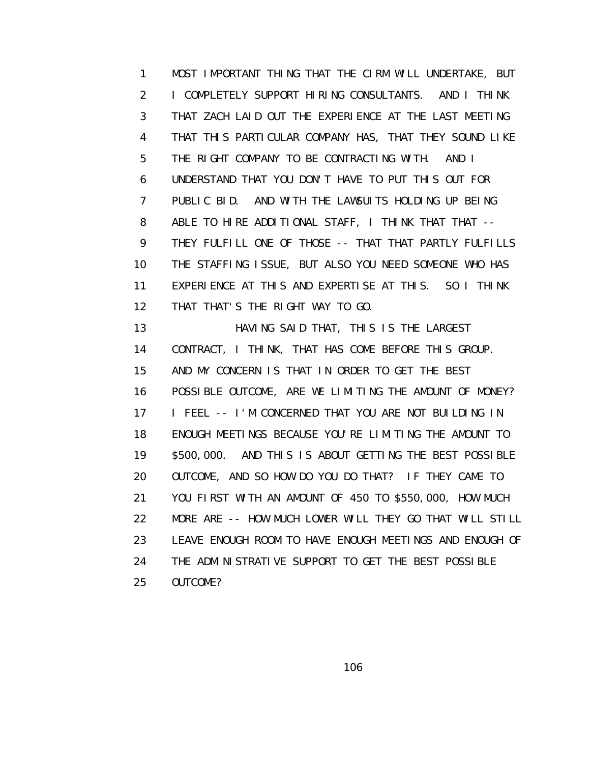1 MOST IMPORTANT THING THAT THE CIRM WILL UNDERTAKE, BUT 2 I COMPLETELY SUPPORT HIRING CONSULTANTS. AND I THINK 3 THAT ZACH LAID OUT THE EXPERIENCE AT THE LAST MEETING 4 THAT THIS PARTICULAR COMPANY HAS, THAT THEY SOUND LIKE 5 THE RIGHT COMPANY TO BE CONTRACTING WITH. AND I 6 UNDERSTAND THAT YOU DON'T HAVE TO PUT THIS OUT FOR 7 PUBLIC BID. AND WITH THE LAWSUITS HOLDING UP BEING 8 ABLE TO HIRE ADDITIONAL STAFF, I THINK THAT THAT -- 9 THEY FULFILL ONE OF THOSE -- THAT THAT PARTLY FULFILLS 10 THE STAFFING ISSUE, BUT ALSO YOU NEED SOMEONE WHO HAS 11 EXPERIENCE AT THIS AND EXPERTISE AT THIS. SO I THINK 12 THAT THAT'S THE RIGHT WAY TO GO.

 13 HAVING SAID THAT, THIS IS THE LARGEST 14 CONTRACT, I THINK, THAT HAS COME BEFORE THIS GROUP. 15 AND MY CONCERN IS THAT IN ORDER TO GET THE BEST 16 POSSIBLE OUTCOME, ARE WE LIMITING THE AMOUNT OF MONEY? 17 I FEEL -- I'M CONCERNED THAT YOU ARE NOT BUILDING IN 18 ENOUGH MEETINGS BECAUSE YOU'RE LIMITING THE AMOUNT TO 19 \$500,000. AND THIS IS ABOUT GETTING THE BEST POSSIBLE 20 OUTCOME, AND SO HOW DO YOU DO THAT? IF THEY CAME TO 21 YOU FIRST WITH AN AMOUNT OF 450 TO \$550,000, HOW MUCH 22 MORE ARE -- HOW MUCH LOWER WILL THEY GO THAT WILL STILL 23 LEAVE ENOUGH ROOM TO HAVE ENOUGH MEETINGS AND ENOUGH OF 24 THE ADMINISTRATIVE SUPPORT TO GET THE BEST POSSIBLE 25 OUTCOME?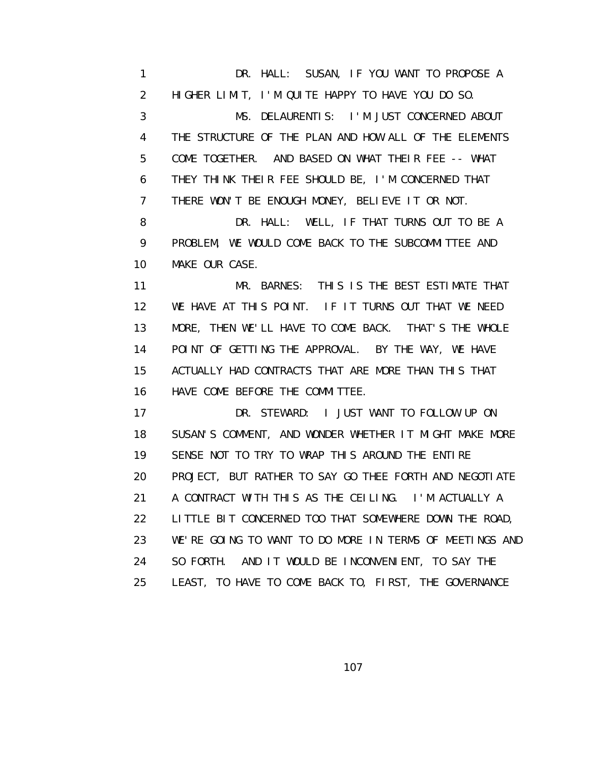1 DR. HALL: SUSAN, IF YOU WANT TO PROPOSE A 2 HIGHER LIMIT, I'M QUITE HAPPY TO HAVE YOU DO SO. 3 MS. DELAURENTIS: I'M JUST CONCERNED ABOUT 4 THE STRUCTURE OF THE PLAN AND HOW ALL OF THE ELEMENTS 5 COME TOGETHER. AND BASED ON WHAT THEIR FEE -- WHAT 6 THEY THINK THEIR FEE SHOULD BE, I'M CONCERNED THAT 7 THERE WON'T BE ENOUGH MONEY, BELIEVE IT OR NOT. 8 DR. HALL: WELL, IF THAT TURNS OUT TO BE A 9 PROBLEM, WE WOULD COME BACK TO THE SUBCOMMITTEE AND 10 MAKE OUR CASE. 11 MR. BARNES: THIS IS THE BEST ESTIMATE THAT 12 WE HAVE AT THIS POINT. IF IT TURNS OUT THAT WE NEED 13 MORE, THEN WE'LL HAVE TO COME BACK. THAT'S THE WHOLE

 14 POINT OF GETTING THE APPROVAL. BY THE WAY, WE HAVE 15 ACTUALLY HAD CONTRACTS THAT ARE MORE THAN THIS THAT 16 HAVE COME BEFORE THE COMMITTEE.

 17 DR. STEWARD: I JUST WANT TO FOLLOW UP ON 18 SUSAN'S COMMENT, AND WONDER WHETHER IT MIGHT MAKE MORE 19 SENSE NOT TO TRY TO WRAP THIS AROUND THE ENTIRE 20 PROJECT, BUT RATHER TO SAY GO THEE FORTH AND NEGOTIATE 21 A CONTRACT WITH THIS AS THE CEILING. I'M ACTUALLY A 22 LITTLE BIT CONCERNED TOO THAT SOMEWHERE DOWN THE ROAD, 23 WE'RE GOING TO WANT TO DO MORE IN TERMS OF MEETINGS AND 24 SO FORTH. AND IT WOULD BE INCONVENIENT, TO SAY THE 25 LEAST, TO HAVE TO COME BACK TO, FIRST, THE GOVERNANCE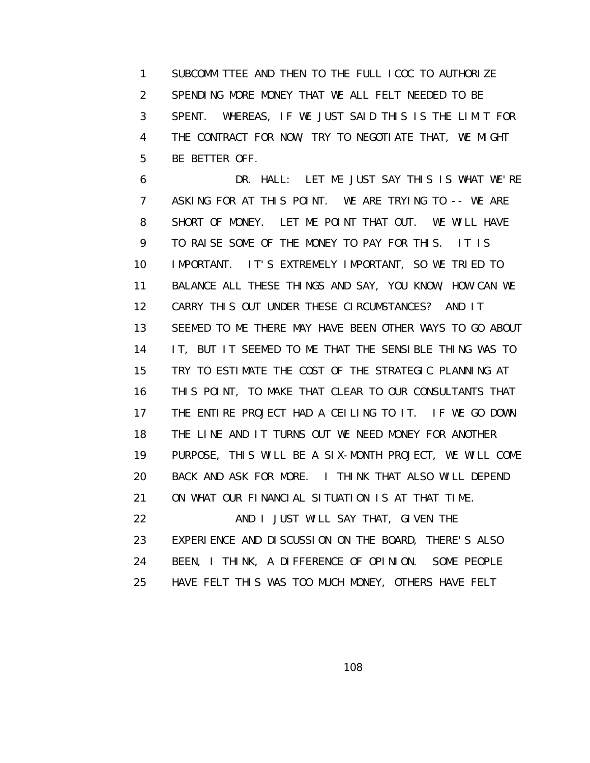1 SUBCOMMITTEE AND THEN TO THE FULL ICOC TO AUTHORIZE 2 SPENDING MORE MONEY THAT WE ALL FELT NEEDED TO BE 3 SPENT. WHEREAS, IF WE JUST SAID THIS IS THE LIMIT FOR 4 THE CONTRACT FOR NOW, TRY TO NEGOTIATE THAT, WE MIGHT 5 BE BETTER OFF.

 6 DR. HALL: LET ME JUST SAY THIS IS WHAT WE'RE 7 ASKING FOR AT THIS POINT. WE ARE TRYING TO -- WE ARE 8 SHORT OF MONEY. LET ME POINT THAT OUT. WE WILL HAVE 9 TO RAISE SOME OF THE MONEY TO PAY FOR THIS. IT IS 10 IMPORTANT. IT'S EXTREMELY IMPORTANT, SO WE TRIED TO 11 BALANCE ALL THESE THINGS AND SAY, YOU KNOW, HOW CAN WE 12 CARRY THIS OUT UNDER THESE CIRCUMSTANCES? AND IT 13 SEEMED TO ME THERE MAY HAVE BEEN OTHER WAYS TO GO ABOUT 14 IT, BUT IT SEEMED TO ME THAT THE SENSIBLE THING WAS TO 15 TRY TO ESTIMATE THE COST OF THE STRATEGIC PLANNING AT 16 THIS POINT, TO MAKE THAT CLEAR TO OUR CONSULTANTS THAT 17 THE ENTIRE PROJECT HAD A CEILING TO IT. IF WE GO DOWN 18 THE LINE AND IT TURNS OUT WE NEED MONEY FOR ANOTHER 19 PURPOSE, THIS WILL BE A SIX-MONTH PROJECT, WE WILL COME 20 BACK AND ASK FOR MORE. I THINK THAT ALSO WILL DEPEND 21 ON WHAT OUR FINANCIAL SITUATION IS AT THAT TIME. 22 **AND I JUST WILL SAY THAT, GIVEN THE** 23 EXPERIENCE AND DISCUSSION ON THE BOARD, THERE'S ALSO

24 BEEN, I THINK, A DIFFERENCE OF OPINION. SOME PEOPLE

25 HAVE FELT THIS WAS TOO MUCH MONEY, OTHERS HAVE FELT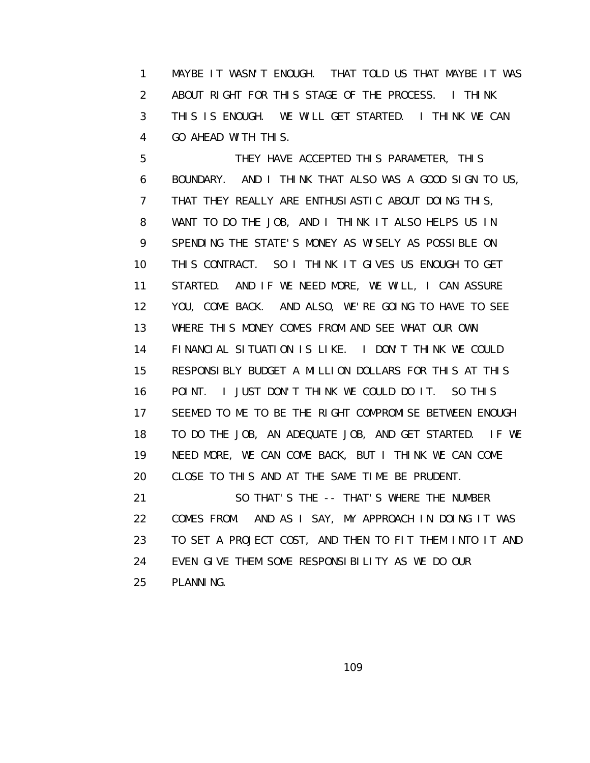1 MAYBE IT WASN'T ENOUGH. THAT TOLD US THAT MAYBE IT WAS 2 ABOUT RIGHT FOR THIS STAGE OF THE PROCESS. I THINK 3 THIS IS ENOUGH. WE WILL GET STARTED. I THINK WE CAN 4 GO AHEAD WITH THIS.

 5 THEY HAVE ACCEPTED THIS PARAMETER, THIS 6 BOUNDARY. AND I THINK THAT ALSO WAS A GOOD SIGN TO US, 7 THAT THEY REALLY ARE ENTHUSIASTIC ABOUT DOING THIS, 8 WANT TO DO THE JOB, AND I THINK IT ALSO HELPS US IN 9 SPENDING THE STATE'S MONEY AS WISELY AS POSSIBLE ON 10 THIS CONTRACT. SO I THINK IT GIVES US ENOUGH TO GET 11 STARTED. AND IF WE NEED MORE, WE WILL, I CAN ASSURE 12 YOU, COME BACK. AND ALSO, WE'RE GOING TO HAVE TO SEE 13 WHERE THIS MONEY COMES FROM AND SEE WHAT OUR OWN 14 FINANCIAL SITUATION IS LIKE. I DON'T THINK WE COULD 15 RESPONSIBLY BUDGET A MILLION DOLLARS FOR THIS AT THIS 16 POINT. I JUST DON'T THINK WE COULD DO IT. SO THIS 17 SEEMED TO ME TO BE THE RIGHT COMPROMISE BETWEEN ENOUGH 18 TO DO THE JOB, AN ADEQUATE JOB, AND GET STARTED. IF WE 19 NEED MORE, WE CAN COME BACK, BUT I THINK WE CAN COME 20 CLOSE TO THIS AND AT THE SAME TIME BE PRUDENT. 21 SO THAT'S THE -- THAT'S WHERE THE NUMBER 22 COMES FROM. AND AS I SAY, MY APPROACH IN DOING IT WAS 23 TO SET A PROJECT COST, AND THEN TO FIT THEM INTO IT AND 24 EVEN GIVE THEM SOME RESPONSIBILITY AS WE DO OUR

25 PLANNING.

109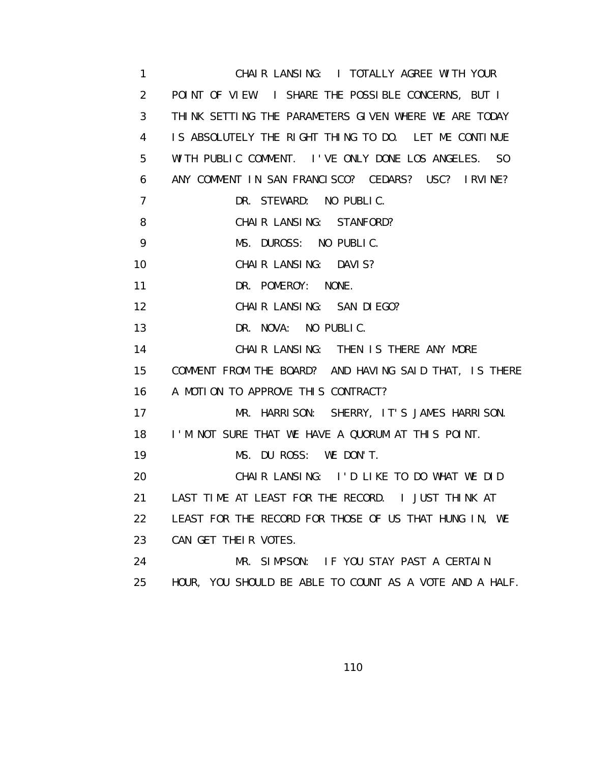1 CHAIR LANSING: I TOTALLY AGREE WITH YOUR 2 POINT OF VIEW. I SHARE THE POSSIBLE CONCERNS, BUT I 3 THINK SETTING THE PARAMETERS GIVEN WHERE WE ARE TODAY 4 IS ABSOLUTELY THE RIGHT THING TO DO. LET ME CONTINUE 5 WITH PUBLIC COMMENT. I'VE ONLY DONE LOS ANGELES. SO 6 ANY COMMENT IN SAN FRANCISCO? CEDARS? USC? IRVINE? 7 DR. STEWARD: NO PUBLIC. 8 CHAIR LANSING: STANFORD? 9 MS. DUROSS: NO PUBLIC. 10 CHAIR LANSING: DAVIS? 11 DR. POMEROY: NONE. 12 CHAIR LANSING: SAN DIEGO? 13 DR. NOVA: NO PUBLIC. 14 CHAIR LANSING: THEN IS THERE ANY MORE 15 COMMENT FROM THE BOARD? AND HAVING SAID THAT, IS THERE 16 A MOTION TO APPROVE THIS CONTRACT? 17 MR. HARRISON: SHERRY, IT'S JAMES HARRISON. 18 I'M NOT SURE THAT WE HAVE A QUORUM AT THIS POINT. 19 MS. DU ROSS: WE DON'T. 20 CHAIR LANSING: I'D LIKE TO DO WHAT WE DID 21 LAST TIME AT LEAST FOR THE RECORD. I JUST THINK AT 22 LEAST FOR THE RECORD FOR THOSE OF US THAT HUNG IN, WE 23 CAN GET THEIR VOTES. 24 MR. SIMPSON: IF YOU STAY PAST A CERTAIN 25 HOUR, YOU SHOULD BE ABLE TO COUNT AS A VOTE AND A HALF.

110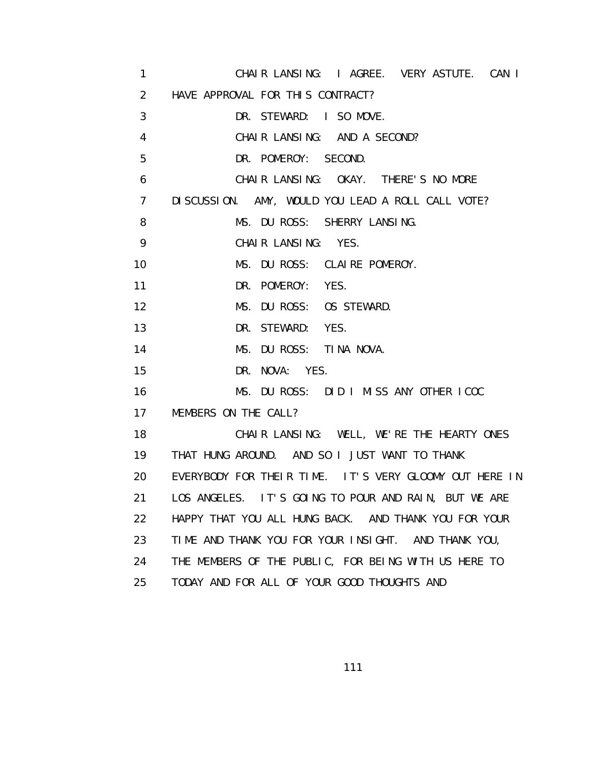1 CHAIR LANSING: I AGREE. VERY ASTUTE. CAN I 2 HAVE APPROVAL FOR THIS CONTRACT? 3 DR. STEWARD: I SO MOVE. 4 CHAIR LANSING: AND A SECOND? 5 DR. POMEROY: SECOND. 6 CHAIR LANSING: OKAY. THERE'S NO MORE 7 DISCUSSION. AMY, WOULD YOU LEAD A ROLL CALL VOTE? 8 MS. DU ROSS: SHERRY LANSING. 9 CHAIR LANSING: YES. 10 MS. DU ROSS: CLAIRE POMEROY. 11 DR. POMEROY: YES. 12 MS. DU ROSS: OS STEWARD. 13 DR. STEWARD: YES. 14 MS. DU ROSS: TINA NOVA. 15 DR. NOVA: YES. 16 MS. DU ROSS: DID I MISS ANY OTHER ICOC 17 MEMBERS ON THE CALL? 18 CHAIR LANSING: WELL, WE'RE THE HEARTY ONES 19 THAT HUNG AROUND. AND SO I JUST WANT TO THANK 20 EVERYBODY FOR THEIR TIME. IT'S VERY GLOOMY OUT HERE IN 21 LOS ANGELES. IT'S GOING TO POUR AND RAIN, BUT WE ARE 22 HAPPY THAT YOU ALL HUNG BACK. AND THANK YOU FOR YOUR 23 TIME AND THANK YOU FOR YOUR INSIGHT. AND THANK YOU, 24 THE MEMBERS OF THE PUBLIC, FOR BEING WITH US HERE TO 25 TODAY AND FOR ALL OF YOUR GOOD THOUGHTS AND

111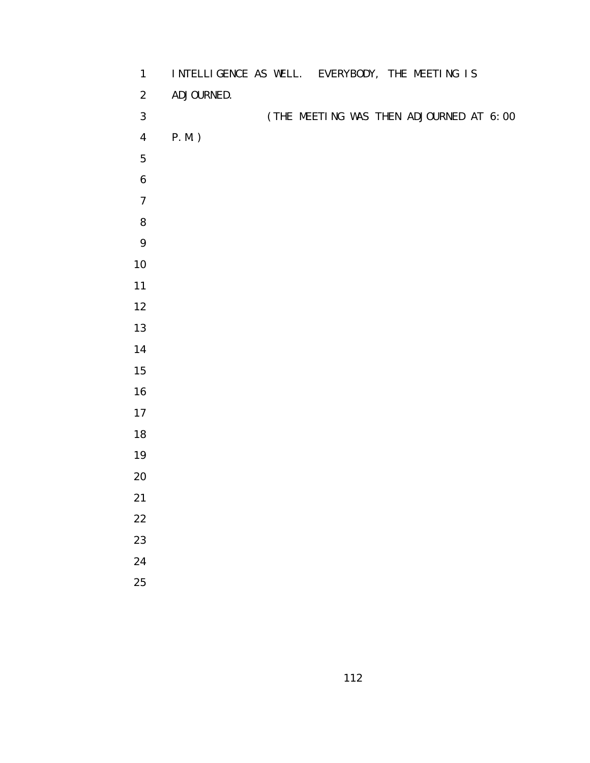| $\mathbf{1}$     | INTELLIGENCE AS WELL. EVERYBODY, THE MEETING IS |
|------------------|-------------------------------------------------|
| $\overline{2}$   | ADJOURNED.                                      |
| $\mathfrak{S}$   | (THE MEETING WAS THEN ADJOURNED AT 6:00         |
| $\overline{4}$   | $P.M.$ )                                        |
| 5                |                                                 |
| $\boldsymbol{6}$ |                                                 |
| $\boldsymbol{7}$ |                                                 |
| 8                |                                                 |
| 9                |                                                 |
| $10\,$           |                                                 |
| $11$             |                                                 |
| 12               |                                                 |
| $13$             |                                                 |
| $14$             |                                                 |
| $15\,$           |                                                 |
| $16$             |                                                 |
| $17$             |                                                 |
| $18\,$           |                                                 |
| $19$             |                                                 |
| $20\,$           |                                                 |
| 21               |                                                 |
| $22\,$           |                                                 |
| 23               |                                                 |
| 24               |                                                 |
| 25               |                                                 |